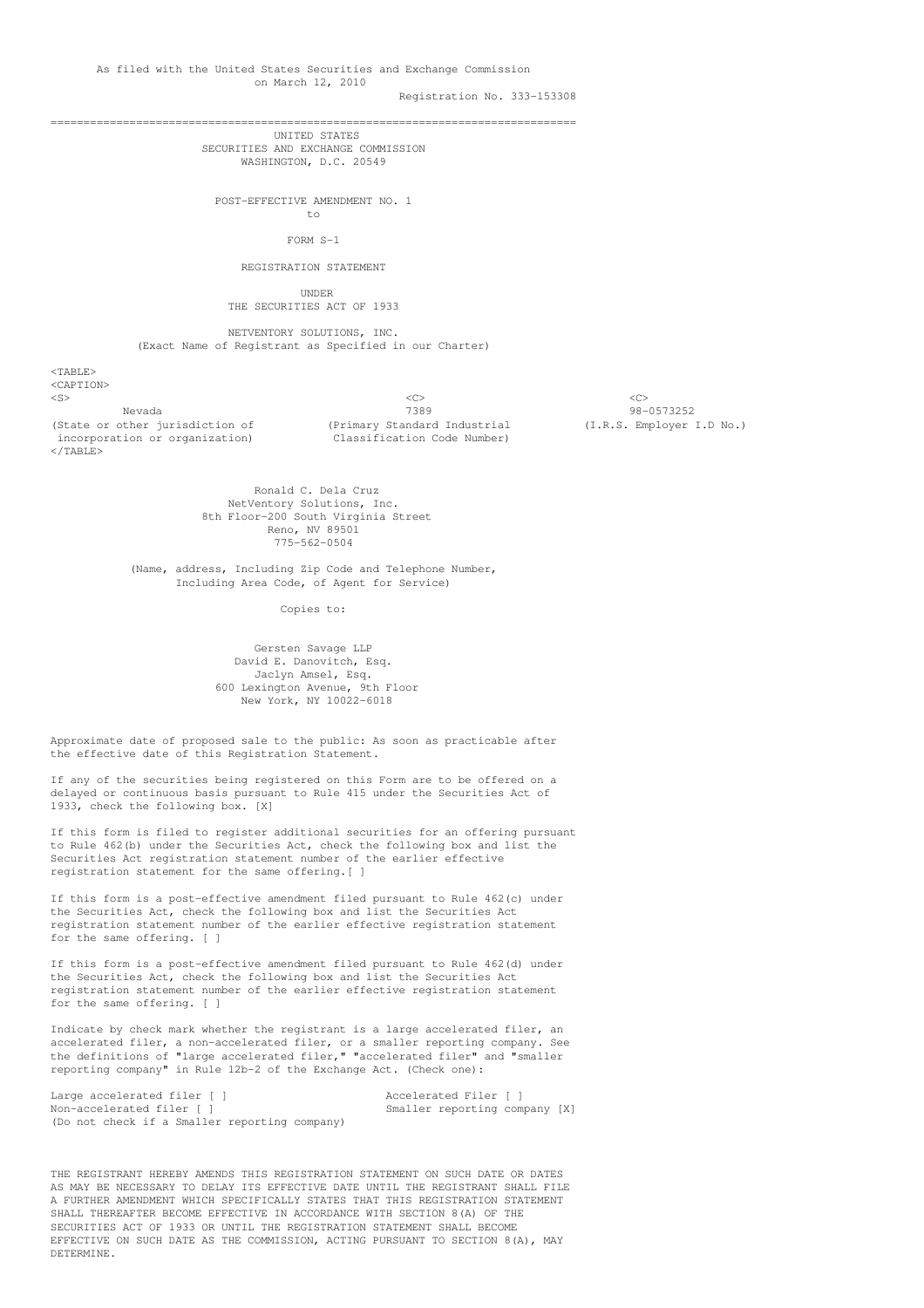Registration No. 333-153308

================================================================================

UNITED STATES SECURITIES AND EXCHANGE COMMISSION WASHINGTON, D.C. 20549

POST-EFFECTIVE AMENDMENT NO. 1 to

FORM S-1

REGISTRATION STATEMENT

UNDER THE SECURITIES ACT OF 1933

NETVENTORY SOLUTIONS, INC. (Exact Name of Registrant as Specified in our Charter)

<TABLE> <CAPTION> <S> <C> <C> Nevada 7389<br>(State or other jurisdiction of (Primary Standard Industrial (I.R.S. Employer 3) incorporation or organization) Classification Code Number) </TABLE>

(Primary Standard Industrial (I.R.S. Employer I.D No.)

Ronald C. Dela Cruz NetVentory Solutions, Inc. 8th Floor-200 South Virginia Street Reno, NV 89501 775-562-0504

(Name, address, Including Zip Code and Telephone Number, Including Area Code, of Agent for Service)

Copies to:

Gersten Savage LLP David E. Danovitch, Esq. Jaclyn Amsel, Esq. 600 Lexington Avenue, 9th Floor New York, NY 10022-6018

Approximate date of proposed sale to the public: As soon as practicable after the effective date of this Registration Statement.

If any of the securities being registered on this Form are to be offered on a delayed or continuous basis pursuant to Rule 415 under the Securities Act of 1933, check the following box. [X]

If this form is filed to register additional securities for an offering pursuant to Rule 462(b) under the Securities Act, check the following box and list the Securities Act registration statement number of the earlier effective registration statement for the same offering.[ ]

If this form is a post-effective amendment filed pursuant to Rule 462(c) under the Securities Act, check the following box and list the Securities Act registration statement number of the earlier effective registration statement for the same offering. [ ]

If this form is a post-effective amendment filed pursuant to Rule 462(d) under the Securities Act, check the following box and list the Securities Act registration statement number of the earlier effective registration statement for the same offering. [ ]

Indicate by check mark whether the registrant is a large accelerated filer, an accelerated filer, a non-accelerated filer, or a smaller reporting company. See the definitions of "large accelerated filer," "accelerated filer" and "smaller reporting company" in Rule 12b-2 of the Exchange Act. (Check one):

Large accelerated filer [ ] Accelerated Filer [ ] Non-accelerated filer [ ] Smaller reporting company [X] (Do not check if a Smaller reporting company)

THE REGISTRANT HEREBY AMENDS THIS REGISTRATION STATEMENT ON SUCH DATE OR DATES AS MAY BE NECESSARY TO DELAY ITS EFFECTIVE DATE UNTIL THE REGISTRANT SHALL FILE A FURTHER AMENDMENT WHICH SPECIFICALLY STATES THAT THIS REGISTRATION STATEMENT SHALL THEREAFTER BECOME EFFECTIVE IN ACCORDANCE WITH SECTION 8(A) OF THE SECURITIES ACT OF 1933 OR UNTIL THE REGISTRATION STATEMENT SHALL BECOME EFFECTIVE ON SUCH DATE AS THE COMMISSION, ACTING PURSUANT TO SECTION 8(A), MAY DETERMINE.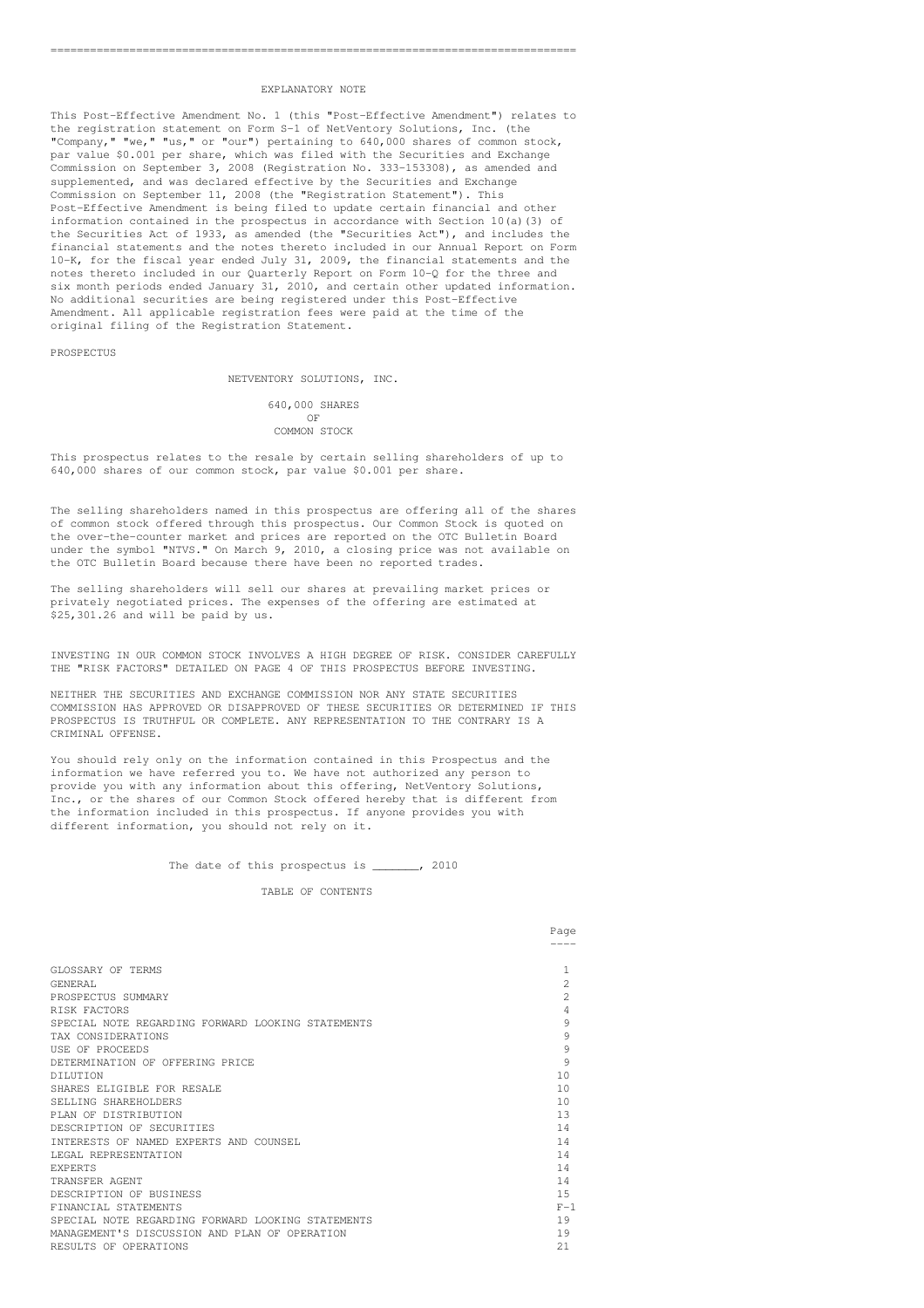## EXPLANATORY NOTE

This Post-Effective Amendment No. 1 (this "Post-Effective Amendment") relates to the registration statement on Form S-1 of NetVentory Solutions, Inc. (the "Company," "we," "us," or "our") pertaining to 640,000 shares of common stock, par value \$0.001 per share, which was filed with the Securities and Exchange Commission on September 3, 2008 (Registration No. 333-153308), as amended and supplemented, and was declared effective by the Securities and Exchange Commission on September 11, 2008 (the "Registration Statement"). This Post-Effective Amendment is being filed to update certain financial and other information contained in the prospectus in accordance with Section 10(a)(3) of the Securities Act of 1933, as amended (the "Securities Act"), and includes the financial statements and the notes thereto included in our Annual Report on Form 10-K, for the fiscal year ended July 31, 2009, the financial statements and the notes thereto included in our Quarterly Report on Form 10-Q for the three and six month periods ended January 31, 2010, and certain other updated information. No additional securities are being registered under this Post-Effective Amendment. All applicable registration fees were paid at the time of the original filing of the Registration Statement.

PROSPECTUS

## NETVENTORY SOLUTIONS, INC.

640,000 SHARES OF COMMON STOCK

This prospectus relates to the resale by certain selling shareholders of up to 640,000 shares of our common stock, par value \$0.001 per share.

The selling shareholders named in this prospectus are offering all of the shares of common stock offered through this prospectus. Our Common Stock is quoted on the over-the-counter market and prices are reported on the OTC Bulletin Board under the symbol "NTVS." On March 9, 2010, a closing price was not available on the OTC Bulletin Board because there have been no reported trades.

The selling shareholders will sell our shares at prevailing market prices or privately negotiated prices. The expenses of the offering are estimated at \$25,301.26 and will be paid by us.

INVESTING IN OUR COMMON STOCK INVOLVES A HIGH DEGREE OF RISK. CONSIDER CAREFULLY THE "RISK FACTORS" DETAILED ON PAGE 4 OF THIS PROSPECTUS BEFORE INVESTING.

NEITHER THE SECURITIES AND EXCHANGE COMMISSION NOR ANY STATE SECURITIES COMMISSION HAS APPROVED OR DISAPPROVED OF THESE SECURITIES OR DETERMINED IF THIS PROSPECTUS IS TRUTHFUL OR COMPLETE. ANY REPRESENTATION TO THE CONTRARY IS A CRIMINAL OFFENSE.

You should rely only on the information contained in this Prospectus and the information we have referred you to. We have not authorized any person to provide you with any information about this offering, NetVentory Solutions, Inc., or the shares of our Common Stock offered hereby that is different from the information included in this prospectus. If anyone provides you with different information, you should not rely on it.

The date of this prospectus is \_\_\_\_\_\_, 2010

# TABLE OF CONTENTS

|                                                   | Page  |
|---------------------------------------------------|-------|
|                                                   |       |
| GLOSSARY OF TERMS                                 |       |
| GENERAL                                           | 2     |
| PROSPECTUS SUMMARY                                | 2     |
| RISK FACTORS                                      | 4     |
| SPECIAL NOTE REGARDING FORWARD LOOKING STATEMENTS | 9     |
| TAX CONSIDERATIONS                                | 9     |
| USE OF PROCEEDS                                   | 9     |
| DETERMINATION OF OFFERING PRICE                   | 9     |
| <b>DILUTION</b>                                   | 10    |
| SHARES ELIGIBLE FOR RESALE                        | 10    |
| SELLING SHAREHOLDERS                              | 10    |
| PLAN OF DISTRIBUTION                              | 13    |
| DESCRIPTION OF SECURITIES                         | 14    |
| INTERESTS OF NAMED EXPERTS AND COUNSEL            | 14    |
| LEGAL REPRESENTATION                              | 14    |
| <b>EXPERTS</b>                                    | 14    |
| TRANSFER AGENT                                    | 14    |
| DESCRIPTION OF BUSINESS                           | 1.5   |
| FINANCIAL STATEMENTS                              | $F-1$ |
| SPECIAL NOTE REGARDING FORWARD LOOKING STATEMENTS | 19    |
| MANAGEMENT'S DISCUSSION AND PLAN OF OPERATION     | 19    |
| RESULTS OF OPERATIONS                             | 2.1   |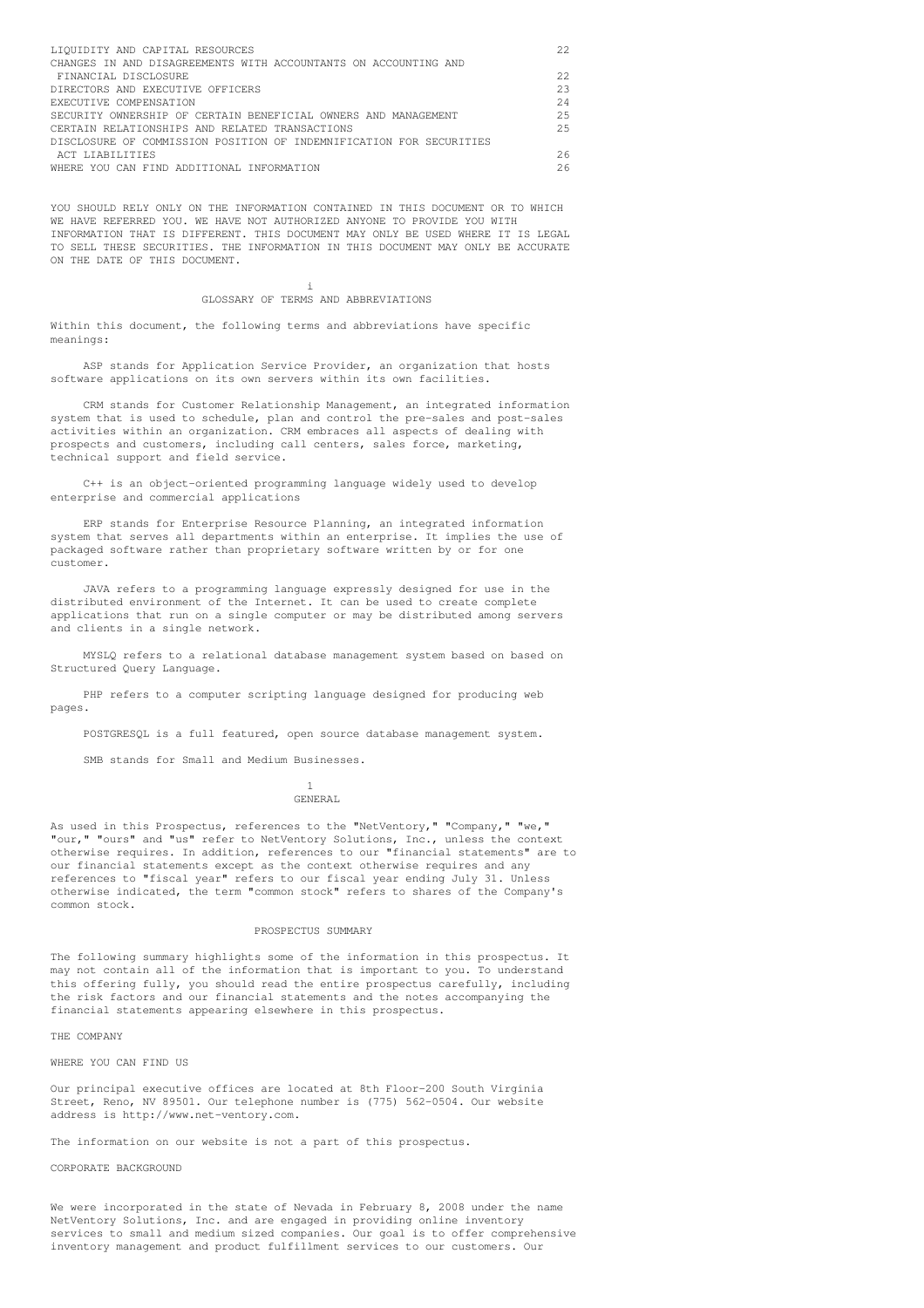| LIOUIDITY AND CAPITAL RESOURCES                                     | 22   |
|---------------------------------------------------------------------|------|
| CHANGES IN AND DISAGREEMENTS WITH ACCOUNTANTS ON ACCOUNTING AND     |      |
| FINANCIAL DISCLOSURE                                                | 22.2 |
| DIRECTORS AND EXECUTIVE OFFICERS                                    | 23   |
| EXECUTIVE COMPENSATION                                              | 2.4  |
| SECURITY OWNERSHIP OF CERTAIN BENEFICIAL OWNERS AND MANAGEMENT      | 2.5  |
| CERTAIN RELATIONSHIPS AND RELATED TRANSACTIONS                      | 2.5  |
| DISCLOSURE OF COMMISSION POSITION OF INDEMNIFICATION FOR SECURITIES |      |
| ACT LIABILITIES                                                     | 26   |
| WHERE YOU CAN FIND ADDITIONAL INFORMATION                           | 26   |

YOU SHOULD RELY ONLY ON THE INFORMATION CONTAINED IN THIS DOCUMENT OR TO WHICH WE HAVE REFERRED YOU. WE HAVE NOT AUTHORIZED ANYONE TO PROVIDE YOU WITH INFORMATION THAT IS DIFFERENT. THIS DOCUMENT MAY ONLY BE USED WHERE IT IS LEGAL TO SELL THESE SECURITIES. THE INFORMATION IN THIS DOCUMENT MAY ONLY BE ACCURATE ON THE DATE OF THIS DOCUMENT.

#### i GLOSSARY OF TERMS AND ABBREVIATIONS

Within this document, the following terms and abbreviations have specific meanings:

ASP stands for Application Service Provider, an organization that hosts software applications on its own servers within its own facilities.

CRM stands for Customer Relationship Management, an integrated information system that is used to schedule, plan and control the pre-sales and post-sales activities within an organization. CRM embraces all aspects of dealing with prospects and customers, including call centers, sales force, marketing, technical support and field service.

C++ is an object-oriented programming language widely used to develop enterprise and commercial applications

ERP stands for Enterprise Resource Planning, an integrated information system that serves all departments within an enterprise. It implies the use of packaged software rather than proprietary software written by or for one customer.

JAVA refers to a programming language expressly designed for use in the distributed environment of the Internet. It can be used to create complete applications that run on a single computer or may be distributed among servers and clients in a single network.

MYSLQ refers to a relational database management system based on based on Structured Query Language.

PHP refers to a computer scripting language designed for producing web pages.

POSTGRESQL is a full featured, open source database management system.

SMB stands for Small and Medium Businesses.

1 GENERAL

As used in this Prospectus, references to the "NetVentory," "Company," "we," "our," "ours" and "us" refer to NetVentory Solutions, Inc., unless the context otherwise requires. In addition, references to our "financial statements" are to our financial statements except as the context otherwise requires and any references to "fiscal year" refers to our fiscal year ending July 31. Unless otherwise indicated, the term "common stock" refers to shares of the Company's common stock.

## PROSPECTUS SUMMARY

The following summary highlights some of the information in this prospectus. It may not contain all of the information that is important to you. To understand this offering fully, you should read the entire prospectus carefully, including the risk factors and our financial statements and the notes accompanying the financial statements appearing elsewhere in this prospectus.

THE COMPANY

WHERE YOU CAN FIND US

Our principal executive offices are located at 8th Floor-200 South Virginia Street, Reno, NV 89501. Our telephone number is (775) 562-0504. Our website address is http://www.net-ventory.com.

The information on our website is not a part of this prospectus.

CORPORATE BACKGROUND

We were incorporated in the state of Nevada in February 8, 2008 under the name NetVentory Solutions, Inc. and are engaged in providing online inventory services to small and medium sized companies. Our goal is to offer comprehensive inventory management and product fulfillment services to our customers. Our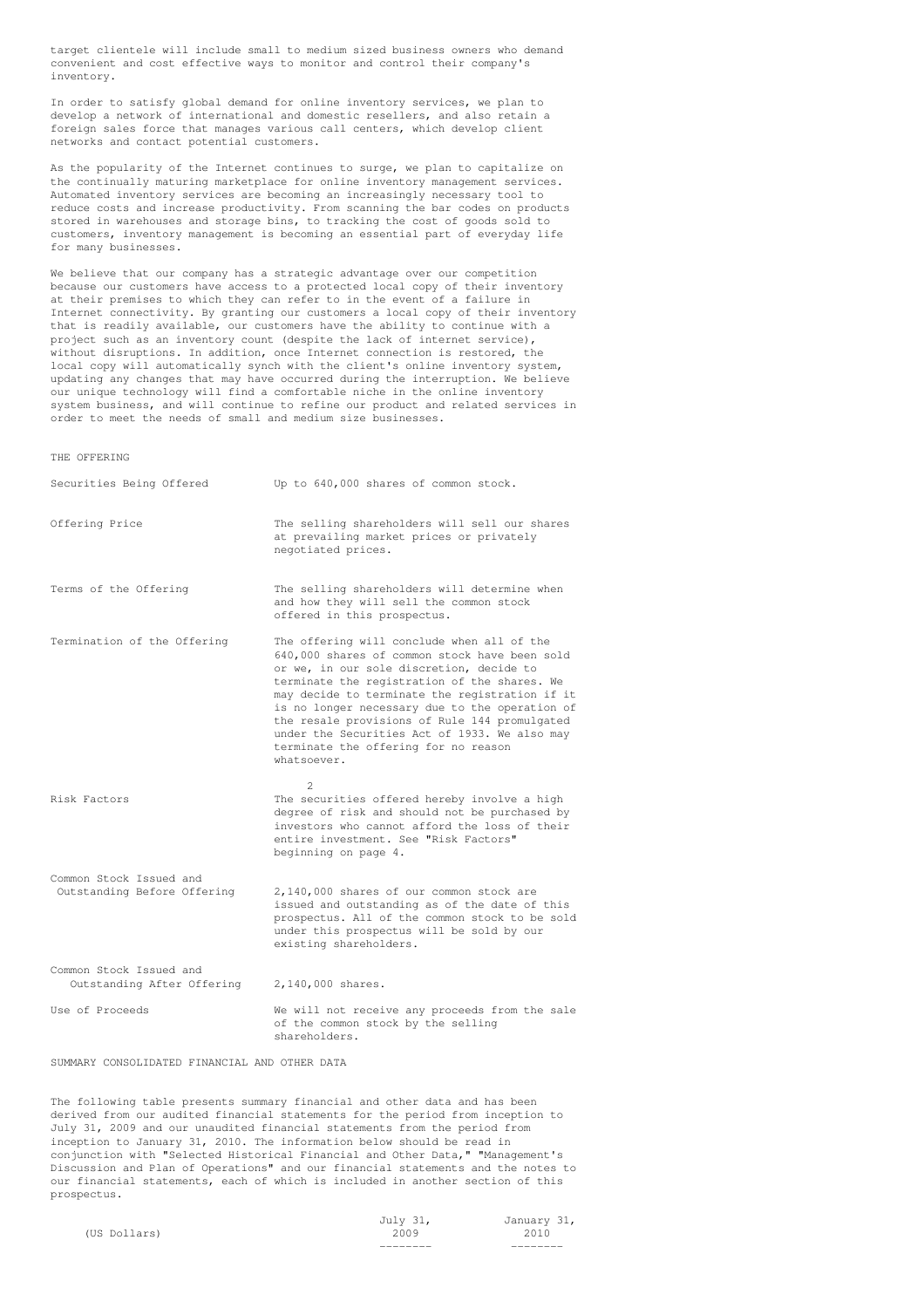target clientele will include small to medium sized business owners who demand convenient and cost effective ways to monitor and control their company's inventory.

In order to satisfy global demand for online inventory services, we plan to develop a network of international and domestic resellers, and also retain a foreign sales force that manages various call centers, which develop client networks and contact potential customers.

As the popularity of the Internet continues to surge, we plan to capitalize on the continually maturing marketplace for online inventory management services. Automated inventory services are becoming an increasingly necessary tool to reduce costs and increase productivity. From scanning the bar codes on products stored in warehouses and storage bins, to tracking the cost of goods sold to customers, inventory management is becoming an essential part of everyday life for many businesses.

We believe that our company has a strategic advantage over our competition because our customers have access to a protected local copy of their inventory at their premises to which they can refer to in the event of a failure in Internet connectivity. By granting our customers a local copy of their inventory that is readily available, our customers have the ability to continue with a project such as an inventory count (despite the lack of internet service), without disruptions. In addition, once Internet connection is restored, the local copy will automatically synch with the client's online inventory system, updating any changes that may have occurred during the interruption. We believe our unique technology will find a comfortable niche in the online inventory system business, and will continue to refine our product and related services in order to meet the needs of small and medium size businesses.

THE OFFERING

| Securities Being Offered                               | Up to 640,000 shares of common stock.                                                                                                                                                                                                                                                                                                                                                                                                                |
|--------------------------------------------------------|------------------------------------------------------------------------------------------------------------------------------------------------------------------------------------------------------------------------------------------------------------------------------------------------------------------------------------------------------------------------------------------------------------------------------------------------------|
| Offering Price                                         | The selling shareholders will sell our shares<br>at prevailing market prices or privately<br>negotiated prices.                                                                                                                                                                                                                                                                                                                                      |
| Terms of the Offering                                  | The selling shareholders will determine when<br>and how they will sell the common stock<br>offered in this prospectus.                                                                                                                                                                                                                                                                                                                               |
| Termination of the Offering                            | The offering will conclude when all of the<br>640,000 shares of common stock have been sold<br>or we, in our sole discretion, decide to<br>terminate the registration of the shares. We<br>may decide to terminate the registration if it<br>is no longer necessary due to the operation of<br>the resale provisions of Rule 144 promulgated<br>under the Securities Act of 1933. We also may<br>terminate the offering for no reason<br>whatsoever. |
| Risk Factors                                           | $\mathfrak{D}$<br>The securities offered hereby involve a high<br>degree of risk and should not be purchased by<br>investors who cannot afford the loss of their<br>entire investment. See "Risk Factors"<br>beginning on page 4.                                                                                                                                                                                                                    |
| Common Stock Issued and<br>Outstanding Before Offering | 2,140,000 shares of our common stock are<br>issued and outstanding as of the date of this<br>prospectus. All of the common stock to be sold<br>under this prospectus will be sold by our<br>existing shareholders.                                                                                                                                                                                                                                   |
| Common Stock Issued and<br>Outstanding After Offering  | 2,140,000 shares.                                                                                                                                                                                                                                                                                                                                                                                                                                    |
| Use of Proceeds                                        | We will not receive any proceeds from the sale<br>of the common stock by the selling<br>shareholders.                                                                                                                                                                                                                                                                                                                                                |

SUMMARY CONSOLIDATED FINANCIAL AND OTHER DATA

The following table presents summary financial and other data and has been derived from our audited financial statements for the period from inception to July 31, 2009 and our unaudited financial statements from the period from inception to January 31, 2010. The information below should be read in conjunction with "Selected Historical Financial and Other Data," "Management's Discussion and Plan of Operations" and our financial statements and the notes to our financial statements, each of which is included in another section of this prospectus.

|              | $UULY - JLI$ | valluat y |
|--------------|--------------|-----------|
| (US Dollars) | 2009         | 2010      |

July 31, January 31, -------- --------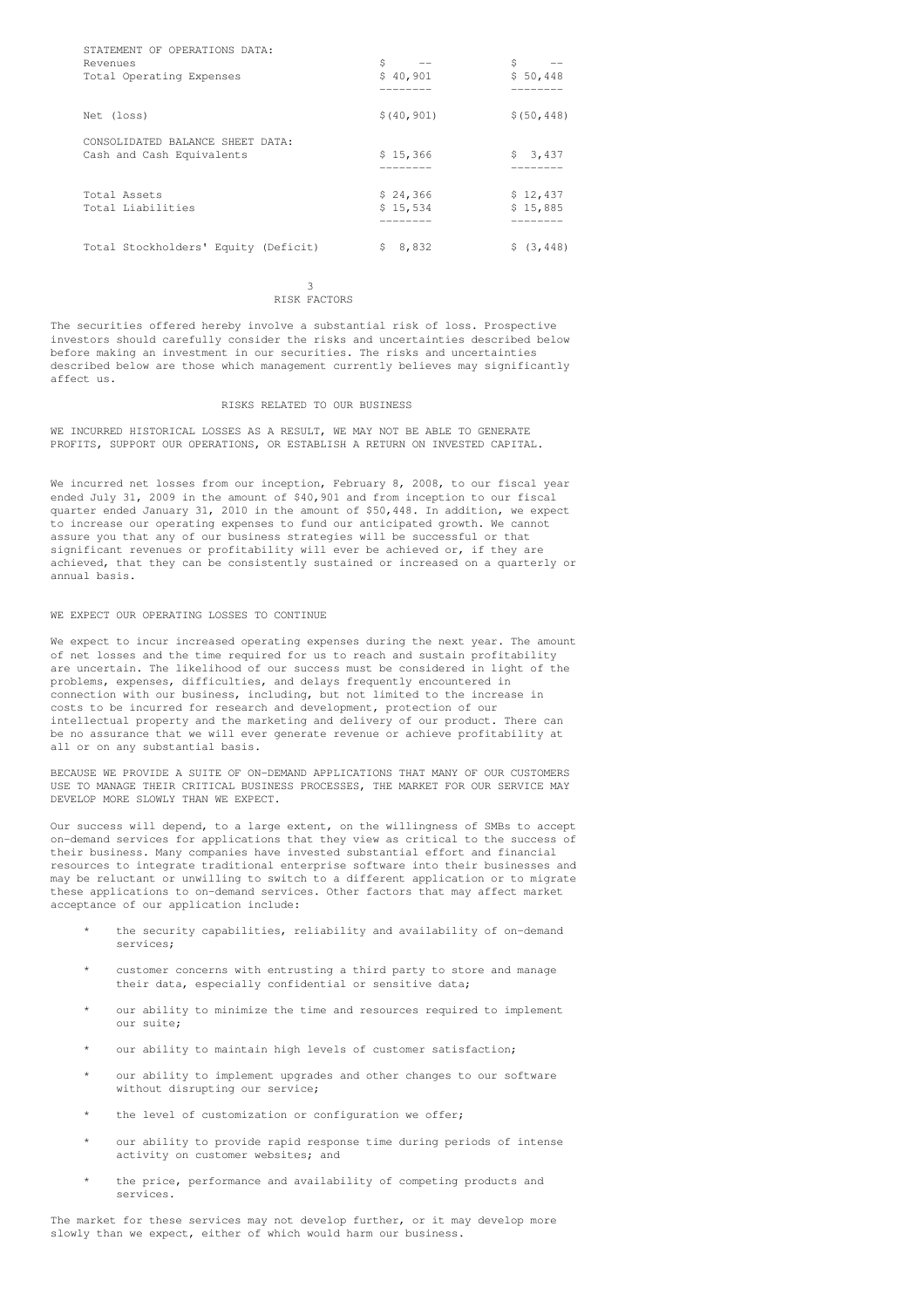| STATEMENT OF OPERATIONS DATA:        |                         |              |
|--------------------------------------|-------------------------|--------------|
| Revenues                             | \$<br>$\qquad \qquad -$ | \$           |
| Total Operating Expenses             | \$40,901                | \$50,448     |
|                                      |                         |              |
| Net (loss)                           | \$(40, 901)             | \$ (50, 448) |
| CONSOLIDATED BALANCE SHEET DATA:     |                         |              |
| Cash and Cash Equivalents            | \$15,366                | \$3,437      |
|                                      |                         |              |
| Total Assets                         | \$24,366                | \$12,437     |
| Total Liabilities                    | \$15,534                | \$15,885     |
|                                      |                         |              |
| Total Stockholders' Equity (Deficit) | S.<br>8,832             | \$(3, 448)   |

#### 3 RISK FACTORS

The securities offered hereby involve a substantial risk of loss. Prospective investors should carefully consider the risks and uncertainties described below before making an investment in our securities. The risks and uncertainties described below are those which management currently believes may significantly affect us.

## RISKS RELATED TO OUR BUSINESS

WE INCURRED HISTORICAL LOSSES AS A RESULT, WE MAY NOT BE ABLE TO GENERATE PROFITS, SUPPORT OUR OPERATIONS, OR ESTABLISH A RETURN ON INVESTED CAPITAL.

We incurred net losses from our inception, February 8, 2008, to our fiscal year ended July 31, 2009 in the amount of \$40,901 and from inception to our fiscal quarter ended January 31, 2010 in the amount of \$50,448. In addition, we expect to increase our operating expenses to fund our anticipated growth. We cannot assure you that any of our business strategies will be successful or that significant revenues or profitability will ever be achieved or, if they are achieved, that they can be consistently sustained or increased on a quarterly or annual basis.

## WE EXPECT OUR OPERATING LOSSES TO CONTINUE

We expect to incur increased operating expenses during the next year. The amount of net losses and the time required for us to reach and sustain profitability are uncertain. The likelihood of our success must be considered in light of the problems, expenses, difficulties, and delays frequently encountered in connection with our business, including, but not limited to the increase in costs to be incurred for research and development, protection of our intellectual property and the marketing and delivery of our product. There can be no assurance that we will ever generate revenue or achieve profitability at all or on any substantial basis.

BECAUSE WE PROVIDE A SUITE OF ON-DEMAND APPLICATIONS THAT MANY OF OUR CUSTOMERS USE TO MANAGE THEIR CRITICAL BUSINESS PROCESSES, THE MARKET FOR OUR SERVICE MAY DEVELOP MORE SLOWLY THAN WE EXPECT.

Our success will depend, to a large extent, on the willingness of SMBs to accept on-demand services for applications that they view as critical to the success of their business. Many companies have invested substantial effort and financial resources to integrate traditional enterprise software into their businesses and may be reluctant or unwilling to switch to a different application or to migrate these applications to on-demand services. Other factors that may affect market acceptance of our application include:

- the security capabilities, reliability and availability of on-demand services;
- customer concerns with entrusting a third party to store and manage their data, especially confidential or sensitive data;
- our ability to minimize the time and resources required to implement our suite;
- our ability to maintain high levels of customer satisfaction;
- our ability to implement upgrades and other changes to our software without disrupting our service;
- the level of customization or configuration we offer;
- our ability to provide rapid response time during periods of intense activity on customer websites; and
- \* the price, performance and availability of competing products and services.

The market for these services may not develop further, or it may develop more slowly than we expect, either of which would harm our business.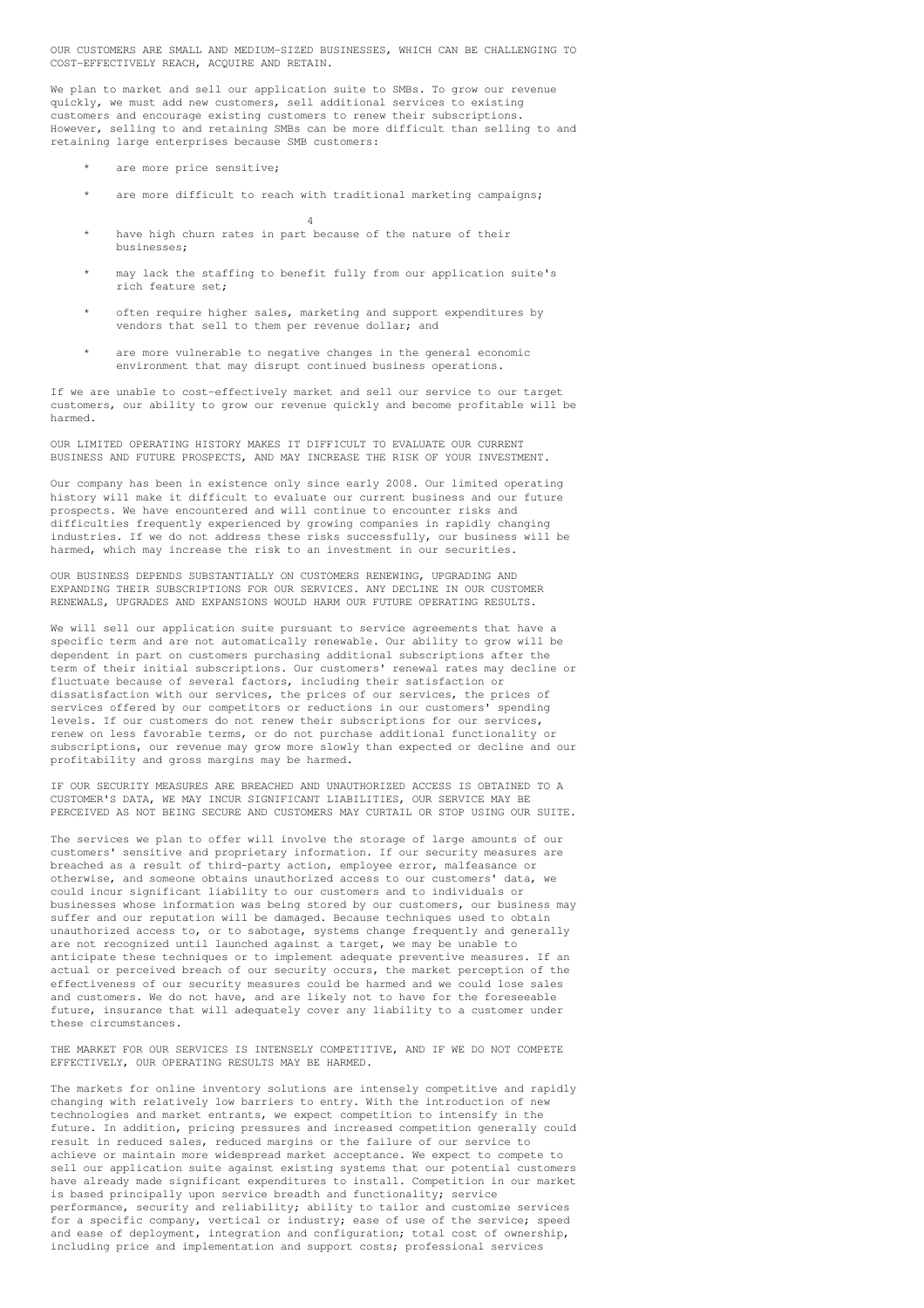OUR CUSTOMERS ARE SMALL AND MEDIUM-SIZED BUSINESSES, WHICH CAN BE CHALLENGING TO COST-EFFECTIVELY REACH, ACQUIRE AND RETAIN.

We plan to market and sell our application suite to SMBs. To grow our revenue quickly, we must add new customers, sell additional services to existing customers and encourage existing customers to renew their subscriptions. However, selling to and retaining SMBs can be more difficult than selling to and retaining large enterprises because SMB customers:

- are more price sensitive:
- are more difficult to reach with traditional marketing campaigns; 4
- have high churn rates in part because of the nature of their businesses;
- may lack the staffing to benefit fully from our application suite's rich feature set;
- often require higher sales, marketing and support expenditures by vendors that sell to them per revenue dollar; and
- are more vulnerable to negative changes in the general economic environment that may disrupt continued business operations.

If we are unable to cost-effectively market and sell our service to our target customers, our ability to grow our revenue quickly and become profitable will be harmed.

OUR LIMITED OPERATING HISTORY MAKES IT DIFFICULT TO EVALUATE OUR CURRENT BUSINESS AND FUTURE PROSPECTS, AND MAY INCREASE THE RISK OF YOUR INVESTMENT.

Our company has been in existence only since early 2008. Our limited operating history will make it difficult to evaluate our current business and our future prospects. We have encountered and will continue to encounter risks and difficulties frequently experienced by growing companies in rapidly changing industries. If we do not address these risks successfully, our business will be harmed, which may increase the risk to an investment in our securities.

OUR BUSINESS DEPENDS SUBSTANTIALLY ON CUSTOMERS RENEWING, UPGRADING AND EXPANDING THEIR SUBSCRIPTIONS FOR OUR SERVICES. ANY DECLINE IN OUR CUSTOMER RENEWALS, UPGRADES AND EXPANSIONS WOULD HARM OUR FUTURE OPERATING RESULTS.

We will sell our application suite pursuant to service agreements that have a specific term and are not automatically renewable. Our ability to grow will be dependent in part on customers purchasing additional subscriptions after the term of their initial subscriptions. Our customers' renewal rates may decline or fluctuate because of several factors, including their satisfaction or dissatisfaction with our services, the prices of our services, the prices of services offered by our competitors or reductions in our customers' spending levels. If our customers do not renew their subscriptions for our services, renew on less favorable terms, or do not purchase additional functionality or subscriptions, our revenue may grow more slowly than expected or decline and our profitability and gross margins may be harmed.

IF OUR SECURITY MEASURES ARE BREACHED AND UNAUTHORIZED ACCESS IS OBTAINED TO A CUSTOMER'S DATA, WE MAY INCUR SIGNIFICANT LIABILITIES, OUR SERVICE MAY BE PERCEIVED AS NOT BEING SECURE AND CUSTOMERS MAY CURTAIL OR STOP USING OUR SUITE.

The services we plan to offer will involve the storage of large amounts of our customers' sensitive and proprietary information. If our security measures are breached as a result of third-party action, employee error, malfeasance or otherwise, and someone obtains unauthorized access to our customers' data, we could incur significant liability to our customers and to individuals or businesses whose information was being stored by our customers, our business may suffer and our reputation will be damaged. Because techniques used to obtain unauthorized access to, or to sabotage, systems change frequently and generally are not recognized until launched against a target, we may be unable to anticipate these techniques or to implement adequate preventive measures. If an actual or perceived breach of our security occurs, the market perception of the effectiveness of our security measures could be harmed and we could lose sales and customers. We do not have, and are likely not to have for the foreseeable future, insurance that will adequately cover any liability to a customer under these circumstances.

THE MARKET FOR OUR SERVICES IS INTENSELY COMPETITIVE, AND IF WE DO NOT COMPETE EFFECTIVELY, OUR OPERATING RESULTS MAY BE HARMED.

The markets for online inventory solutions are intensely competitive and rapidly changing with relatively low barriers to entry. With the introduction of new technologies and market entrants, we expect competition to intensify in the future. In addition, pricing pressures and increased competition generally could result in reduced sales, reduced margins or the failure of our service to achieve or maintain more widespread market acceptance. We expect to compete to sell our application suite against existing systems that our potential customers have already made significant expenditures to install. Competition in our market is based principally upon service breadth and functionality; service performance, security and reliability; ability to tailor and customize services for a specific company, vertical or industry; ease of use of the service; speed and ease of deployment, integration and configuration; total cost of ownership, including price and implementation and support costs; professional services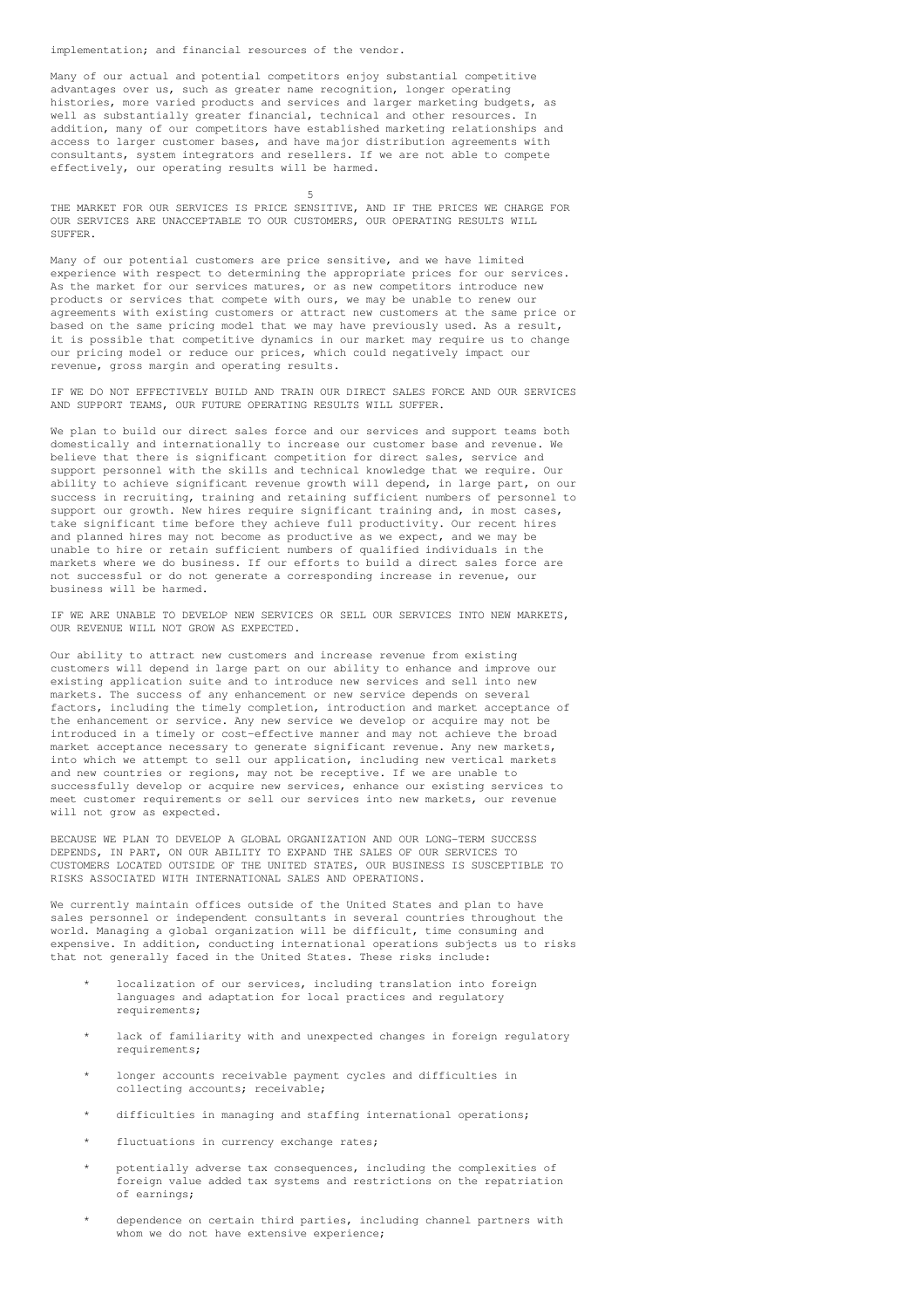implementation; and financial resources of the vendor.

Many of our actual and potential competitors enjoy substantial competitive advantages over us, such as greater name recognition, longer operating histories, more varied products and services and larger marketing budgets, as well as substantially greater financial, technical and other resources. In addition, many of our competitors have established marketing relationships and access to larger customer bases, and have major distribution agreements with consultants, system integrators and resellers. If we are not able to compete effectively, our operating results will be harmed.

5 THE MARKET FOR OUR SERVICES IS PRICE SENSITIVE, AND IF THE PRICES WE CHARGE FOR OUR SERVICES ARE UNACCEPTABLE TO OUR CUSTOMERS, OUR OPERATING RESULTS WILL SUFFER.

Many of our potential customers are price sensitive, and we have limited experience with respect to determining the appropriate prices for our services. As the market for our services matures, or as new competitors introduce new products or services that compete with ours, we may be unable to renew our agreements with existing customers or attract new customers at the same price or based on the same pricing model that we may have previously used. As a result, it is possible that competitive dynamics in our market may require us to change our pricing model or reduce our prices, which could negatively impact our revenue, gross margin and operating results.

IF WE DO NOT EFFECTIVELY BUILD AND TRAIN OUR DIRECT SALES FORCE AND OUR SERVICES AND SUPPORT TEAMS, OUR FUTURE OPERATING RESULTS WILL SUFFER.

We plan to build our direct sales force and our services and support teams both domestically and internationally to increase our customer base and revenue. We believe that there is significant competition for direct sales, service and support personnel with the skills and technical knowledge that we require. Our ability to achieve significant revenue growth will depend, in large part, on our success in recruiting, training and retaining sufficient numbers of personnel to support our growth. New hires require significant training and, in most cases, take significant time before they achieve full productivity. Our recent hires and planned hires may not become as productive as we expect, and we may be unable to hire or retain sufficient numbers of qualified individuals in the markets where we do business. If our efforts to build a direct sales force are not successful or do not generate a corresponding increase in revenue, our business will be harmed.

IF WE ARE UNABLE TO DEVELOP NEW SERVICES OR SELL OUR SERVICES INTO NEW MARKETS, OUR REVENUE WILL NOT GROW AS EXPECTED.

Our ability to attract new customers and increase revenue from existing customers will depend in large part on our ability to enhance and improve our existing application suite and to introduce new services and sell into new markets. The success of any enhancement or new service depends on several factors, including the timely completion, introduction and market acceptance of the enhancement or service. Any new service we develop or acquire may not be introduced in a timely or cost-effective manner and may not achieve the broad market acceptance necessary to generate significant revenue. Any new markets, into which we attempt to sell our application, including new vertical markets and new countries or regions, may not be receptive. If we are unable to successfully develop or acquire new services, enhance our existing services to meet customer requirements or sell our services into new markets, our revenue will not grow as expected.

BECAUSE WE PLAN TO DEVELOP A GLOBAL ORGANIZATION AND OUR LONG-TERM SUCCESS DEPENDS, IN PART, ON OUR ABILITY TO EXPAND THE SALES OF OUR SERVICES TO CUSTOMERS LOCATED OUTSIDE OF THE UNITED STATES, OUR BUSINESS IS SUSCEPTIBLE TO RISKS ASSOCIATED WITH INTERNATIONAL SALES AND OPERATIONS.

We currently maintain offices outside of the United States and plan to have sales personnel or independent consultants in several countries throughout the world. Managing a global organization will be difficult, time consuming and expensive. In addition, conducting international operations subjects us to risks that not generally faced in the United States. These risks include:

- localization of our services, including translation into foreign languages and adaptation for local practices and regulatory requirements;
- lack of familiarity with and unexpected changes in foreign regulatory requirements;
- longer accounts receivable payment cycles and difficulties in collecting accounts; receivable;
- difficulties in managing and staffing international operations;
- fluctuations in currency exchange rates;
- potentially adverse tax consequences, including the complexities of foreign value added tax systems and restrictions on the repatriation of earnings;
- dependence on certain third parties, including channel partners with whom we do not have extensive experience;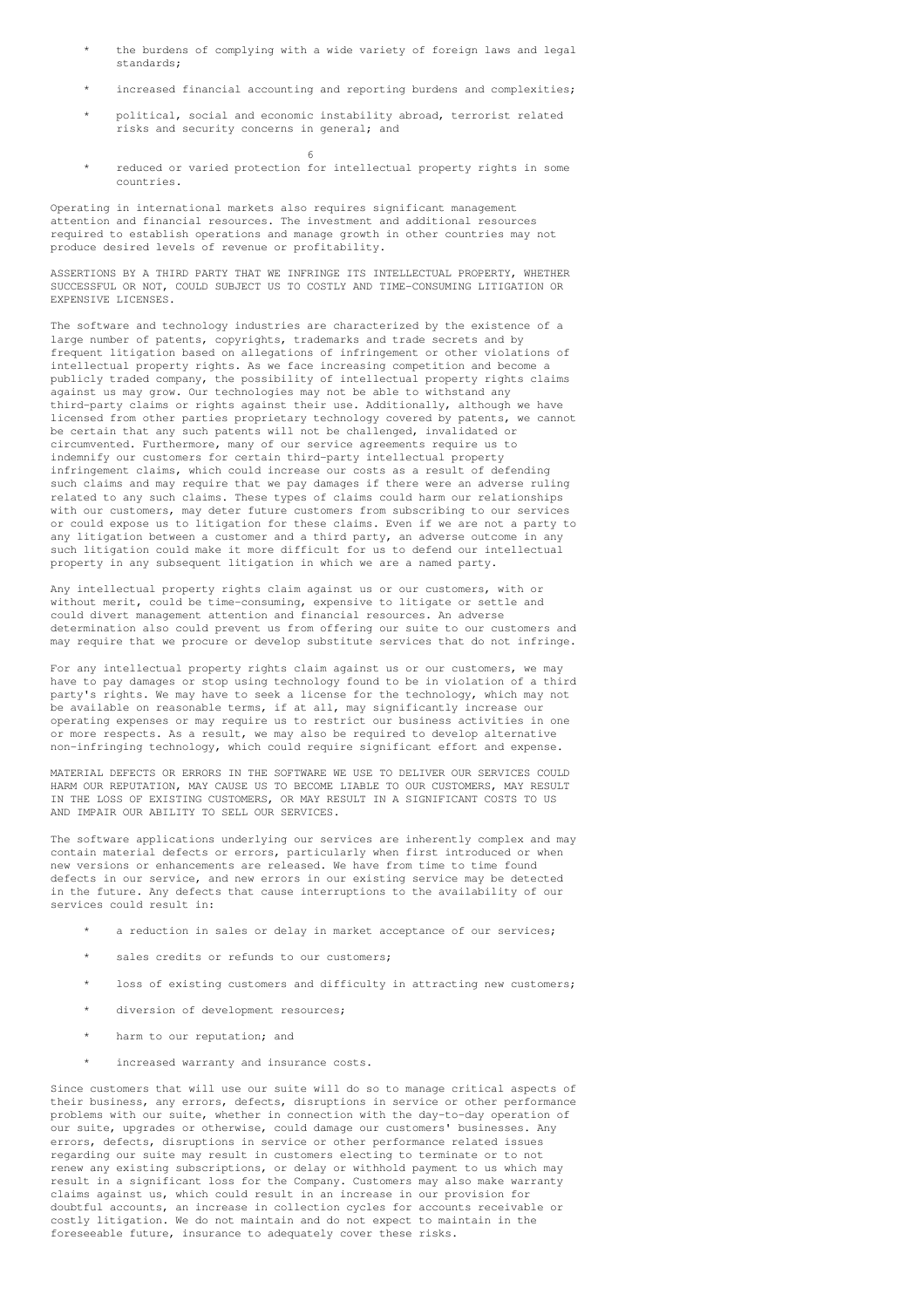- the burdens of complying with a wide variety of foreign laws and legal standards;
- increased financial accounting and reporting burdens and complexities;
- \* political, social and economic instability abroad, terrorist related risks and security concerns in general; and
- reduced or varied protection for intellectual property rights in some countries.

Operating in international markets also requires significant management attention and financial resources. The investment and additional resources required to establish operations and manage growth in other countries may not produce desired levels of revenue or profitability.

6

ASSERTIONS BY A THIRD PARTY THAT WE INFRINGE ITS INTELLECTUAL PROPERTY, WHETHER SUCCESSFUL OR NOT, COULD SUBJECT US TO COSTLY AND TIME-CONSUMING LITIGATION OR EXPENSIVE LICENSES.

The software and technology industries are characterized by the existence of a large number of patents, copyrights, trademarks and trade secrets and by frequent litigation based on allegations of infringement or other violations of intellectual property rights. As we face increasing competition and become a publicly traded company, the possibility of intellectual property rights claims against us may grow. Our technologies may not be able to withstand any third-party claims or rights against their use. Additionally, although we have licensed from other parties proprietary technology covered by patents, we cannot be certain that any such patents will not be challenged, invalidated or circumvented. Furthermore, many of our service agreements require us to indemnify our customers for certain third-party intellectual property infringement claims, which could increase our costs as a result of defending such claims and may require that we pay damages if there were an adverse ruling related to any such claims. These types of claims could harm our relationships with our customers, may deter future customers from subscribing to our services or could expose us to litigation for these claims. Even if we are not a party to any litigation between a customer and a third party, an adverse outcome in any such litigation could make it more difficult for us to defend our intellectual property in any subsequent litigation in which we are a named party.

Any intellectual property rights claim against us or our customers, with or without merit, could be time-consuming, expensive to litigate or settle and could divert management attention and financial resources. An adverse determination also could prevent us from offering our suite to our customers and may require that we procure or develop substitute services that do not infringe.

For any intellectual property rights claim against us or our customers, we may have to pay damages or stop using technology found to be in violation of a third party's rights. We may have to seek a license for the technology, which may not be available on reasonable terms, if at all, may significantly increase our operating expenses or may require us to restrict our business activities in one or more respects. As a result, we may also be required to develop alternative non-infringing technology, which could require significant effort and expense.

MATERIAL DEFECTS OR ERRORS IN THE SOFTWARE WE USE TO DELIVER OUR SERVICES COULD HARM OUR REPUTATION, MAY CAUSE US TO BECOME LIABLE TO OUR CUSTOMERS, MAY RESULT IN THE LOSS OF EXISTING CUSTOMERS, OR MAY RESULT IN A SIGNIFICANT COSTS TO US AND IMPAIR OUR ABILITY TO SELL OUR SERVICES.

The software applications underlying our services are inherently complex and may contain material defects or errors, particularly when first introduced or when new versions or enhancements are released. We have from time to time found defects in our service, and new errors in our existing service may be detected in the future. Any defects that cause interruptions to the availability of our services could result in:

- a reduction in sales or delay in market acceptance of our services;
- sales credits or refunds to our customers:
- loss of existing customers and difficulty in attracting new customers;
- diversion of development resources;
- harm to our reputation; and
- increased warranty and insurance costs.

Since customers that will use our suite will do so to manage critical aspects of their business, any errors, defects, disruptions in service or other performance problems with our suite, whether in connection with the day-to-day operation of our suite, upgrades or otherwise, could damage our customers' businesses. Any errors, defects, disruptions in service or other performance related issues regarding our suite may result in customers electing to terminate or to not renew any existing subscriptions, or delay or withhold payment to us which may result in a significant loss for the Company. Customers may also make warranty claims against us, which could result in an increase in our provision for doubtful accounts, an increase in collection cycles for accounts receivable or costly litigation. We do not maintain and do not expect to maintain in the foreseeable future, insurance to adequately cover these risks.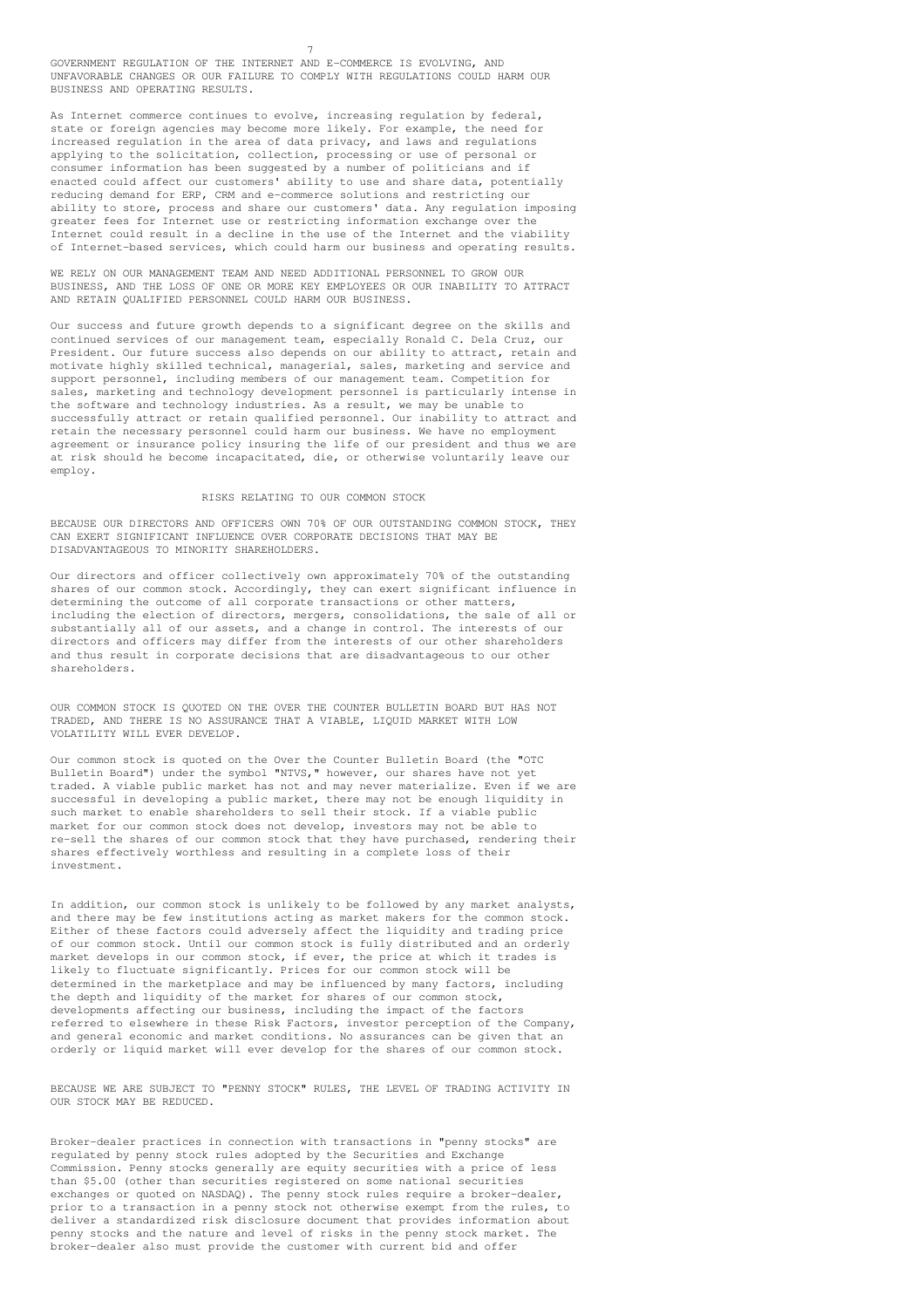GOVERNMENT REGULATION OF THE INTERNET AND E-COMMERCE IS EVOLVING, AND UNFAVORABLE CHANGES OR OUR FAILURE TO COMPLY WITH REGULATIONS COULD HARM OUR BUSINESS AND OPERATING RESULTS.

7

As Internet commerce continues to evolve, increasing regulation by federal, state or foreign agencies may become more likely. For example, the need for increased regulation in the area of data privacy, and laws and regulations applying to the solicitation, collection, processing or use of personal or consumer information has been suggested by a number of politicians and if  $e$  consumer information has seen suggested  $s<sub>f</sub>$  a namber of portionance and  $r<sub>f</sub>$  and  $r<sub>f</sub>$  and  $r<sub>f</sub>$  and  $r<sub>f</sub>$  and  $r<sub>f</sub>$  and  $r<sub>f</sub>$  and  $r<sub>f</sub>$  and  $r<sub>f</sub>$  and  $r<sub>f</sub>$  and  $r<sub>f</sub>$  and reducing demand for ERP, CRM and e-commerce solutions and restricting our ability to store, process and share our customers' data. Any regulation imposing greater fees for Internet use or restricting information exchange over the Internet could result in a decline in the use of the Internet and the viability of Internet-based services, which could harm our business and operating results.

WE RELY ON OUR MANAGEMENT TEAM AND NEED ADDITIONAL PERSONNEL TO GROW OUR BUSINESS, AND THE LOSS OF ONE OR MORE KEY EMPLOYEES OR OUR INABILITY TO ATTRACT AND RETAIN QUALIFIED PERSONNEL COULD HARM OUR BUSINESS.

Our success and future growth depends to a significant degree on the skills and continued services of our management team, especially Ronald C. Dela Cruz, our President. Our future success also depends on our ability to attract, retain and motivate highly skilled technical, managerial, sales, marketing and service and support personnel, including members of our management team. Competition for sales, marketing and technology development personnel is particularly intense in the software and technology industries. As a result, we may be unable to successfully attract or retain qualified personnel. Our inability to attract and retain the necessary personnel could harm our business. We have no employment agreement or insurance policy insuring the life of our president and thus we are at risk should he become incapacitated, die, or otherwise voluntarily leave our employ.

#### RISKS RELATING TO OUR COMMON STOCK

BECAUSE OUR DIRECTORS AND OFFICERS OWN 70% OF OUR OUTSTANDING COMMON STOCK, THEY CAN EXERT SIGNIFICANT INFLUENCE OVER CORPORATE DECISIONS THAT MAY BE DISADVANTAGEOUS TO MINORITY SHAREHOLDERS.

Our directors and officer collectively own approximately 70% of the outstanding shares of our common stock. Accordingly, they can exert significant influence in determining the outcome of all corporate transactions or other matters, including the election of directors, mergers, consolidations, the sale of all or substantially all of our assets, and a change in control. The interests of our directors and officers may differ from the interests of our other shareholders and thus result in corporate decisions that are disadvantageous to our other shareholders.

OUR COMMON STOCK IS QUOTED ON THE OVER THE COUNTER BULLETIN BOARD BUT HAS NOT TRADED, AND THERE IS NO ASSURANCE THAT A VIABLE, LIQUID MARKET WITH LOW VOLATILITY WILL EVER DEVELOP.

Our common stock is quoted on the Over the Counter Bulletin Board (the "OTC Bulletin Board") under the symbol "NTVS," however, our shares have not yet traded. A viable public market has not and may never materialize. Even if we are  $s$ uccessful in developing a public market, there may not be enough liquidity in such market to enable shareholders to sell their stock. If a viable public market for our common stock does not develop, investors may not be able to re-sell the shares of our common stock that they have purchased, rendering their shares effectively worthless and resulting in a complete loss of their investment.

In addition, our common stock is unlikely to be followed by any market analysts, and there may be few institutions acting as market makers for the common stock. Either of these factors could adversely affect the liquidity and trading price of our common stock. Until our common stock is fully distributed and an orderly market develops in our common stock, if ever, the price at which it trades is likely to fluctuate significantly. Prices for our common stock will be determined in the marketplace and may be influenced by many factors, including the depth and liquidity of the market for shares of our common stock, developments affecting our business, including the impact of the factors referred to elsewhere in these Risk Factors, investor perception of the Company, and general economic and market conditions. No assurances can be given that an orderly or liquid market will ever develop for the shares of our common stock.

BECAUSE WE ARE SUBJECT TO "PENNY STOCK" RULES, THE LEVEL OF TRADING ACTIVITY IN OUR STOCK MAY BE REDUCED.

Broker-dealer practices in connection with transactions in "penny stocks" are regulated by penny stock rules adopted by the Securities and Exchange Commission. Penny stocks generally are equity securities with a price of less than \$5.00 (other than securities registered on some national securities exchanges or quoted on NASDAQ). The penny stock rules require a broker-dealer, prior to a transaction in a penny stock not otherwise exempt from the rules, to deliver a standardized risk disclosure document that provides information about penny stocks and the nature and level of risks in the penny stock market. The broker-dealer also must provide the customer with current bid and offer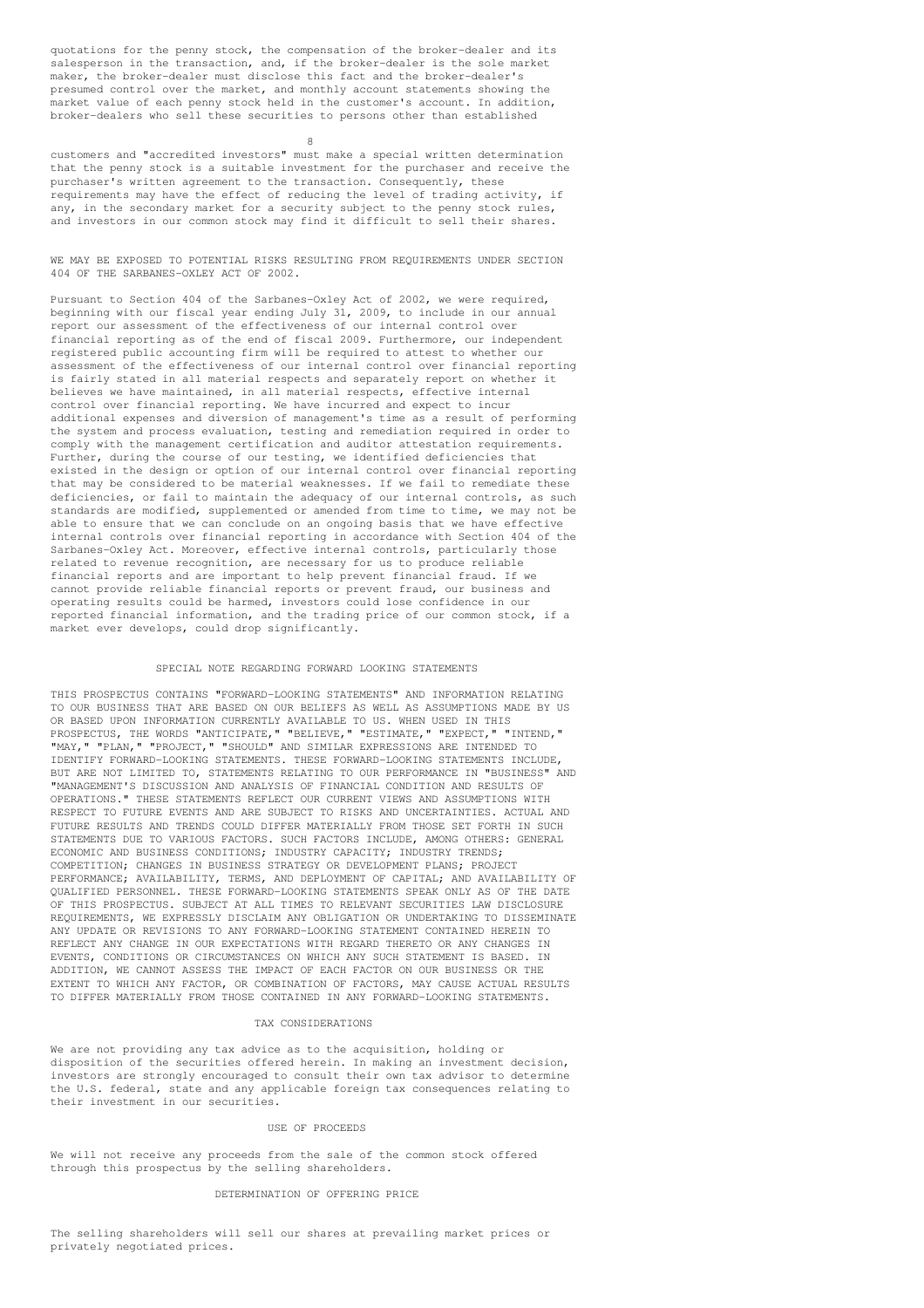quotations for the penny stock, the compensation of the broker-dealer and its salesperson in the transaction, and, if the broker-dealer is the sole market maker, the broker-dealer must disclose this fact and the broker-dealer's presumed control over the market, and monthly account statements showing the market value of each penny stock held in the customer's account. In addition, broker-dealers who sell these securities to persons other than established

8

customers and "accredited investors" must make a special written determination that the penny stock is a suitable investment for the purchaser and receive the purchaser's written agreement to the transaction. Consequently, these requirements may have the effect of reducing the level of trading activity, if any, in the secondary market for a security subject to the penny stock rules, and investors in our common stock may find it difficult to sell their shares.

WE MAY BE EXPOSED TO POTENTIAL RISKS RESULTING FROM REQUIREMENTS UNDER SECTION 404 OF THE SARBANES-OXLEY ACT OF 2002.

Pursuant to Section 404 of the Sarbanes-Oxley Act of 2002, we were required, beginning with our fiscal year ending July 31, 2009, to include in our annual report our assessment of the effectiveness of our internal control over financial reporting as of the end of fiscal 2009. Furthermore, our independent registered public accounting firm will be required to attest to whether our assessment of the effectiveness of our internal control over financial reporting is fairly stated in all material respects and separately report on whether it believes we have maintained, in all material respects, effective internal control over financial reporting. We have incurred and expect to incur additional expenses and diversion of management's time as a result of performing the system and process evaluation, testing and remediation required in order to comply with the management certification and auditor attestation requirements. Further, during the course of our testing, we identified deficiencies that existed in the design or option of our internal control over financial reporting that may be considered to be material weaknesses. If we fail to remediate these deficiencies, or fail to maintain the adequacy of our internal controls, as such standards are modified, supplemented or amended from time to time, we may not be able to ensure that we can conclude on an ongoing basis that we have effective internal controls over financial reporting in accordance with Section 404 of the Sarbanes-Oxley Act. Moreover, effective internal controls, particularly those related to revenue recognition, are necessary for us to produce reliable financial reports and are important to help prevent financial fraud. If we cannot provide reliable financial reports or prevent fraud, our business and operating results could be harmed, investors could lose confidence in our reported financial information, and the trading price of our common stock, if a market ever develops, could drop significantly.

# SPECIAL NOTE REGARDING FORWARD LOOKING STATEMENTS

THIS PROSPECTUS CONTAINS "FORWARD-LOOKING STATEMENTS" AND INFORMATION RELATING TO OUR BUSINESS THAT ARE BASED ON OUR BELIEFS AS WELL AS ASSUMPTIONS MADE BY US OR BASED UPON INFORMATION CURRENTLY AVAILABLE TO US. WHEN USED IN THIS<br>PROSPECTUS THE WORDS "ANTICIPATE " "RELIEVE " "ESTIMATE " "EXPECT " "INTEND PROSPECTUS, THE WORDS "ANTICIPATE," "BELIEVE," "ESTIMATE," "EXPECT," "MAY," "PLAN," "PROJECT," "SHOULD" AND SIMILAR EXPRESSIONS ARE INTENDED TO IDENTIFY FORWARD-LOOKING STATEMENTS. THESE FORWARD-LOOKING STATEMENTS INCLUDE, BUT ARE NOT LIMITED TO, STATEMENTS RELATING TO OUR PERFORMANCE IN "BUSINESS" AND "MANAGEMENT'S DISCUSSION AND ANALYSIS OF FINANCIAL CONDITION AND RESULTS OF OPERATIONS." THESE STATEMENTS REFLECT OUR CURRENT VIEWS AND ASSUMPTIONS WITH RESPECT TO FUTURE EVENTS AND ARE SUBJECT TO RISKS AND UNCERTAINTIES. ACTUAL AND FUTURE RESULTS AND TRENDS COULD DIFFER MATERIALLY FROM THOSE SET FORTH IN SUCH STATEMENTS DUE TO VARIOUS FACTORS. SUCH FACTORS INCLUDE, AMONG OTHERS: GENERAL ECONOMIC AND BUSINESS CONDITIONS; INDUSTRY CAPACITY; INDUSTRY TRENDS; COMPETITION; CHANGES IN BUSINESS STRATEGY OR DEVELOPMENT PLANS; PROJECT PERFORMANCE; AVAILABILITY, TERMS, AND DEPLOYMENT OF CAPITAL; AND AVAILABILITY OF QUALIFIED PERSONNEL. THESE FORWARD-LOOKING STATEMENTS SPEAK ONLY AS OF THE DATE OF THIS PROSPECTUS. SUBJECT AT ALL TIMES TO RELEVANT SECURITIES LAW DISCLOSURE REQUIREMENTS, WE EXPRESSLY DISCLAIM ANY OBLIGATION OR UNDERTAKING TO DISSEMINATE ANY UPDATE OR REVISIONS TO ANY FORWARD-LOOKING STATEMENT CONTAINED HEREIN TO REFLECT ANY CHANGE IN OUR EXPECTATIONS WITH REGARD THERETO OR ANY CHANGES IN EVENTS, CONDITIONS OR CIRCUMSTANCES ON WHICH ANY SUCH STATEMENT IS BASED. IN ADDITION, WE CANNOT ASSESS THE IMPACT OF EACH FACTOR ON OUR BUSINESS OR THE EXTENT TO WHICH ANY FACTOR, OR COMBINATION OF FACTORS, MAY CAUSE ACTUAL RESULTS TO DIFFER MATERIALLY FROM THOSE CONTAINED IN ANY FORWARD-LOOKING STATEMENTS.

#### TAX CONSIDERATIONS

We are not providing any tax advice as to the acquisition, holding or disposition of the securities offered herein. In making an investment decision, investors are strongly encouraged to consult their own tax advisor to determine the U.S. federal, state and any applicable foreign tax consequences relating to their investment in our securities.

# USE OF PROCEEDS

We will not receive any proceeds from the sale of the common stock offered through this prospectus by the selling shareholders.

## DETERMINATION OF OFFERING PRICE

The selling shareholders will sell our shares at prevailing market prices or privately negotiated prices.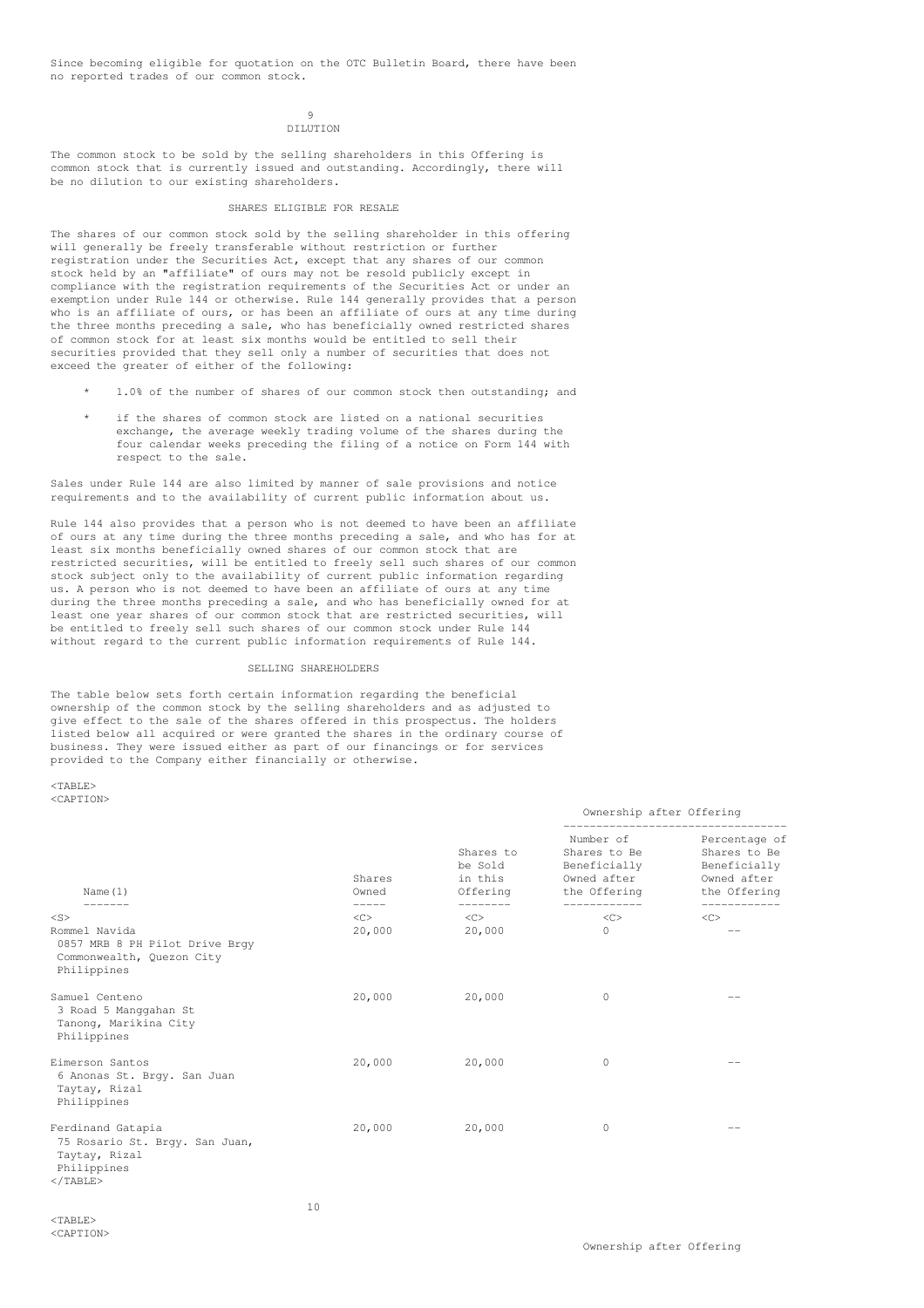Since becoming eligible for quotation on the OTC Bulletin Board, there have been no reported trades of our common stock.

## $\alpha$ DILUTION

The common stock to be sold by the selling shareholders in this Offering is common stock that is currently issued and outstanding. Accordingly, there will be no dilution to our existing shareholders.

#### SHARES ELIGIBLE FOR RESALE

The shares of our common stock sold by the selling shareholder in this offering will generally be freely transferable without restriction or further registration under the Securities Act, except that any shares of our common stock held by an "affiliate" of ours may not be resold publicly except in compliance with the registration requirements of the Securities Act or under an exemption under Rule 144 or otherwise. Rule 144 generally provides that a person who is an affiliate of ours, or has been an affiliate of ours at any time during the three months preceding a sale, who has beneficially owned restricted shares of common stock for at least six months would be entitled to sell their securities provided that they sell only a number of securities that does not exceed the greater of either of the following:

- 1.0% of the number of shares of our common stock then outstanding; and
- if the shares of common stock are listed on a national securities exchange, the average weekly trading volume of the shares during the four calendar weeks preceding the filing of a notice on Form 144 with respect to the sale.

Sales under Rule 144 are also limited by manner of sale provisions and notice requirements and to the availability of current public information about us.

Rule 144 also provides that a person who is not deemed to have been an affiliate of ours at any time during the three months preceding a sale, and who has for at least six months beneficially owned shares of our common stock that are restricted securities, will be entitled to freely sell such shares of our common stock subject only to the availability of current public information regarding us. A person who is not deemed to have been an affiliate of ours at any time during the three months preceding a sale, and who has beneficially owned for at least one year shares of our common stock that are restricted securities, will be entitled to freely sell such shares of our common stock under Rule 144 without regard to the current public information requirements of Rule 144.

## SELLING SHAREHOLDERS

The table below sets forth certain information regarding the beneficial ownership of the common stock by the selling shareholders and as adjusted to give effect to the sale of the shares offered in this prospectus. The holders listed below all acquired or were granted the shares in the ordinary course of business. They were issued either as part of our financings or for services provided to the Company either financially or otherwise.

<TABLE> <CAPTION>

| Name $(1)$                                                                                               | Shares<br>Owned    | Shares to<br>be Sold<br>in this<br>Offering | Number of<br>Shares to Be<br>Beneficially<br>Owned after<br>the Offering | Percentage of<br>Shares to Be<br>Beneficially<br>Owned after<br>the Offering |  |
|----------------------------------------------------------------------------------------------------------|--------------------|---------------------------------------------|--------------------------------------------------------------------------|------------------------------------------------------------------------------|--|
| $<$ S $>$                                                                                                | -----<br>$<\infty$ | --------<br>$\langle$ C>                    | $<\infty$                                                                | ----------<br>$\langle$ C>                                                   |  |
| Rommel Navida<br>0857 MRB 8 PH Pilot Drive Brqy<br>Commonwealth, Quezon City<br>Philippines              | 20,000             | 20,000                                      | $\circ$                                                                  | $- -$                                                                        |  |
| Samuel Centeno<br>3 Road 5 Manggahan St<br>Tanong, Marikina City<br>Philippines                          | 20,000             | 20,000                                      | 0                                                                        |                                                                              |  |
| Eimerson Santos<br>6 Anonas St. Brgy. San Juan<br>Taytay, Rizal<br>Philippines                           | 20,000             | 20,000                                      | 0                                                                        |                                                                              |  |
| Ferdinand Gatapia<br>75 Rosario St. Brgy. San Juan,<br>Taytay, Rizal<br>Philippines<br>$\langle$ /TABLE> | 20,000             | 20,000                                      | 0                                                                        | --                                                                           |  |

Ownership after Offering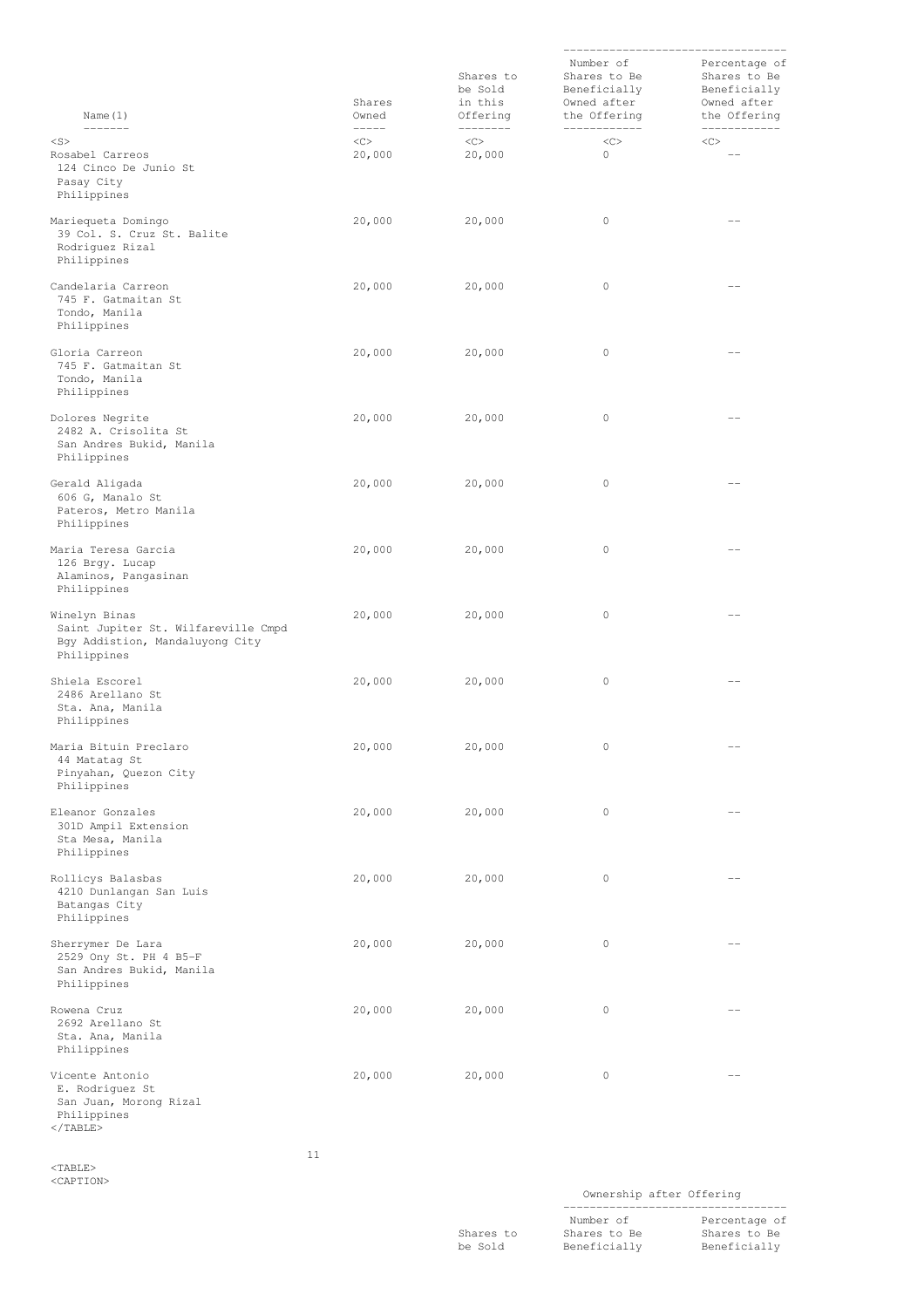| Name $(1)$                                                                                                                                                                                                                                                                                                                                                                                                                                                                                     | Shares<br>Owned                                                                                                                                                                                                                                                                                                                                                                                                                                                                                   | Shares to<br>be Sold<br>in this<br>Offering | Number of<br>Shares to Be<br>Beneficially<br>Owned after<br>the Offering | Percentage of<br>Shares to Be<br>Beneficially<br>Owned after<br>the Offering |
|------------------------------------------------------------------------------------------------------------------------------------------------------------------------------------------------------------------------------------------------------------------------------------------------------------------------------------------------------------------------------------------------------------------------------------------------------------------------------------------------|---------------------------------------------------------------------------------------------------------------------------------------------------------------------------------------------------------------------------------------------------------------------------------------------------------------------------------------------------------------------------------------------------------------------------------------------------------------------------------------------------|---------------------------------------------|--------------------------------------------------------------------------|------------------------------------------------------------------------------|
| $\begin{tabular}{cccccc} \multicolumn{2}{c}{} & \multicolumn{2}{c}{} & \multicolumn{2}{c}{} & \multicolumn{2}{c}{} & \multicolumn{2}{c}{} & \multicolumn{2}{c}{} & \multicolumn{2}{c}{} & \multicolumn{2}{c}{} & \multicolumn{2}{c}{} & \multicolumn{2}{c}{} & \multicolumn{2}{c}{} & \multicolumn{2}{c}{} & \multicolumn{2}{c}{} & \multicolumn{2}{c}{} & \multicolumn{2}{c}{} & \multicolumn{2}{c}{} & \multicolumn{2}{c}{} & \multicolumn{2}{c}{} & \multicolumn{2}{c}{} & \mult$<br>$<$ S> | $\begin{tabular}{cccccc} \multicolumn{2}{c}{} & \multicolumn{2}{c}{} & \multicolumn{2}{c}{} & \multicolumn{2}{c}{} & \multicolumn{2}{c}{} & \multicolumn{2}{c}{} & \multicolumn{2}{c}{} & \multicolumn{2}{c}{} & \multicolumn{2}{c}{} & \multicolumn{2}{c}{} & \multicolumn{2}{c}{} & \multicolumn{2}{c}{} & \multicolumn{2}{c}{} & \multicolumn{2}{c}{} & \multicolumn{2}{c}{} & \multicolumn{2}{c}{} & \multicolumn{2}{c}{} & \multicolumn{2}{c}{} & \multicolumn{2}{c}{} & \mult$<br>$<\infty$ | ---------<br>$<\infty$                      | ------------<br><<                                                       | ------------<br>$<\infty$                                                    |
| Rosabel Carreos<br>124 Cinco De Junio St<br>Pasay City<br>Philippines                                                                                                                                                                                                                                                                                                                                                                                                                          | 20,000                                                                                                                                                                                                                                                                                                                                                                                                                                                                                            | 20,000                                      | 0                                                                        | $ -$                                                                         |
| Mariequeta Domingo<br>39 Col. S. Cruz St. Balite<br>Rodriguez Rizal<br>Philippines                                                                                                                                                                                                                                                                                                                                                                                                             | 20,000                                                                                                                                                                                                                                                                                                                                                                                                                                                                                            | 20,000                                      | 0                                                                        |                                                                              |
| Candelaria Carreon<br>745 F. Gatmaitan St<br>Tondo, Manila<br>Philippines                                                                                                                                                                                                                                                                                                                                                                                                                      | 20,000                                                                                                                                                                                                                                                                                                                                                                                                                                                                                            | 20,000                                      | 0                                                                        |                                                                              |
| Gloria Carreon<br>745 F. Gatmaitan St<br>Tondo, Manila<br>Philippines                                                                                                                                                                                                                                                                                                                                                                                                                          | 20,000                                                                                                                                                                                                                                                                                                                                                                                                                                                                                            | 20,000                                      | 0                                                                        | $- -$                                                                        |
| Dolores Negrite<br>2482 A. Crisolita St<br>San Andres Bukid, Manila<br>Philippines                                                                                                                                                                                                                                                                                                                                                                                                             | 20,000                                                                                                                                                                                                                                                                                                                                                                                                                                                                                            | 20,000                                      | 0                                                                        | $- -$                                                                        |
| Gerald Aligada<br>606 G, Manalo St<br>Pateros, Metro Manila<br>Philippines                                                                                                                                                                                                                                                                                                                                                                                                                     | 20,000                                                                                                                                                                                                                                                                                                                                                                                                                                                                                            | 20,000                                      | 0                                                                        | $-$                                                                          |
| Maria Teresa Garcia<br>126 Brgy. Lucap<br>Alaminos, Pangasinan<br>Philippines                                                                                                                                                                                                                                                                                                                                                                                                                  | 20,000                                                                                                                                                                                                                                                                                                                                                                                                                                                                                            | 20,000                                      | 0                                                                        | $-$                                                                          |
| Winelyn Binas<br>Saint Jupiter St. Wilfareville Cmpd<br>Bgy Addistion, Mandaluyong City<br>Philippines                                                                                                                                                                                                                                                                                                                                                                                         | 20,000                                                                                                                                                                                                                                                                                                                                                                                                                                                                                            | 20,000                                      | 0                                                                        | $- -$                                                                        |
| Shiela Escorel<br>2486 Arellano St<br>Sta. Ana, Manila<br>Philippines                                                                                                                                                                                                                                                                                                                                                                                                                          | 20,000                                                                                                                                                                                                                                                                                                                                                                                                                                                                                            | 20,000                                      | 0                                                                        | $- -$                                                                        |
| Maria Bituin Preclaro<br>44 Matatag St<br>Pinyahan, Quezon City<br>Philippines                                                                                                                                                                                                                                                                                                                                                                                                                 | 20,000                                                                                                                                                                                                                                                                                                                                                                                                                                                                                            | 20,000                                      | $\mathbb O$                                                              | $-$                                                                          |
| Eleanor Gonzales<br>301D Ampil Extension<br>Sta Mesa, Manila<br>Philippines                                                                                                                                                                                                                                                                                                                                                                                                                    | 20,000                                                                                                                                                                                                                                                                                                                                                                                                                                                                                            | 20,000                                      | $\circ$                                                                  | $-$                                                                          |
| Rollicys Balasbas<br>4210 Dunlangan San Luis<br>Batangas City<br>Philippines                                                                                                                                                                                                                                                                                                                                                                                                                   | 20,000                                                                                                                                                                                                                                                                                                                                                                                                                                                                                            | 20,000                                      | 0                                                                        | $-$                                                                          |
| Sherrymer De Lara<br>2529 Ony St. PH 4 B5-F<br>San Andres Bukid, Manila<br>Philippines                                                                                                                                                                                                                                                                                                                                                                                                         | 20,000                                                                                                                                                                                                                                                                                                                                                                                                                                                                                            | 20,000                                      | 0                                                                        | $\qquad \qquad -$                                                            |
| Rowena Cruz<br>2692 Arellano St<br>Sta. Ana, Manila<br>Philippines                                                                                                                                                                                                                                                                                                                                                                                                                             | 20,000                                                                                                                                                                                                                                                                                                                                                                                                                                                                                            | 20,000                                      | 0                                                                        | $- -$                                                                        |
| Vicente Antonio<br>E. Rodriguez St<br>San Juan, Morong Rizal<br>Philippines<br>$\langle$ /TABLE>                                                                                                                                                                                                                                                                                                                                                                                               | 20,000                                                                                                                                                                                                                                                                                                                                                                                                                                                                                            | 20,000                                      | 0                                                                        | $-$                                                                          |

<TABLE> <CAPTION> 11

Ownership after Offering

----------------------------------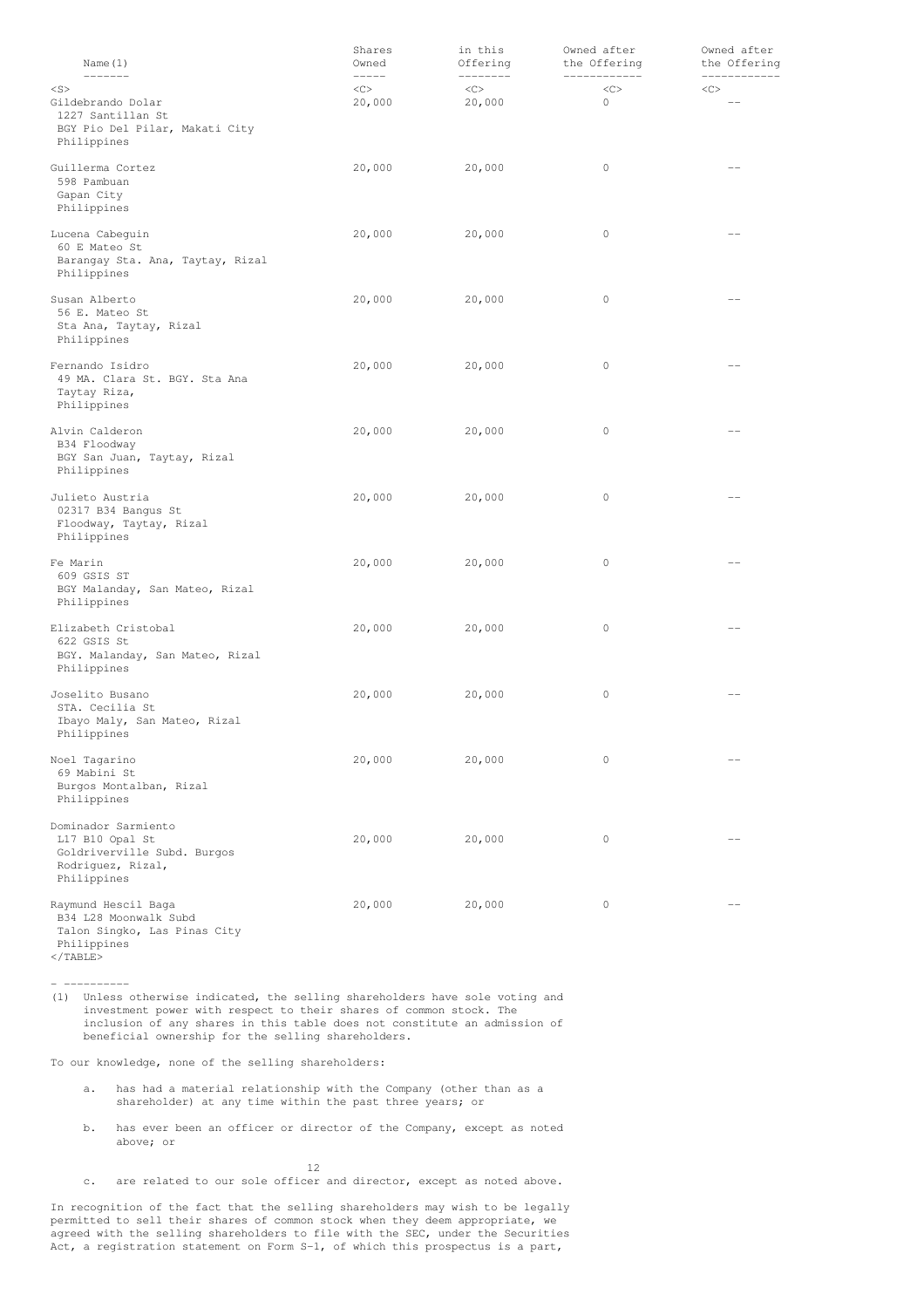| Name $(1)$                                                                                                | Shares<br>Owned<br>$\begin{tabular}{ccccc} - & - & - & - \\ \hline \end{tabular}$ | in this<br>Offering<br>كالمستحدث والمنافذ | Owned after<br>the Offering | Owned after<br>the Offering |
|-----------------------------------------------------------------------------------------------------------|-----------------------------------------------------------------------------------|-------------------------------------------|-----------------------------|-----------------------------|
| $<$ S><br>Gildebrando Dolar<br>1227 Santillan St<br>BGY Pio Del Pilar, Makati City<br>Philippines         | <<<br>20,000                                                                      | $<\infty$<br>20,000                       | <<<br>0                     | $<$ C>                      |
| Guillerma Cortez<br>598 Pambuan<br>Gapan City<br>Philippines                                              | 20,000                                                                            | 20,000                                    | 0                           | $-1$                        |
| Lucena Cabeguin<br>60 E Mateo St<br>Barangay Sta. Ana, Taytay, Rizal<br>Philippines                       | 20,000                                                                            | 20,000                                    | 0                           | $- -$                       |
| Susan Alberto<br>56 E. Mateo St<br>Sta Ana, Taytay, Rizal<br>Philippines                                  | 20,000                                                                            | 20,000                                    | 0                           | $- -$                       |
| Fernando Isidro<br>49 MA. Clara St. BGY. Sta Ana<br>Taytay Riza,<br>Philippines                           | 20,000                                                                            | 20,000                                    | 0                           | --                          |
| Alvin Calderon<br>B34 Floodway<br>BGY San Juan, Taytay, Rizal<br>Philippines                              | 20,000                                                                            | 20,000                                    | 0                           |                             |
| Julieto Austria<br>02317 B34 Bangus St<br>Floodway, Taytay, Rizal<br>Philippines                          | 20,000                                                                            | 20,000                                    | 0                           |                             |
| Fe Marin<br>609 GSIS ST<br>BGY Malanday, San Mateo, Rizal<br>Philippines                                  | 20,000                                                                            | 20,000                                    | 0                           | $- -$                       |
| Elizabeth Cristobal<br>622 GSIS St<br>BGY. Malanday, San Mateo, Rizal<br>Philippines                      | 20,000                                                                            | 20,000                                    | 0                           | $- -$                       |
| Joselito Busano<br>STA. Cecilia St<br>Ibayo Maly, San Mateo, Rizal<br>Philippines                         | 20,000                                                                            | 20,000                                    | 0                           | $\qquad \qquad -$           |
| Noel Tagarino<br>69 Mabini St<br>Burgos Montalban, Rizal<br>Philippines                                   | 20,000                                                                            | 20,000                                    | 0                           |                             |
| Dominador Sarmiento<br>L17 B10 Opal St<br>Goldriverville Subd. Burgos<br>Rodriguez, Rizal,<br>Philippines | 20,000                                                                            | 20,000                                    | 0                           |                             |
| Raymund Hescil Baga<br>B34 L28 Moonwalk Subd<br>Talon Singko, Las Pinas City<br>Philippines               | 20,000                                                                            | 20,000                                    | 0                           |                             |

</TABLE>

- ----------

(1) Unless otherwise indicated, the selling shareholders have sole voting and investment power with respect to their shares of common stock. The inclusion of any shares in this table does not constitute an admission of beneficial ownership for the selling shareholders.

To our knowledge, none of the selling shareholders:

- a. has had a material relationship with the Company (other than as a shareholder) at any time within the past three years; or
- b. has ever been an officer or director of the Company, except as noted above; or

12

c. are related to our sole officer and director, except as noted above.

In recognition of the fact that the selling shareholders may wish to be legally permitted to sell their shares of common stock when they deem appropriate, we agreed with the selling shareholders to file with the SEC, under the Securities Act, a registration statement on Form S-1, of which this prospectus is a part,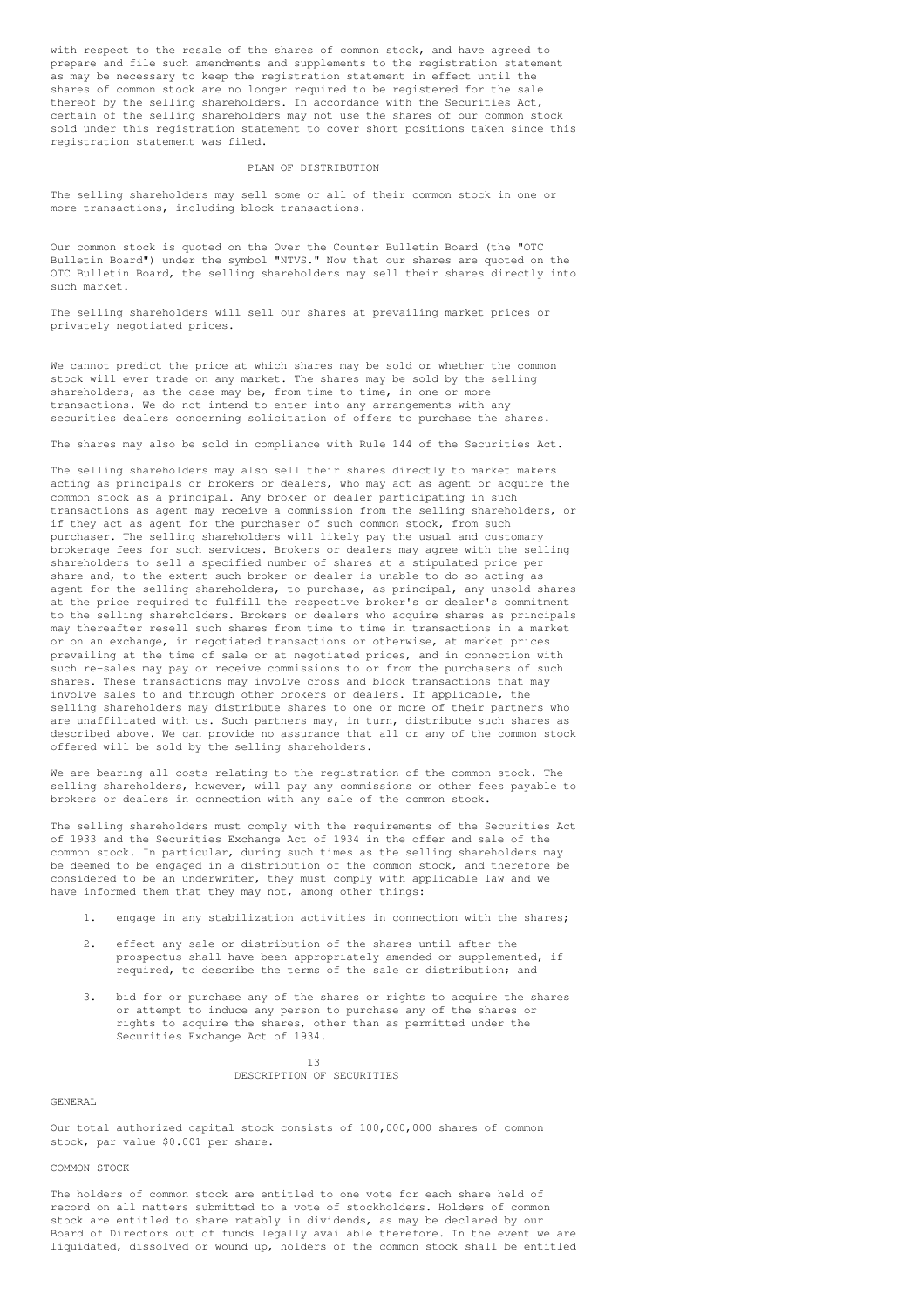with respect to the resale of the shares of common stock, and have agreed to prepare and file such amendments and supplements to the registration statement as may be necessary to keep the registration statement in effect until the shares of common stock are no longer required to be registered for the sale thereof by the selling shareholders. In accordance with the Securities Act, certain of the selling shareholders may not use the shares of our common stock sold under this registration statement to cover short positions taken since this registration statement was filed.

## PLAN OF DISTRIBUTION

The selling shareholders may sell some or all of their common stock in one or more transactions, including block transactions.

Our common stock is quoted on the Over the Counter Bulletin Board (the "OTC Bulletin Board") under the symbol "NTVS." Now that our shares are quoted on the OTC Bulletin Board, the selling shareholders may sell their shares directly into such market.

The selling shareholders will sell our shares at prevailing market prices or privately negotiated prices.

We cannot predict the price at which shares may be sold or whether the common stock will ever trade on any market. The shares may be sold by the selling shareholders, as the case may be, from time to time, in one or more transactions. We do not intend to enter into any arrangements with any securities dealers concerning solicitation of offers to purchase the shares.

The shares may also be sold in compliance with Rule 144 of the Securities Act.

The selling shareholders may also sell their shares directly to market makers acting as principals or brokers or dealers, who may act as agent or acquire the common stock as a principal. Any broker or dealer participating in such transactions as agent may receive a commission from the selling shareholders, or if they act as agent for the purchaser of such common stock, from such purchaser. The selling shareholders will likely pay the usual and customary brokerage fees for such services. Brokers or dealers may agree with the selling shareholders to sell a specified number of shares at a stipulated price per share and, to the extent such broker or dealer is unable to do so acting as agent for the selling shareholders, to purchase, as principal, any unsold shares at the price required to fulfill the respective broker's or dealer's commitment to the selling shareholders. Brokers or dealers who acquire shares as principals may thereafter resell such shares from time to time in transactions in a market or on an exchange, in negotiated transactions or otherwise, at market prices prevailing at the time of sale or at negotiated prices, and in connection with such re-sales may pay or receive commissions to or from the purchasers of such shares. These transactions may involve cross and block transactions that may involve sales to and through other brokers or dealers. If applicable, the selling shareholders may distribute shares to one or more of their partners who are unaffiliated with us. Such partners may, in turn, distribute such shares as described above. We can provide no assurance that all or any of the common stock offered will be sold by the selling shareholders.

We are bearing all costs relating to the registration of the common stock. The selling shareholders, however, will pay any commissions or other fees payable to brokers or dealers in connection with any sale of the common stock.

The selling shareholders must comply with the requirements of the Securities Act of 1933 and the Securities Exchange Act of 1934 in the offer and sale of the common stock. In particular, during such times as the selling shareholders may be deemed to be engaged in a distribution of the common stock, and therefore be considered to be an underwriter, they must comply with applicable law and we have informed them that they may not, among other things:

- 1. engage in any stabilization activities in connection with the shares;
- 2. effect any sale or distribution of the shares until after the prospectus shall have been appropriately amended or supplemented, if required, to describe the terms of the sale or distribution; and
- 3. bid for or purchase any of the shares or rights to acquire the shares or attempt to induce any person to purchase any of the shares or rights to acquire the shares, other than as permitted under the Securities Exchange Act of 1934.

 $13$ 

#### DESCRIPTION OF SECURITIES

GENERAL

Our total authorized capital stock consists of 100,000,000 shares of common stock, par value \$0.001 per share.

## COMMON STOCK

The holders of common stock are entitled to one vote for each share held of record on all matters submitted to a vote of stockholders. Holders of common stock are entitled to share ratably in dividends, as may be declared by our Board of Directors out of funds legally available therefore. In the event we are liquidated, dissolved or wound up, holders of the common stock shall be entitled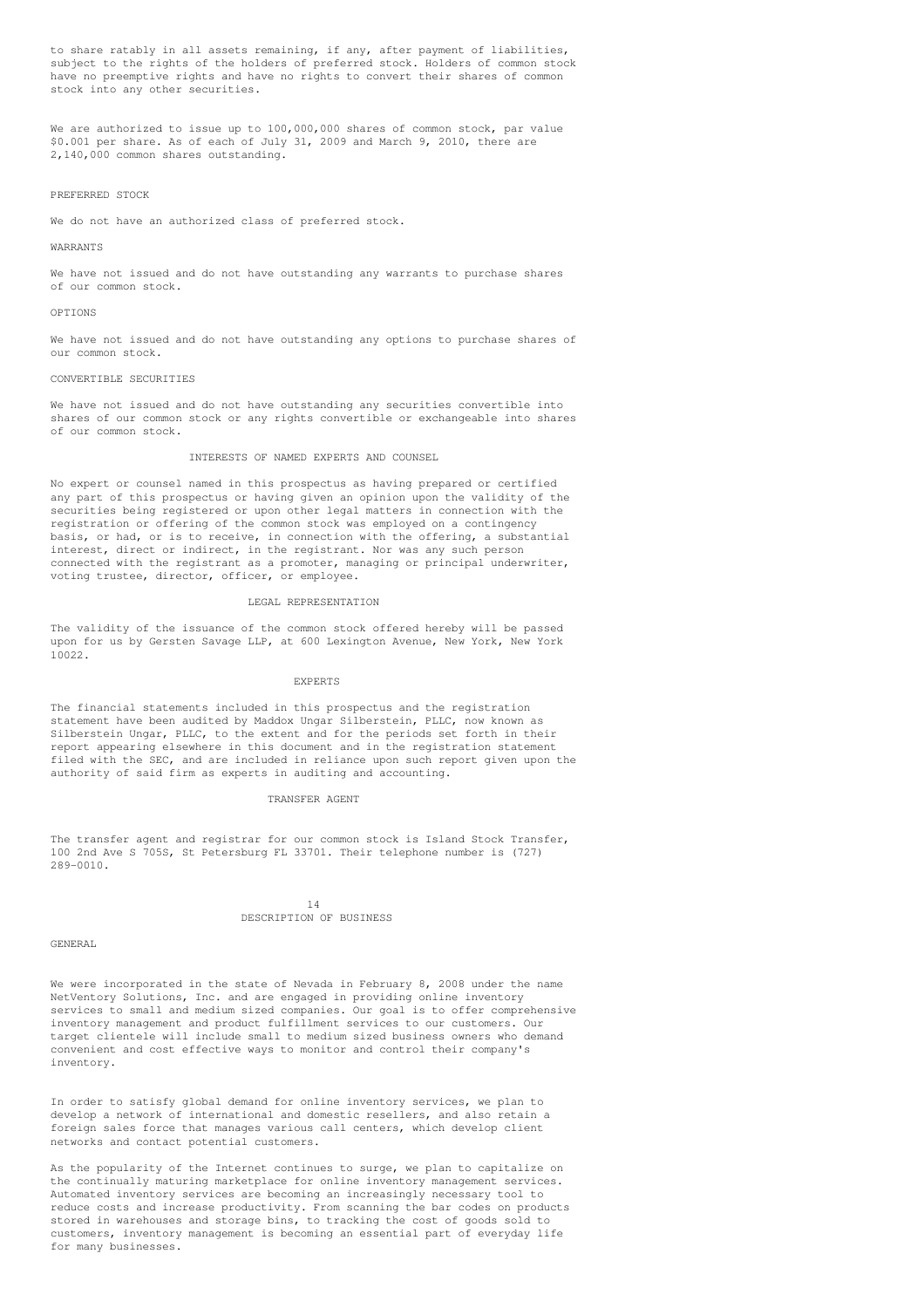to share ratably in all assets remaining, if any, after payment of liabilities, subject to the rights of the holders of preferred stock. Holders of common stock have no preemptive rights and have no rights to convert their shares of common stock into any other securities.

We are authorized to issue up to 100,000,000 shares of common stock, par value \$0.001 per share. As of each of July 31, 2009 and March 9, 2010, there are 2,140,000 common shares outstanding.

## PREFERRED STOCK

We do not have an authorized class of preferred stock.

#### WARRANTS

We have not issued and do not have outstanding any warrants to purchase shares of our common stock.

#### OPTIONS

We have not issued and do not have outstanding any options to purchase shares of our common stock.

#### CONVERTIBLE SECURITIES

We have not issued and do not have outstanding any securities convertible into shares of our common stock or any rights convertible or exchangeable into shares of our common stock.

## INTERESTS OF NAMED EXPERTS AND COUNSEL

No expert or counsel named in this prospectus as having prepared or certified any part of this prospectus or having given an opinion upon the validity of the securities being registered or upon other legal matters in connection with the registration or offering of the common stock was employed on a contingency basis, or had, or is to receive, in connection with the offering, a substantial interest, direct or indirect, in the registrant. Nor was any such person connected with the registrant as a promoter, managing or principal underwriter, voting trustee, director, officer, or employee.

## LEGAL REPRESENTATION

The validity of the issuance of the common stock offered hereby will be passed upon for us by Gersten Savage LLP, at 600 Lexington Avenue, New York, New York 10022.

#### EXPERTS

The financial statements included in this prospectus and the registration statement have been audited by Maddox Ungar Silberstein, PLLC, now known as Silberstein Ungar, PLLC, to the extent and for the periods set forth in their report appearing elsewhere in this document and in the registration statement filed with the SEC, and are included in reliance upon such report given upon the authority of said firm as experts in auditing and accounting.

## TRANSFER AGENT

The transfer agent and registrar for our common stock is Island Stock Transfer, 100 2nd Ave S 705S, St Petersburg FL 33701. Their telephone number is (727) 289-0010.

## 14 DESCRIPTION OF BUSINESS

## GENERAL

We were incorporated in the state of Nevada in February 8, 2008 under the name NetVentory Solutions, Inc. and are engaged in providing online inventory services to small and medium sized companies. Our goal is to offer comprehensive inventory management and product fulfillment services to our customers. Our target clientele will include small to medium sized business owners who demand convenient and cost effective ways to monitor and control their company's inventory.

In order to satisfy global demand for online inventory services, we plan to develop a network of international and domestic resellers, and also retain a foreign sales force that manages various call centers, which develop client networks and contact potential customers.

As the popularity of the Internet continues to surge, we plan to capitalize on the continually maturing marketplace for online inventory management services. Automated inventory services are becoming an increasingly necessary tool to reduce costs and increase productivity. From scanning the bar codes on products stored in warehouses and storage bins, to tracking the cost of goods sold to customers, inventory management is becoming an essential part of everyday life for many businesses.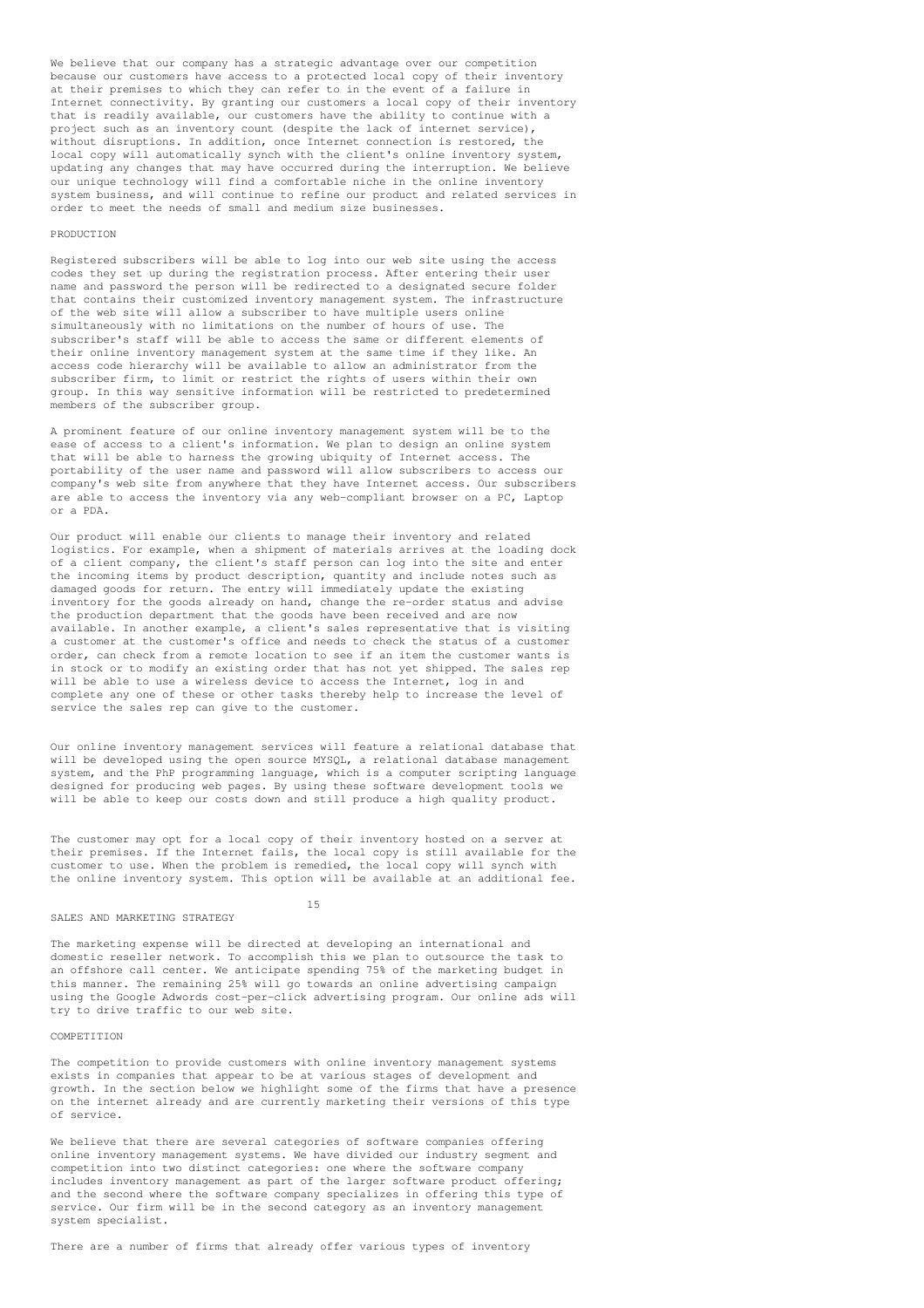We believe that our company has a strategic advantage over our competition because our customers have access to a protected local copy of their inventory at their premises to which they can refer to in the event of a failure in Internet connectivity. By granting our customers a local copy of their inventory that is readily available, our customers have the ability to continue with a project such as an inventory count (despite the lack of internet service), without disruptions. In addition, once Internet connection is restored, the local copy will automatically synch with the client's online inventory system, updating any changes that may have occurred during the interruption. We believe our unique technology will find a comfortable niche in the online inventory system business, and will continue to refine our product and related services in order to meet the needs of small and medium size businesses.

#### **PRODUCTION**

Registered subscribers will be able to log into our web site using the access codes they set up during the registration process. After entering their user name and password the person will be redirected to a designated secure folder that contains their customized inventory management system. The infrastructure of the web site will allow a subscriber to have multiple users online simultaneously with no limitations on the number of hours of use. The subscriber's staff will be able to access the same or different elements of their online inventory management system at the same time if they like. An access code hierarchy will be available to allow an administrator from the subscriber firm, to limit or restrict the rights of users within their own group. In this way sensitive information will be restricted to predetermined members of the subscriber group.

A prominent feature of our online inventory management system will be to the ease of access to a client's information. We plan to design an online system that will be able to harness the growing ubiquity of Internet access. The portability of the user name and password will allow subscribers to access our company's web site from anywhere that they have Internet access. Our subscribers are able to access the inventory via any web-compliant browser on a PC, Laptop or a PDA.

Our product will enable our clients to manage their inventory and related logistics. For example, when a shipment of materials arrives at the loading dock of a client company, the client's staff person can log into the site and enter the incoming items by product description, quantity and include notes such as damaged goods for return. The entry will immediately update the existing inventory for the goods already on hand, change the re-order status and advise the production department that the goods have been received and are now available. In another example, a client's sales representative that is visiting a customer at the customer's office and needs to check the status of a customer order, can check from a remote location to see if an item the customer wants is in stock or to modify an existing order that has not yet shipped. The sales rep will be able to use a wireless device to access the Internet, log in and complete any one of these or other tasks thereby help to increase the level of service the sales rep can give to the customer.

Our online inventory management services will feature a relational database that will be developed using the open source MYSQL, a relational database management system, and the PhP programming language, which is a computer scripting language designed for producing web pages. By using these software development tools we will be able to keep our costs down and still produce a high quality product.

The customer may opt for a local copy of their inventory hosted on a server at their premises. If the Internet fails, the local copy is still available for the customer to use. When the problem is remedied, the local copy will synch with the online inventory system. This option will be available at an additional fee.

#### SALES AND MARKETING STRATEGY

15

The marketing expense will be directed at developing an international and domestic reseller network. To accomplish this we plan to outsource the task to an offshore call center. We anticipate spending 75% of the marketing budget in this manner. The remaining 25% will go towards an online advertising campaign using the Google Adwords cost-per-click advertising program. Our online ads will try to drive traffic to our web site.

## **COMPETITION**

The competition to provide customers with online inventory management systems exists in companies that appear to be at various stages of development and growth. In the section below we highlight some of the firms that have a presence on the internet already and are currently marketing their versions of this type of service.

We believe that there are several categories of software companies offering online inventory management systems. We have divided our industry segment and competition into two distinct categories: one where the software company includes inventory management as part of the larger software product offering; and the second where the software company specializes in offering this type of service. Our firm will be in the second category as an inventory management system specialist.

There are a number of firms that already offer various types of inventory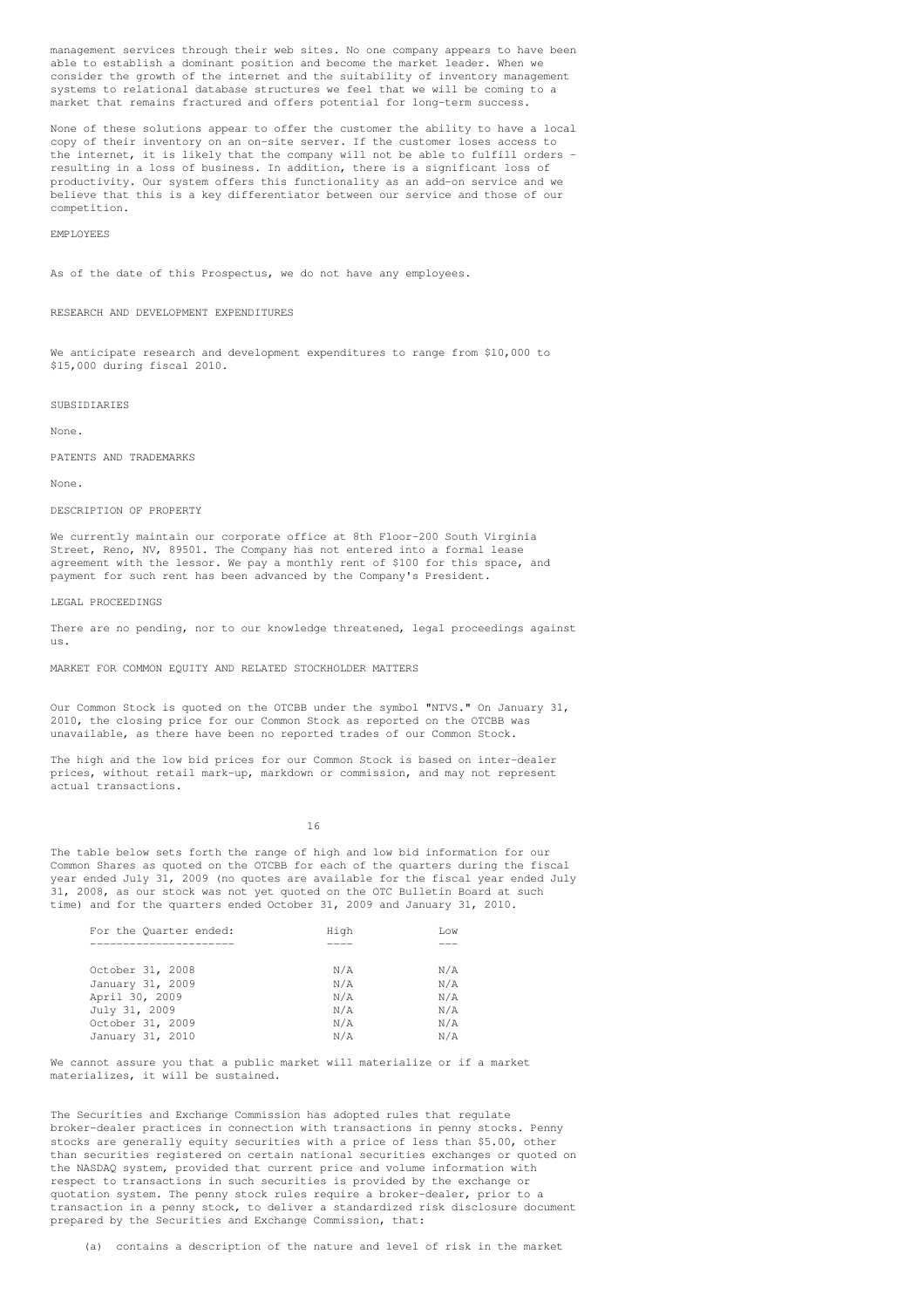management services through their web sites. No one company appears to have been able to establish a dominant position and become the market leader. When we consider the growth of the internet and the suitability of inventory management systems to relational database structures we feel that we will be coming to a market that remains fractured and offers potential for long-term success.

None of these solutions appear to offer the customer the ability to have a local copy of their inventory on an on-site server. If the customer loses access to the internet, it is likely that the company will not be able to fulfill orders resulting in a loss of business. In addition, there is a significant loss of productivity. Our system offers this functionality as an add-on service and we believe that this is a key differentiator between our service and those of our competition.

#### EMPLOYEES

As of the date of this Prospectus, we do not have any employees.

## RESEARCH AND DEVELOPMENT EXPENDITURES

We anticipate research and development expenditures to range from \$10,000 to \$15,000 during fiscal 2010.

#### **SUBSIDIARIES**

None.

PATENTS AND TRADEMARKS

None.

## DESCRIPTION OF PROPERTY

We currently maintain our corporate office at 8th Floor-200 South Virginia Street, Reno, NV, 89501. The Company has not entered into a formal lease agreement with the lessor. We pay a monthly rent of \$100 for this space, and payment for such rent has been advanced by the Company's President.

LEGAL PROCEEDINGS

There are no pending, nor to our knowledge threatened, legal proceedings against us.

MARKET FOR COMMON EQUITY AND RELATED STOCKHOLDER MATTERS

Our Common Stock is quoted on the OTCBB under the symbol "NTVS." On January 31, 2010, the closing price for our Common Stock as reported on the OTCBB was unavailable, as there have been no reported trades of our Common Stock.

The high and the low bid prices for our Common Stock is based on inter-dealer prices, without retail mark-up, markdown or commission, and may not represent actual transactions.

16

The table below sets forth the range of high and low bid information for our Common Shares as quoted on the OTCBB for each of the quarters during the fiscal year ended July 31, 2009 (no quotes are available for the fiscal year ended July 31, 2008, as our stock was not yet quoted on the OTC Bulletin Board at such time) and for the quarters ended October 31, 2009 and January 31, 2010.

| For the Quarter ended: | High | Low |
|------------------------|------|-----|
|                        |      |     |
| October 31, 2008       | N/A  | N/A |
| January 31, 2009       | N/A  | N/A |
| April 30, 2009         | N/A  | N/A |
| July 31, 2009          | N/A  | N/A |
| October 31, 2009       | N/A  | N/A |
| January 31, 2010       | N/A  | N/A |

We cannot assure you that a public market will materialize or if a market materializes, it will be sustained.

The Securities and Exchange Commission has adopted rules that regulate broker-dealer practices in connection with transactions in penny stocks. Penny stocks are generally equity securities with a price of less than \$5.00, other than securities registered on certain national securities exchanges or quoted on the NASDAQ system, provided that current price and volume information with respect to transactions in such securities is provided by the exchange or quotation system. The penny stock rules require a broker-dealer, prior to a transaction in a penny stock, to deliver a standardized risk disclosure document prepared by the Securities and Exchange Commission, that:

(a) contains a description of the nature and level of risk in the market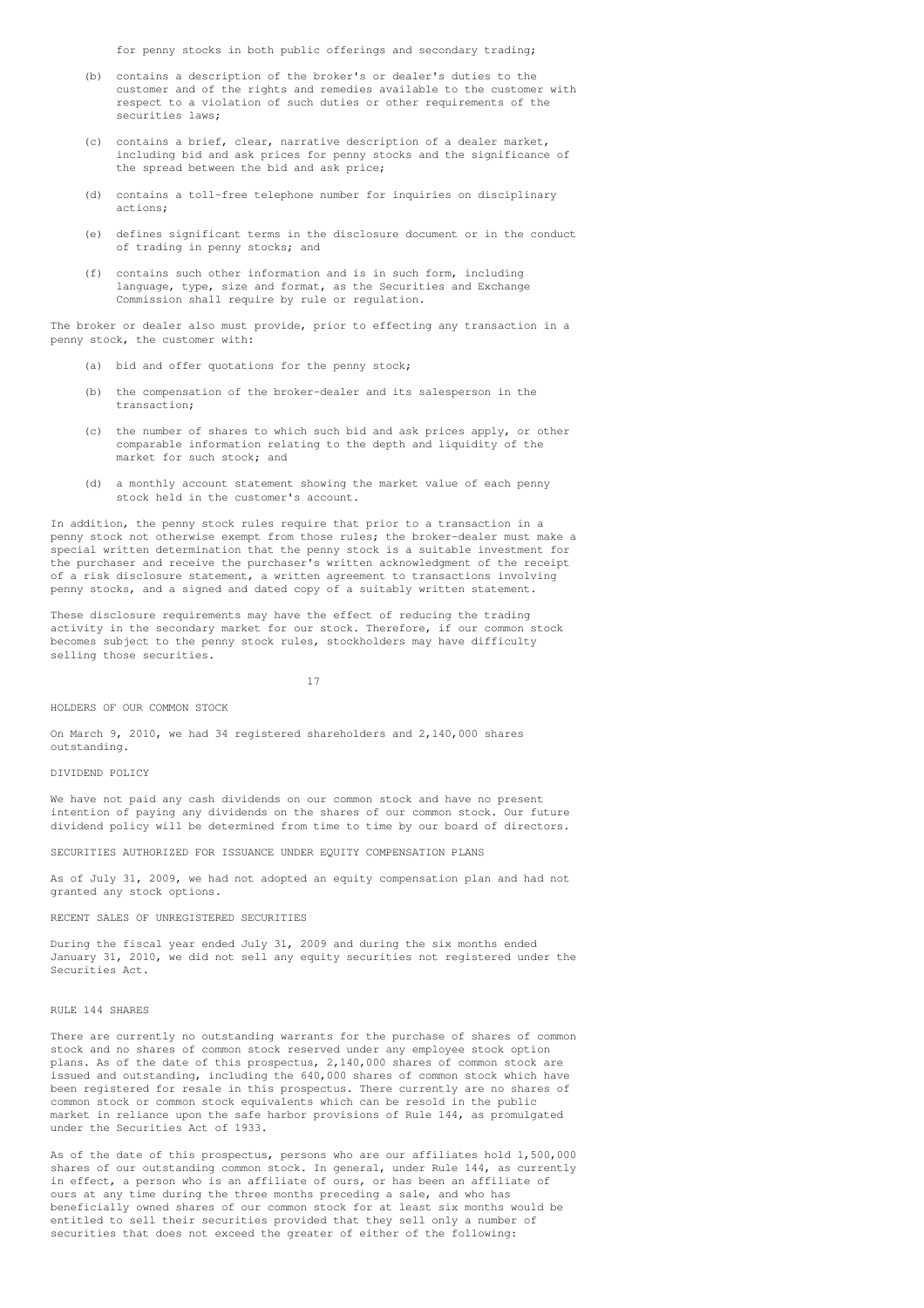for penny stocks in both public offerings and secondary trading;

- (b) contains a description of the broker's or dealer's duties to the customer and of the rights and remedies available to the customer with respect to a violation of such duties or other requirements of the securities laws;
- (c) contains a brief, clear, narrative description of a dealer market, including bid and ask prices for penny stocks and the significance of the spread between the bid and ask price;
- (d) contains a toll-free telephone number for inquiries on disciplinary actions;
- (e) defines significant terms in the disclosure document or in the conduct of trading in penny stocks; and
- (f) contains such other information and is in such form, including language, type, size and format, as the Securities and Exchange Commission shall require by rule or regulation.

The broker or dealer also must provide, prior to effecting any transaction in a penny stock, the customer with:

- bid and offer quotations for the penny stock;
- (b) the compensation of the broker-dealer and its salesperson in the transaction;
- (c) the number of shares to which such bid and ask prices apply, or other comparable information relating to the depth and liquidity of the market for such stock; and
- (d) a monthly account statement showing the market value of each penny stock held in the customer's account.

In addition, the penny stock rules require that prior to a transaction in a penny stock not otherwise exempt from those rules; the broker-dealer must make a special written determination that the penny stock is a suitable investment for the purchaser and receive the purchaser's written acknowledgment of the receipt of a risk disclosure statement, a written agreement to transactions involving penny stocks, and a signed and dated copy of a suitably written statement.

These disclosure requirements may have the effect of reducing the trading activity in the secondary market for our stock. Therefore, if our common stock becomes subject to the penny stock rules, stockholders may have difficulty selling those securities.

17

## HOLDERS OF OUR COMMON STOCK

On March 9, 2010, we had 34 registered shareholders and 2,140,000 shares outstanding.

## DIVIDEND POLICY

We have not paid any cash dividends on our common stock and have no present intention of paying any dividends on the shares of our common stock. Our future dividend policy will be determined from time to time by our board of directors.

SECURITIES AUTHORIZED FOR ISSUANCE UNDER EQUITY COMPENSATION PLANS

As of July 31, 2009, we had not adopted an equity compensation plan and had not granted any stock options.

## RECENT SALES OF UNREGISTERED SECURITIES

During the fiscal year ended July 31, 2009 and during the six months ended January 31, 2010, we did not sell any equity securities not registered under the Securities Act.

## RULE 144 SHARES

There are currently no outstanding warrants for the purchase of shares of common stock and no shares of common stock reserved under any employee stock option plans. As of the date of this prospectus, 2,140,000 shares of common stock are issued and outstanding, including the 640,000 shares of common stock which have been registered for resale in this prospectus. There currently are no shares of common stock or common stock equivalents which can be resold in the public market in reliance upon the safe harbor provisions of Rule 144, as promulgated under the Securities Act of 1933.

As of the date of this prospectus, persons who are our affiliates hold 1,500,000 shares of our outstanding common stock. In general, under Rule 144, as currently in effect, a person who is an affiliate of ours, or has been an affiliate of ours at any time during the three months preceding a sale, and who has beneficially owned shares of our common stock for at least six months would be entitled to sell their securities provided that they sell only a number of securities that does not exceed the greater of either of the following: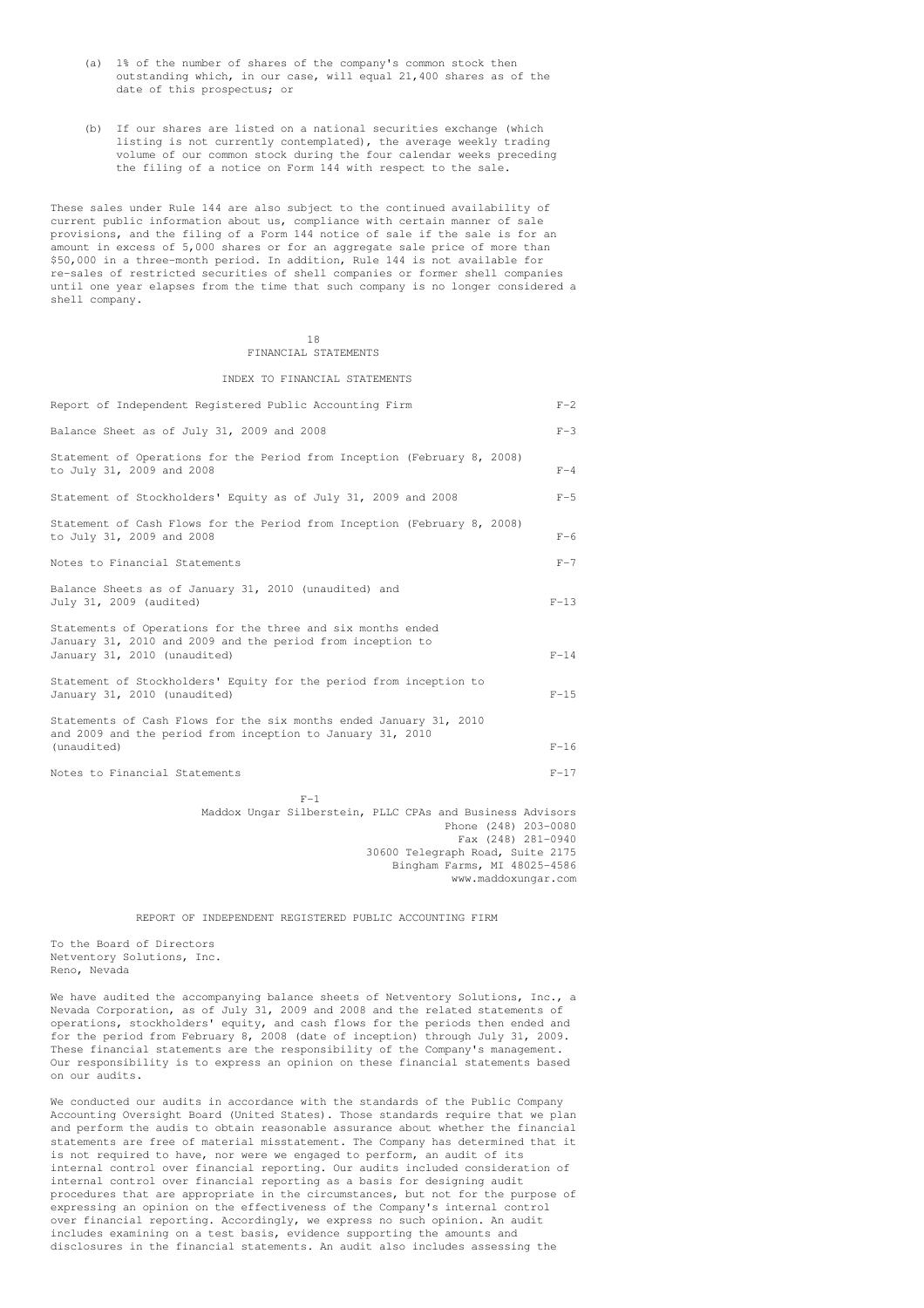- (a) 1% of the number of shares of the company's common stock then outstanding which, in our case, will equal 21,400 shares as of the date of this prospectus; or
- (b) If our shares are listed on a national securities exchange (which listing is not currently contemplated), the average weekly trading volume of our common stock during the four calendar weeks preceding the filing of a notice on Form 144 with respect to the sale.

These sales under Rule 144 are also subject to the continued availability of current public information about us, compliance with certain manner of sale provisions, and the filing of a Form 144 notice of sale if the sale is for an amount in excess of 5,000 shares or for an aggregate sale price of more than \$50,000 in a three-month period. In addition, Rule 144 is not available for re-sales of restricted securities of shell companies or former shell companies until one year elapses from the time that such company is no longer considered a shell company.

## 18 FINANCIAL STATEMENTS

## INDEX TO FINANCIAL STATEMENTS

| Report of Independent Registered Public Accounting Firm<br>$F - 2$                                                                                                                                          |
|-------------------------------------------------------------------------------------------------------------------------------------------------------------------------------------------------------------|
| $F-3$<br>Balance Sheet as of July 31, 2009 and 2008                                                                                                                                                         |
| Statement of Operations for the Period from Inception (February 8, 2008)<br>to July 31, 2009 and 2008<br>$F-4$                                                                                              |
| Statement of Stockholders' Equity as of July 31, 2009 and 2008<br>$F-5$                                                                                                                                     |
| Statement of Cash Flows for the Period from Inception (February 8, 2008)<br>to July 31, 2009 and 2008<br>$F-6$                                                                                              |
| Notes to Financial Statements<br>$F-7$                                                                                                                                                                      |
| Balance Sheets as of January 31, 2010 (unaudited) and<br>July 31, 2009 (audited)<br>$F-13$                                                                                                                  |
| Statements of Operations for the three and six months ended<br>January 31, 2010 and 2009 and the period from inception to<br>January 31, 2010 (unaudited)<br>$F-14$                                         |
| Statement of Stockholders' Equity for the period from inception to<br>$F-15$<br>January 31, 2010 (unaudited)                                                                                                |
| Statements of Cash Flows for the six months ended January 31, 2010<br>and 2009 and the period from inception to January 31, 2010<br>(unaudited)<br>$F-16$                                                   |
| Notes to Financial Statements<br>$F-17$                                                                                                                                                                     |
| $F-1$<br>Maddox Ungar Silberstein, PLLC CPAs and Business Advisors<br>Phone (248) 203-0080<br>Fax (248) 281-0940<br>30600 Telegraph Road, Suite 2175<br>Bingham Farms, MI 48025-4586<br>www.maddoxungar.com |

REPORT OF INDEPENDENT REGISTERED PUBLIC ACCOUNTING FIRM

To the Board of Directors Netventory Solutions, Inc. Reno, Nevada

We have audited the accompanying balance sheets of Netventory Solutions, Inc., a Nevada Corporation, as of July 31, 2009 and 2008 and the related statements of operations, stockholders' equity, and cash flows for the periods then ended and for the period from February 8, 2008 (date of inception) through July 31, 2009. These financial statements are the responsibility of the Company's management. Our responsibility is to express an opinion on these financial statements based on our audits.

We conducted our audits in accordance with the standards of the Public Company Accounting Oversight Board (United States). Those standards require that we plan and perform the audis to obtain reasonable assurance about whether the financial statements are free of material misstatement. The Company has determined that it is not required to have, nor were we engaged to perform, an audit of its internal control over financial reporting. Our audits included consideration of internal control over financial reporting as a basis for designing audit procedures that are appropriate in the circumstances, but not for the purpose of expressing an opinion on the effectiveness of the Company's internal control over financial reporting. Accordingly, we express no such opinion. An audit includes examining on a test basis, evidence supporting the amounts and disclosures in the financial statements. An audit also includes assessing the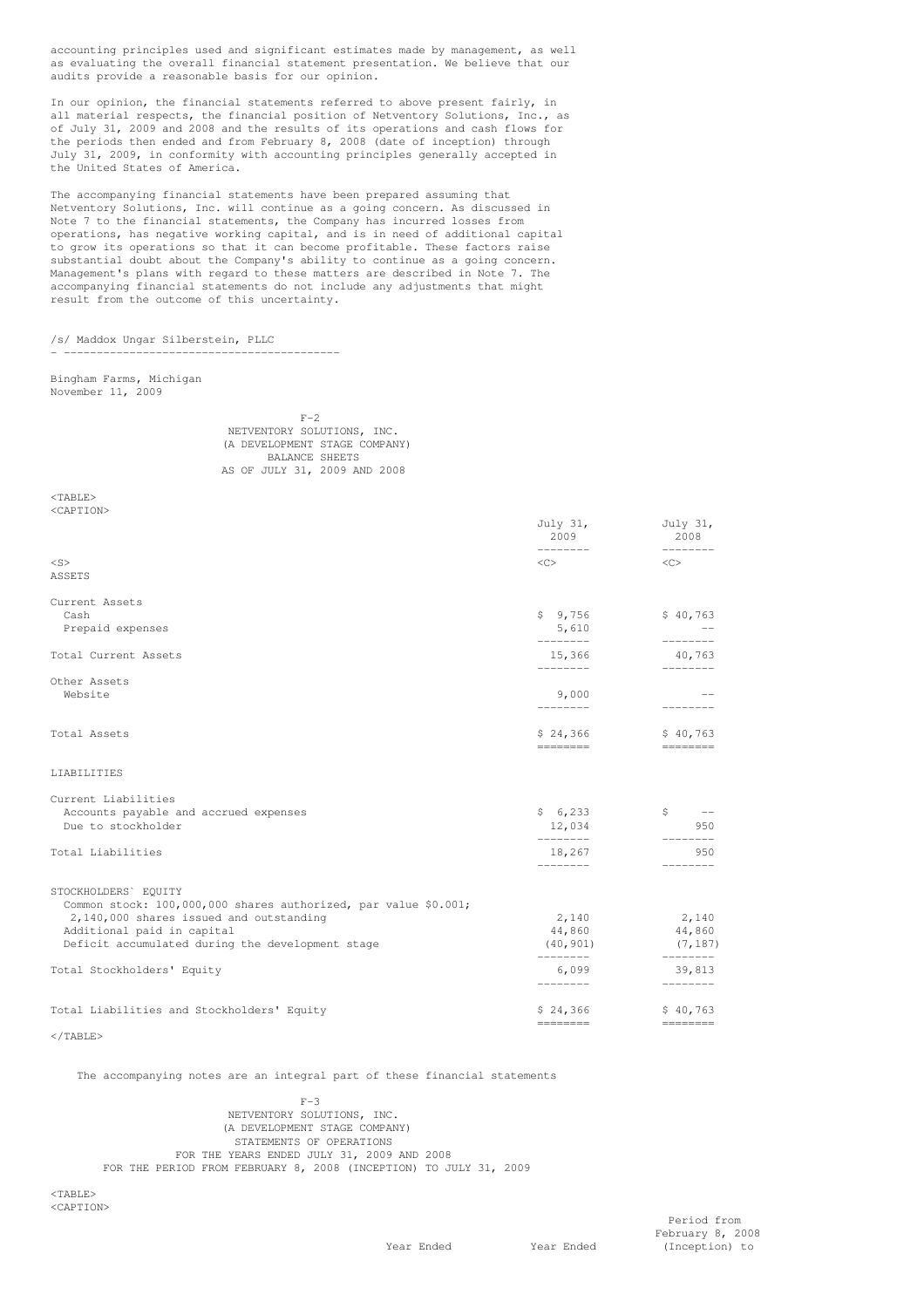accounting principles used and significant estimates made by management, as well as evaluating the overall financial statement presentation. We believe that our audits provide a reasonable basis for our opinion.

In our opinion, the financial statements referred to above present fairly, in all material respects, the financial position of Netventory Solutions, Inc., as of July 31, 2009 and 2008 and the results of its operations and cash flows for the periods then ended and from February 8, 2008 (date of inception) through July 31, 2009, in conformity with accounting principles generally accepted in the United States of America.

The accompanying financial statements have been prepared assuming that Netventory Solutions, Inc. will continue as a going concern. As discussed in Note 7 to the financial statements, the Company has incurred losses from operations, has negative working capital, and is in need of additional capital to grow its operations so that it can become profitable. These factors raise substantial doubt about the Company's ability to continue as a going concern. Management's plans with regard to these matters are described in Note 7. The accompanying financial statements do not include any adjustments that might result from the outcome of this uncertainty.

/s/ Maddox Ungar Silberstein, PLLC

- ------------------------------------------

Bingham Farms, Michigan November 11, 2009

| $F-2$          |  |                              |  |  |  |                               |
|----------------|--|------------------------------|--|--|--|-------------------------------|
|                |  | NETVENTORY SOLUTIONS, INC.   |  |  |  |                               |
|                |  |                              |  |  |  | (A DEVELOPMENT STAGE COMPANY) |
| BALANCE SHEETS |  |                              |  |  |  |                               |
|                |  | AS OF JULY 31, 2009 AND 2008 |  |  |  |                               |

 $<$ TABLE> <CAPTION>

|                                                                                | July 31,<br>2009<br>---------                                                                                             | July 31,<br>2008<br>---------             |
|--------------------------------------------------------------------------------|---------------------------------------------------------------------------------------------------------------------------|-------------------------------------------|
| $<$ S>                                                                         | $\langle$ C>                                                                                                              | $<<$ $>$                                  |
| ASSETS                                                                         |                                                                                                                           |                                           |
| Current Assets                                                                 |                                                                                                                           |                                           |
| Cash<br>Prepaid expenses                                                       | \$9,756<br>5,610                                                                                                          | \$40,763                                  |
| Total Current Assets                                                           | --------<br>15,366<br>--------                                                                                            | --------<br>40,763<br>والمستحدث والمستحدث |
| Other Assets                                                                   |                                                                                                                           |                                           |
| Website                                                                        | 9,000<br>---------                                                                                                        | ---------                                 |
| Total Assets                                                                   | \$24,366                                                                                                                  | \$40,763                                  |
| LIABILITIES                                                                    | ========                                                                                                                  | $=$ = = = = = = = =                       |
| Current Liabilities                                                            |                                                                                                                           |                                           |
| Accounts payable and accrued expenses                                          | \$6,233                                                                                                                   | $\zeta$ $-$                               |
| Due to stockholder                                                             | 12,034<br>________                                                                                                        | 950                                       |
| Total Liabilities                                                              | 18,267<br><u>________</u>                                                                                                 | 950<br>---------                          |
| STOCKHOLDERS' EQUITY                                                           |                                                                                                                           |                                           |
| Common stock: 100,000,000 shares authorized, par value \$0.001;                |                                                                                                                           |                                           |
| 2,140,000 shares issued and outstanding                                        | 2,140                                                                                                                     | 2,140                                     |
| Additional paid in capital<br>Deficit accumulated during the development stage |                                                                                                                           | 44,860 44,860<br>$(40, 901)$ $(7, 187)$   |
| Total Stockholders' Equity                                                     | --------<br>6,099<br>---------                                                                                            | __________<br>39,813<br>---------         |
|                                                                                |                                                                                                                           |                                           |
| Total Liabilities and Stockholders' Equity                                     | \$24,366<br>$\qquad \qquad \doteq\qquad \qquad \doteq\qquad \qquad \doteq\qquad \qquad \qquad \doteq\qquad \qquad \qquad$ | \$40,763                                  |

 $\langle$ /TABLE>

The accompanying notes are an integral part of these financial statements

 $F-3$ NETVENTORY SOLUTIONS, INC. (A DEVELOPMENT STAGE COMPANY) STATEMENTS OF OPERATIONS FOR THE YEARS ENDED JULY 31, 2009 AND 2008 FOR THE PERIOD FROM FEBRUARY 8, 2008 (INCEPTION) TO JULY 31, 2009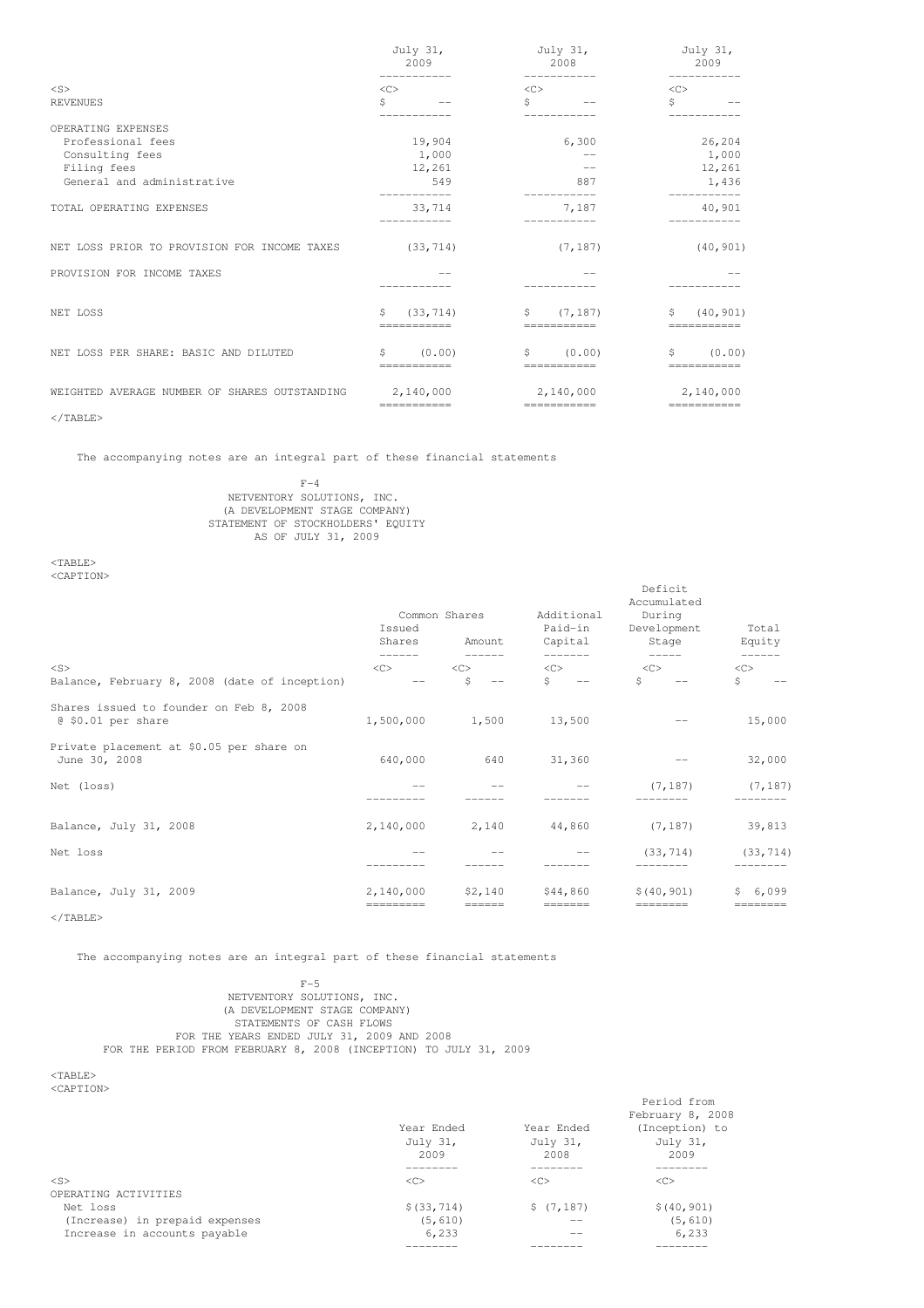|                                               | July 31,<br>2009              | July 31,<br>2008              | July 31,<br>2009                       |  |
|-----------------------------------------------|-------------------------------|-------------------------------|----------------------------------------|--|
| $<$ S>                                        | -----------<br>$<\infty$      | -----------<br><<             | -----------<br>$<\infty$               |  |
| <b>REVENUES</b>                               | \$                            | Ś<br>$\qquad \qquad -$        | \$                                     |  |
| OPERATING EXPENSES                            |                               |                               |                                        |  |
| Professional fees                             | 19,904                        | 6,300                         | 26,204                                 |  |
| Consulting fees                               | 1,000                         |                               | 1,000                                  |  |
| Filing fees                                   | 12,261                        | $- -$                         | 12,261                                 |  |
| General and administrative                    | 549                           | 887                           | 1,436                                  |  |
| TOTAL OPERATING EXPENSES                      | 33,714                        | 7,187                         | 40,901                                 |  |
| NET LOSS PRIOR TO PROVISION FOR INCOME TAXES  | (33, 714)                     | (7, 187)                      | (40, 901)                              |  |
| PROVISION FOR INCOME TAXES                    |                               |                               |                                        |  |
| NET LOSS                                      | (33, 714)<br>S<br>=========== | (7, 187)<br>S.<br>=========== | \$<br>(40, 901)<br>===========         |  |
| NET LOSS PER SHARE: BASIC AND DILUTED         | (0.00)<br>\$.<br>===========  | (0.00)<br>\$<br>===========   | (0.00)<br>S.<br>===========            |  |
| WEIGHTED AVERAGE NUMBER OF SHARES OUTSTANDING | 2,140,000<br>===========      | 2,140,000<br>===========      | 2,140,000<br>$=$ = = = = = = = = = = = |  |
| $<$ /TABLE>                                   |                               |                               |                                        |  |

The accompanying notes are an integral part of these financial statements

 $F-4$ NETVENTORY SOLUTIONS, INC. (A DEVELOPMENT STAGE COMPANY) STATEMENT OF STOCKHOLDERS' EQUITY AS OF JULY 31, 2009

<TABLE> <CAPTION>

| NGAE 11 UNZ                                                   | Common Shares<br>Issued<br>Shares<br>Amount |                          | Additional<br>Paid-in<br>Capital | Deficit<br>Accumulated<br>During<br>Development<br>Stage | Total<br>Equity     |
|---------------------------------------------------------------|---------------------------------------------|--------------------------|----------------------------------|----------------------------------------------------------|---------------------|
| $<$ S><br>Balance, February 8, 2008 (date of inception)       | <<<br>$- -$                                 | $<\infty$<br>Ŝ<br>$-\,-$ | <<<br>Ŝ.<br>$\sim$ $-$           | <<<br>Ŝ.<br>$\overline{\phantom{m}}$                     | $<$ C><br>\$        |
| Shares issued to founder on Feb 8, 2008<br>@ \$0.01 per share | 1,500,000                                   | 1,500                    | 13,500                           |                                                          | 15,000              |
| Private placement at \$0.05 per share on<br>June 30, 2008     | 640,000                                     | 640                      | 31,360                           |                                                          | 32,000              |
| Net (loss)                                                    |                                             |                          |                                  | (7, 187)                                                 | (7, 187)            |
| Balance, July 31, 2008                                        | 2,140,000                                   | 2,140                    | 44,860                           | (7, 187)                                                 | 39,813              |
| Net loss                                                      |                                             |                          |                                  | (33, 714)                                                | (33, 714)           |
| Balance, July 31, 2009<br>$<$ /TABLE>                         | 2,140,000<br>=========                      | \$2,140<br>$=$ = = = = = | \$44,860<br>$=$ = = = = = =      | \$(40, 901)                                              | \$6,099<br>======== |

The accompanying notes are an integral part of these financial statements

## F-5 NETVENTORY SOLUTIONS, INC. (A DEVELOPMENT STAGE COMPANY) STATEMENTS OF CASH FLOWS FOR THE YEARS ENDED JULY 31, 2009 AND 2008 FOR THE PERIOD FROM FEBRUARY 8, 2008 (INCEPTION) TO JULY 31, 2009

 $<$  TABLE  $>$ 

<CAPTION>

|                                |               |            | February 8, 2008    |
|--------------------------------|---------------|------------|---------------------|
|                                | Year Ended    | Year Ended | (Inception) to      |
|                                | July 31,      | July 31,   | July 31,            |
|                                | 2009          | 2008       | 2009                |
|                                |               |            |                     |
| $<$ S>                         | < <sub></sub> | <<         | $\langle C \rangle$ |
| OPERATING ACTIVITIES           |               |            |                     |
| Net loss                       | \$ (33, 714)  | \$(7, 187) | \$(40, 901)         |
| (Increase) in prepaid expenses | (5, 610)      |            | (5, 610)            |
| Increase in accounts payable   | 6,233         |            | 6,233               |
|                                |               |            |                     |

Period from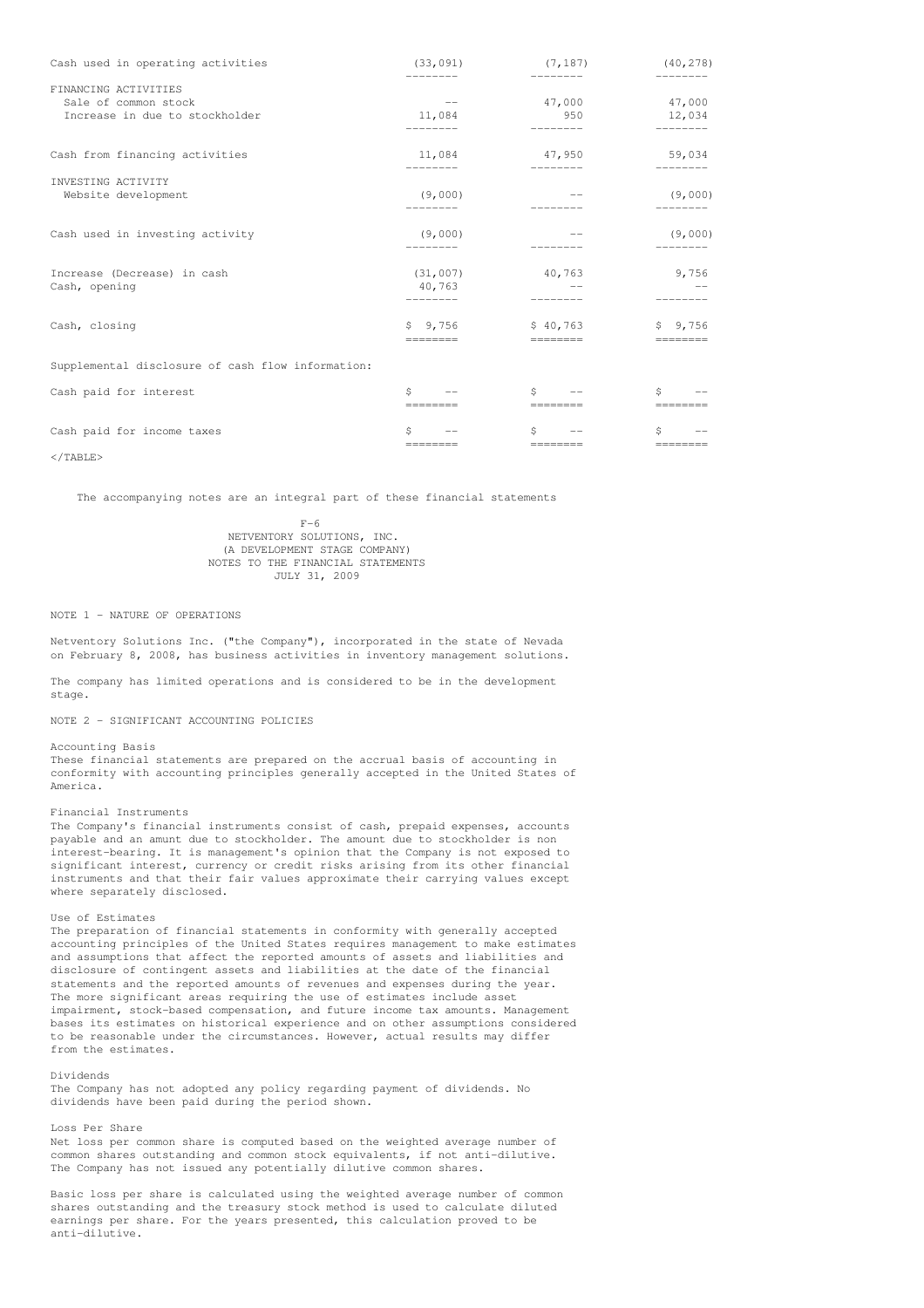| Cash used in operating activities                 | (33, 091)                                       | (7, 187)                                              | (40, 278)                              |
|---------------------------------------------------|-------------------------------------------------|-------------------------------------------------------|----------------------------------------|
| FINANCING ACTIVITIES                              | $\sim$ $ -$                                     | 47,000                                                | 47,000                                 |
| Sale of common stock                              | 11,084                                          | 950                                                   | 12,034                                 |
| Increase in due to stockholder                    | ---------                                       | ---------                                             | ---------                              |
| Cash from financing activities                    | 11,084                                          | 47,950                                                | 59,034                                 |
|                                                   | ---------                                       | _______________                                       | ---------                              |
| INVESTING ACTIVITY<br>Website development         | (9,000)                                         |                                                       | (9,000)                                |
| Cash used in investing activity                   | (9,000)                                         |                                                       | (9,000)                                |
| Increase (Decrease) in cash                       | (31, 007)                                       | 40,763                                                | 9,756                                  |
| Cash, opening                                     | 40,763                                          | $\sim$ $-$                                            |                                        |
| Cash, closing                                     | \$9,756                                         | \$40,763                                              | \$9,756                                |
|                                                   | ========                                        | __________                                            | $=$ = = = = = = = =                    |
| Supplemental disclosure of cash flow information: |                                                 |                                                       |                                        |
| Cash paid for interest                            | $S \qquad \qquad$<br>$- -$<br>$=$ = = = = = = = | $S \qquad \qquad$<br>$\longrightarrow$<br>$=$ ======= | $S \qquad \qquad$<br>$=$ = = = = = = = |
| Cash paid for income taxes                        | Ś                                               | Ŝ.                                                    | Ŝ.                                     |
|                                                   | $=$ =======                                     |                                                       | $=$ = = = = = = =                      |

 $\langle$ /TABLE>

The accompanying notes are an integral part of these financial statements

 $F-6$ NETVENTORY SOLUTIONS, INC. (A DEVELOPMENT STAGE COMPANY) NOTES TO THE FINANCIAL STATEMENTS JULY 31, 2009

## NOTE 1 - NATURE OF OPERATIONS

Netventory Solutions Inc. ("the Company"), incorporated in the state of Nevada on February 8, 2008, has business activities in inventory management solutions.

The company has limited operations and is considered to be in the development stage.

NOTE 2 - SIGNIFICANT ACCOUNTING POLICIES

## Accounting Basis

These financial statements are prepared on the accrual basis of accounting in conformity with accounting principles generally accepted in the United States of America.

#### Financial Instruments

The Company's financial instruments consist of cash, prepaid expenses, accounts payable and an amunt due to stockholder. The amount due to stockholder is non interest-bearing. It is management's opinion that the Company is not exposed to significant interest, currency or credit risks arising from its other financial instruments and that their fair values approximate their carrying values except where separately disclosed.

Use of Estimates

The preparation of financial statements in conformity with generally accepted accounting principles of the United States requires management to make estimates and assumptions that affect the reported amounts of assets and liabilities and disclosure of contingent assets and liabilities at the date of the financial statements and the reported amounts of revenues and expenses during the year. The more significant areas requiring the use of estimates include asset impairment, stock-based compensation, and future income tax amounts. Management bases its estimates on historical experience and on other assumptions considered to be reasonable under the circumstances. However, actual results may differ from the estimates.

### Dividends

The Company has not adopted any policy regarding payment of dividends. No dividends have been paid during the period shown.

Loss Per Share

Net loss per common share is computed based on the weighted average number of common shares outstanding and common stock equivalents, if not anti-dilutive. The Company has not issued any potentially dilutive common shares.

Basic loss per share is calculated using the weighted average number of common shares outstanding and the treasury stock method is used to calculate diluted earnings per share. For the years presented, this calculation proved to be anti-dilutive.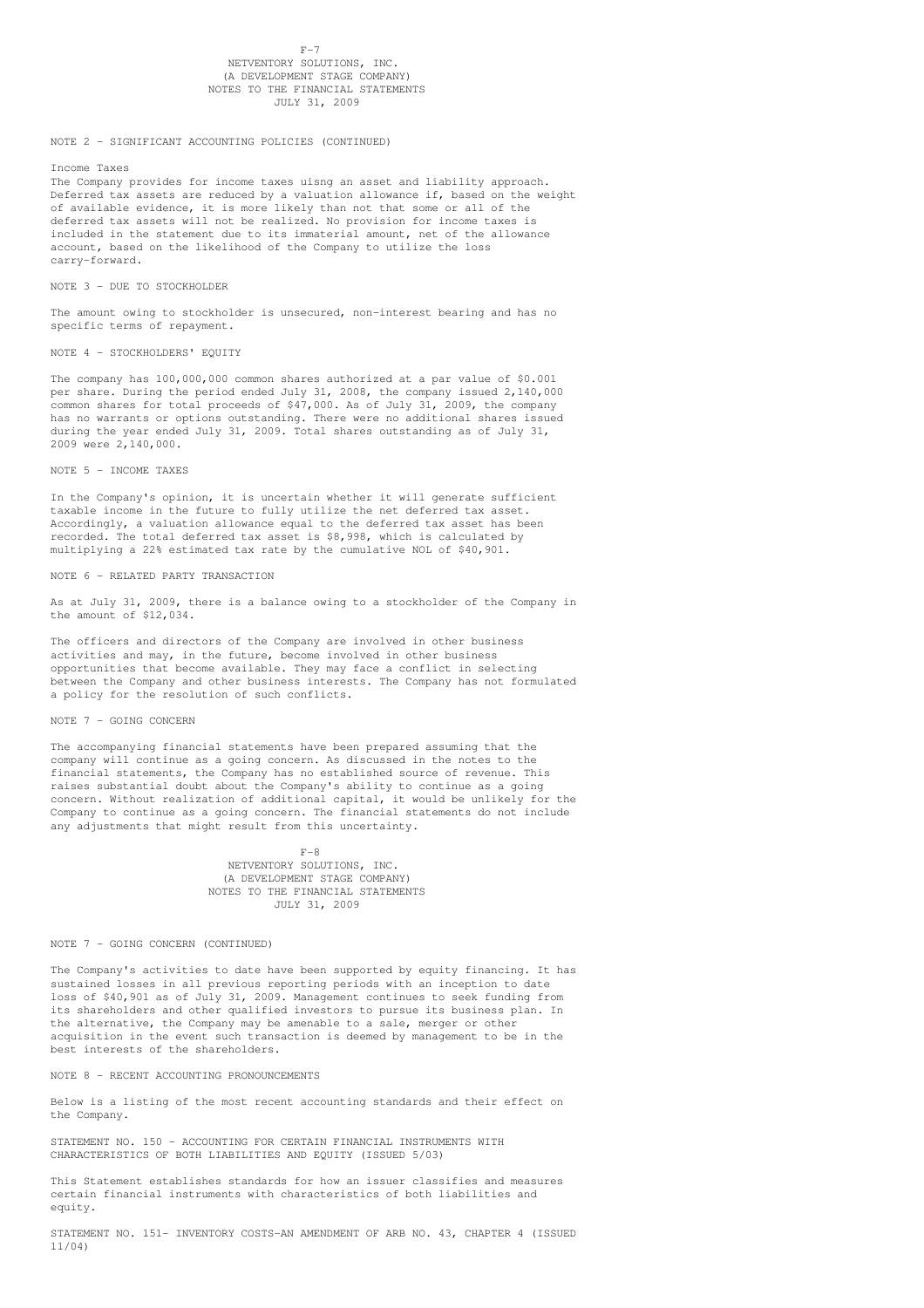# $F-7$

## NETVENTORY SOLUTIONS, INC. (A DEVELOPMENT STAGE COMPANY) NOTES TO THE FINANCIAL STATEMENTS JULY 31, 2009

## NOTE 2 - SIGNIFICANT ACCOUNTING POLICIES (CONTINUED)

Income Taxes

The Company provides for income taxes uisng an asset and liability approach. Deferred tax assets are reduced by a valuation allowance if, based on the weight of available evidence, it is more likely than not that some or all of the deferred tax assets will not be realized. No provision for income taxes is included in the statement due to its immaterial amount, net of the allowance account, based on the likelihood of the Company to utilize the loss carry-forward.

NOTE 3 - DUE TO STOCKHOLDER

The amount owing to stockholder is unsecured, non-interest bearing and has no specific terms of repayment.

NOTE 4 - STOCKHOLDERS' EQUITY

The company has 100,000,000 common shares authorized at a par value of \$0.001 per share. During the period ended July 31, 2008, the company issued 2,140,000 common shares for total proceeds of \$47,000. As of July 31, 2009, the company has no warrants or options outstanding. There were no additional shares issued during the year ended July 31, 2009. Total shares outstanding as of July 31, 2009 were 2,140,000.

NOTE 5 - INCOME TAXES

In the Company's opinion, it is uncertain whether it will generate sufficient taxable income in the future to fully utilize the net deferred tax asset. Accordingly, a valuation allowance equal to the deferred tax asset has been recorded. The total deferred tax asset is \$8,998, which is calculated by multiplying a 22% estimated tax rate by the cumulative NOL of \$40,901.

## NOTE 6 - RELATED PARTY TRANSACTION

As at July 31, 2009, there is a balance owing to a stockholder of the Company in the amount of \$12,034.

The officers and directors of the Company are involved in other business activities and may, in the future, become involved in other business opportunities that become available. They may face a conflict in selecting between the Company and other business interests. The Company has not formulated a policy for the resolution of such conflicts.

## NOTE 7 - GOING CONCERN

The accompanying financial statements have been prepared assuming that the company will continue as a going concern. As discussed in the notes to the financial statements, the Company has no established source of revenue. This raises substantial doubt about the Company's ability to continue as a going concern. Without realization of additional capital, it would be unlikely for the Company to continue as a going concern. The financial statements do not include any adjustments that might result from this uncertainty.

> $F-8$ NETVENTORY SOLUTIONS, INC. (A DEVELOPMENT STAGE COMPANY) NOTES TO THE FINANCIAL STATEMENTS JULY 31, 2009

## NOTE 7 - GOING CONCERN (CONTINUED)

The Company's activities to date have been supported by equity financing. It has sustained losses in all previous reporting periods with an inception to date loss of \$40,901 as of July 31, 2009. Management continues to seek funding from its shareholders and other qualified investors to pursue its business plan. In the alternative, the Company may be amenable to a sale, merger or other acquisition in the event such transaction is deemed by management to be in the best interests of the shareholders.

NOTE 8 - RECENT ACCOUNTING PRONOUNCEMENTS

Below is a listing of the most recent accounting standards and their effect on the Company.

STATEMENT NO. 150 - ACCOUNTING FOR CERTAIN FINANCIAL INSTRUMENTS WITH CHARACTERISTICS OF BOTH LIABILITIES AND EQUITY (ISSUED 5/03)

This Statement establishes standards for how an issuer classifies and measures certain financial instruments with characteristics of both liabilities and equity.

STATEMENT NO. 151- INVENTORY COSTS-AN AMENDMENT OF ARB NO. 43, CHAPTER 4 (ISSUED 11/04)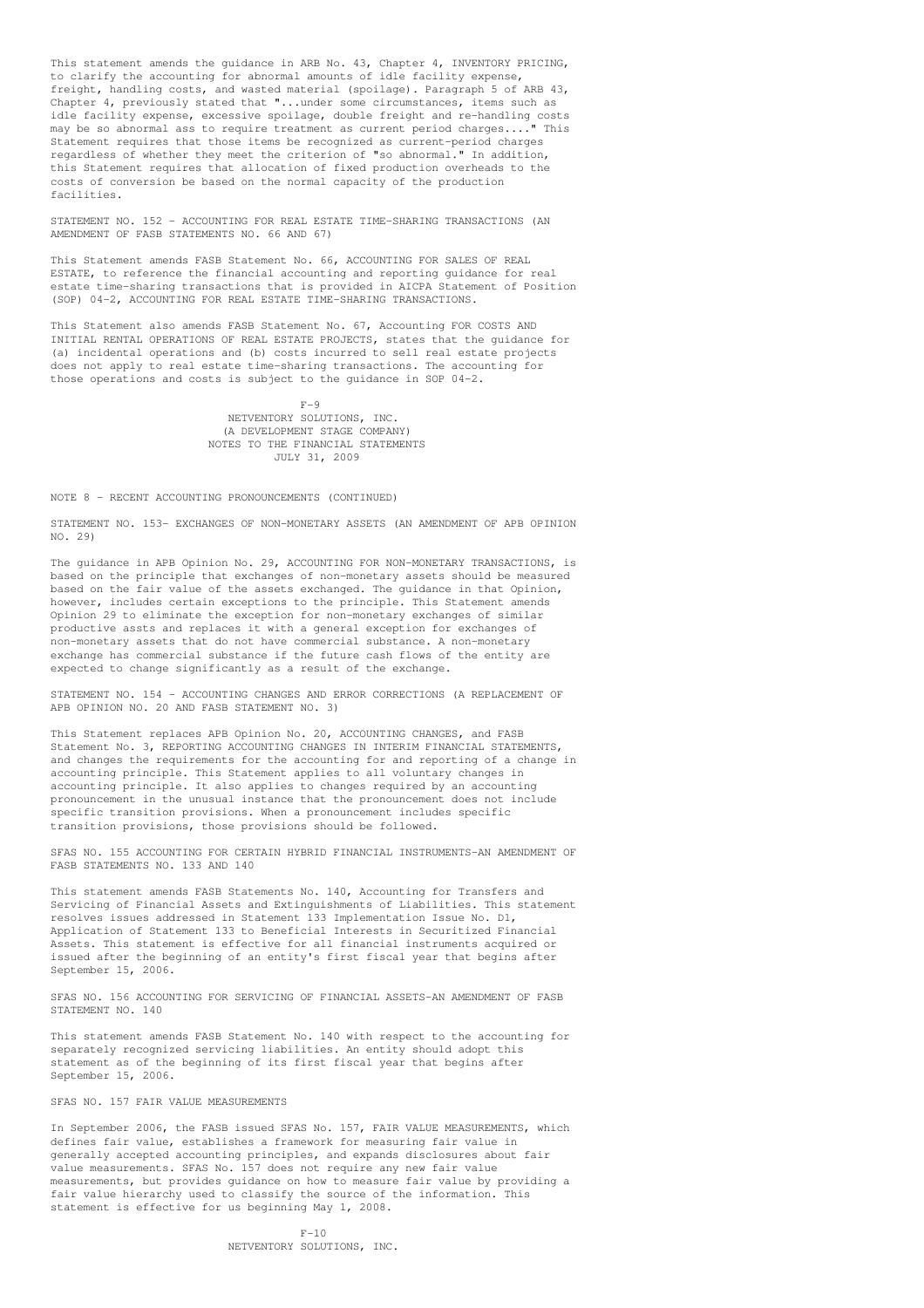This statement amends the guidance in ARB No. 43, Chapter 4, INVENTORY PRICING, to clarify the accounting for abnormal amounts of idle facility expense, freight, handling costs, and wasted material (spoilage). Paragraph 5 of ARB 43, Chapter 4, previously stated that "...under some circumstances, items such as idle facility expense, excessive spoilage, double freight and re-handling costs may be so abnormal ass to require treatment as current period charges...." This Statement requires that those items be recognized as current-period charges regardless of whether they meet the criterion of "so abnormal." In addition, this Statement requires that allocation of fixed production overheads to the costs of conversion be based on the normal capacity of the production facilities.

STATEMENT NO. 152 - ACCOUNTING FOR REAL ESTATE TIME-SHARING TRANSACTIONS (AN AMENDMENT OF FASB STATEMENTS NO. 66 AND 67)

This Statement amends FASB Statement No. 66, ACCOUNTING FOR SALES OF REAL ESTATE, to reference the financial accounting and reporting guidance for real estate time-sharing transactions that is provided in AICPA Statement of Position (SOP) 04-2, ACCOUNTING FOR REAL ESTATE TIME-SHARING TRANSACTIONS.

This Statement also amends FASB Statement No. 67, Accounting FOR COSTS AND INITIAL RENTAL OPERATIONS OF REAL ESTATE PROJECTS, states that the guidance for (a) incidental operations and (b) costs incurred to sell real estate projects does not apply to real estate time-sharing transactions. The accounting for those operations and costs is subject to the guidance in SOP 04-2.

> $F-9$ NETVENTORY SOLUTIONS, INC. (A DEVELOPMENT STAGE COMPANY) NOTES TO THE FINANCIAL STATEMENTS JULY 31, 2009

## NOTE 8 - RECENT ACCOUNTING PRONOUNCEMENTS (CONTINUED)

STATEMENT NO. 153- EXCHANGES OF NON-MONETARY ASSETS (AN AMENDMENT OF APB OPINION NO. 29)

The guidance in APB Opinion No. 29, ACCOUNTING FOR NON-MONETARY TRANSACTIONS, is based on the principle that exchanges of non-monetary assets should be measured based on the fair value of the assets exchanged. The guidance in that Opinion, however, includes certain exceptions to the principle. This Statement amends Opinion 29 to eliminate the exception for non-monetary exchanges of similar productive assts and replaces it with a general exception for exchanges of non-monetary assets that do not have commercial substance. A non-monetary exchange has commercial substance if the future cash flows of the entity are expected to change significantly as a result of the exchange.

STATEMENT NO. 154 - ACCOUNTING CHANGES AND ERROR CORRECTIONS (A REPLACEMENT OF APB OPINION NO. 20 AND FASB STATEMENT NO. 3)

This Statement replaces APB Opinion No. 20, ACCOUNTING CHANGES, and FASB Statement No. 3, REPORTING ACCOUNTING CHANGES IN INTERIM FINANCIAL STATEMENTS, and changes the requirements for the accounting for and reporting of a change in accounting principle. This Statement applies to all voluntary changes in accounting principle. It also applies to changes required by an accounting pronouncement in the unusual instance that the pronouncement does not include specific transition provisions. When a pronouncement includes specific transition provisions, those provisions should be followed.

SFAS NO. 155 ACCOUNTING FOR CERTAIN HYBRID FINANCIAL INSTRUMENTS-AN AMENDMENT OF FASB STATEMENTS NO. 133 AND 140

This statement amends FASB Statements No. 140, Accounting for Transfers and Servicing of Financial Assets and Extinguishments of Liabilities. This statement resolves issues addressed in Statement 133 Implementation Issue No. D1, Application of Statement 133 to Beneficial Interests in Securitized Financial Assets. This statement is effective for all financial instruments acquired or issued after the beginning of an entity's first fiscal year that begins after September 15, 2006.

SFAS NO. 156 ACCOUNTING FOR SERVICING OF FINANCIAL ASSETS-AN AMENDMENT OF FASB STATEMENT NO. 140

This statement amends FASB Statement No. 140 with respect to the accounting for separately recognized servicing liabilities. An entity should adopt this statement as of the beginning of its first fiscal year that begins after September 15, 2006.

#### SFAS NO. 157 FAIR VALUE MEASUREMENTS

In September 2006, the FASB issued SFAS No. 157, FAIR VALUE MEASUREMENTS, which defines fair value, establishes a framework for measuring fair value in generally accepted accounting principles, and expands disclosures about fair value measurements. SFAS No. 157 does not require any new fair value measurements, but provides guidance on how to measure fair value by providing a fair value hierarchy used to classify the source of the information. This statement is effective for us beginning May 1, 2008.

> $F-10$ NETVENTORY SOLUTIONS, INC.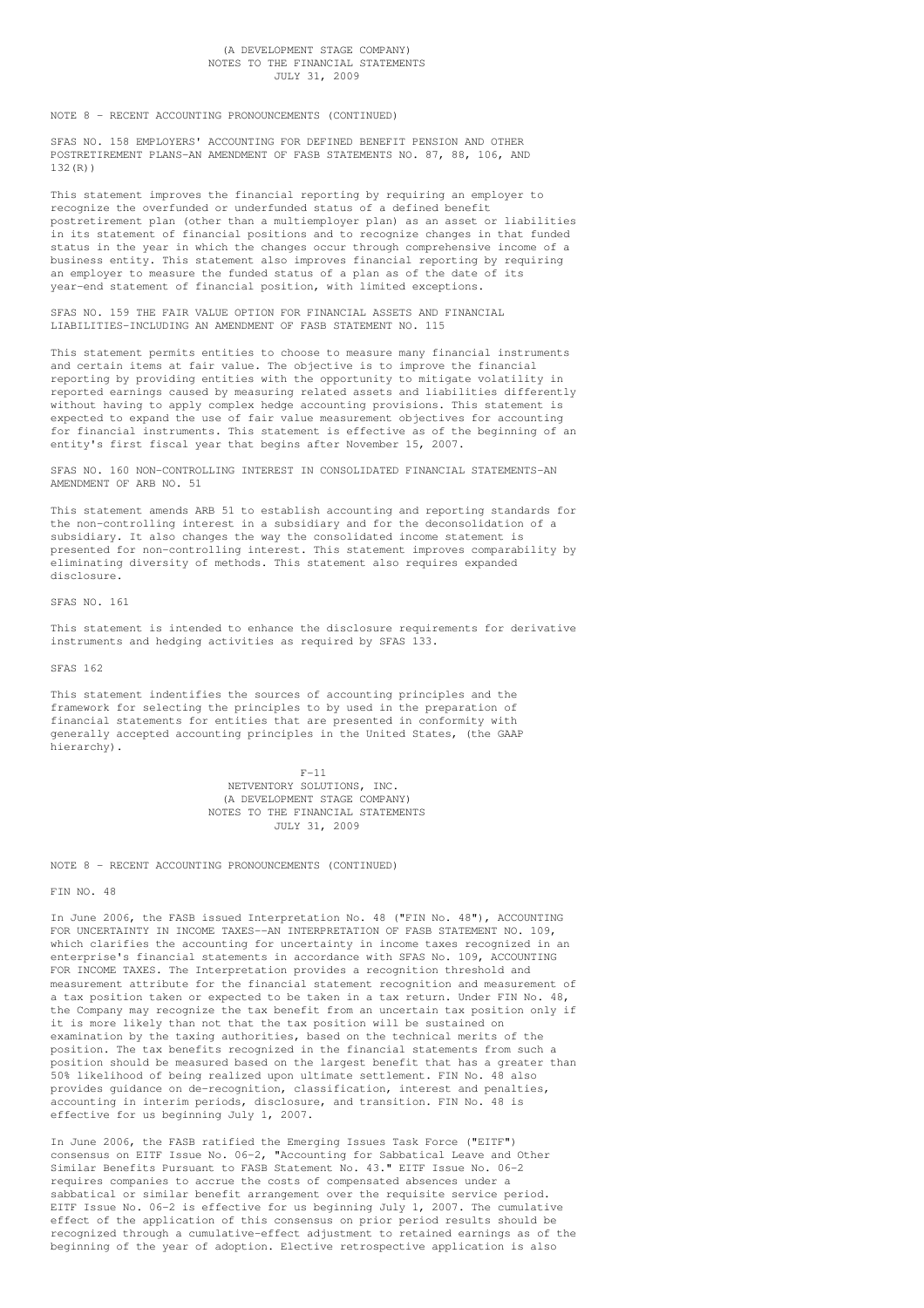## (A DEVELOPMENT STAGE COMPANY) NOTES TO THE FINANCIAL STATEMENTS JULY 31, 2009

NOTE 8 - RECENT ACCOUNTING PRONOUNCEMENTS (CONTINUED)

SFAS NO. 158 EMPLOYERS' ACCOUNTING FOR DEFINED BENEFIT PENSION AND OTHER POSTRETIREMENT PLANS-AN AMENDMENT OF FASB STATEMENTS NO. 87, 88, 106, AND 132(R))

This statement improves the financial reporting by requiring an employer to recognize the overfunded or underfunded status of a defined benefit postretirement plan (other than a multiemployer plan) as an asset or liabilities in its statement of financial positions and to recognize changes in that funded status in the year in which the changes occur through comprehensive income of a business entity. This statement also improves financial reporting by requiring an employer to measure the funded status of a plan as of the date of its year-end statement of financial position, with limited exceptions.

SFAS NO. 159 THE FAIR VALUE OPTION FOR FINANCIAL ASSETS AND FINANCIAL LIABILITIES-INCLUDING AN AMENDMENT OF FASB STATEMENT NO. 115

This statement permits entities to choose to measure many financial instruments and certain items at fair value. The objective is to improve the financial reporting by providing entities with the opportunity to mitigate volatility in reported earnings caused by measuring related assets and liabilities differently without having to apply complex hedge accounting provisions. This statement is expected to expand the use of fair value measurement objectives for accounting for financial instruments. This statement is effective as of the beginning of an entity's first fiscal year that begins after November 15, 2007.

SFAS NO. 160 NON-CONTROLLING INTEREST IN CONSOLIDATED FINANCIAL STATEMENTS-AN AMENDMENT OF ARB NO. 51

This statement amends ARB 51 to establish accounting and reporting standards for the non-controlling interest in a subsidiary and for the deconsolidation of a subsidiary. It also changes the way the consolidated income statement is presented for non-controlling interest. This statement improves comparability by eliminating diversity of methods. This statement also requires expanded disclosure.

SFAS NO. 161

This statement is intended to enhance the disclosure requirements for derivative instruments and hedging activities as required by SFAS 133.

SFAS 162

This statement indentifies the sources of accounting principles and the framework for selecting the principles to by used in the preparation of financial statements for entities that are presented in conformity with generally accepted accounting principles in the United States, (the GAAP hierarchy).

> F-11 NETVENTORY SOLUTIONS, INC. (A DEVELOPMENT STAGE COMPANY) NOTES TO THE FINANCIAL STATEMENTS JULY 31, 2009

NOTE 8 - RECENT ACCOUNTING PRONOUNCEMENTS (CONTINUED)

FIN NO. 48

In June 2006, the FASB issued Interpretation No. 48 ("FIN No. 48"), ACCOUNTING FOR UNCERTAINTY IN INCOME TAXES--AN INTERPRETATION OF FASB STATEMENT NO. 109, which clarifies the accounting for uncertainty in income taxes recognized in an enterprise's financial statements in accordance with SFAS No. 109, ACCOUNTING FOR INCOME TAXES. The Interpretation provides a recognition threshold and measurement attribute for the financial statement recognition and measurement of a tax position taken or expected to be taken in a tax return. Under FIN No. 48, the Company may recognize the tax benefit from an uncertain tax position only if it is more likely than not that the tax position will be sustained on examination by the taxing authorities, based on the technical merits of the position. The tax benefits recognized in the financial statements from such a position should be measured based on the largest benefit that has a greater than 50% likelihood of being realized upon ultimate settlement. FIN No. 48 also provides guidance on de-recognition, classification, interest and penalties, accounting in interim periods, disclosure, and transition. FIN No. 48 is effective for us beginning July 1, 2007.

In June 2006, the FASB ratified the Emerging Issues Task Force ("EITF") consensus on EITF Issue No. 06-2, "Accounting for Sabbatical Leave and Other Similar Benefits Pursuant to FASB Statement No. 43." EITF Issue No. 06-2 requires companies to accrue the costs of compensated absences under a sabbatical or similar benefit arrangement over the requisite service period. EITF Issue No. 06-2 is effective for us beginning July 1, 2007. The cumulative effect of the application of this consensus on prior period results should be recognized through a cumulative-effect adjustment to retained earnings as of the beginning of the year of adoption. Elective retrospective application is also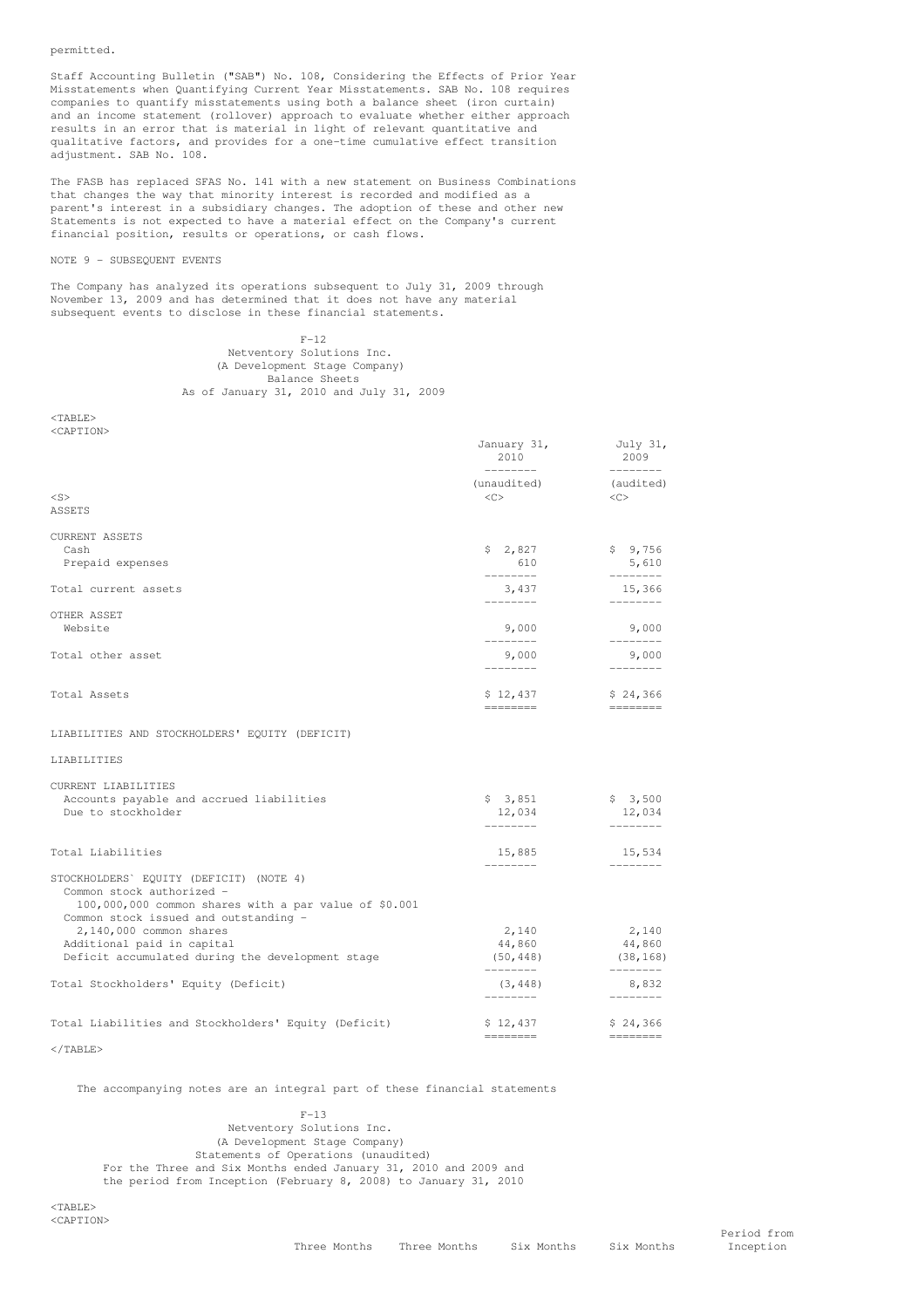## permitted.

Staff Accounting Bulletin ("SAB") No. 108, Considering the Effects of Prior Year Misstatements when Quantifying Current Year Misstatements. SAB No. 108 requires companies to quantify misstatements using both a balance sheet (iron curtain) and an income statement (rollover) approach to evaluate whether either approach results in an error that is material in light of relevant quantitative and qualitative factors, and provides for a one-time cumulative effect transition adjustment. SAB No. 108.

The FASB has replaced SFAS No. 141 with a new statement on Business Combinations that changes the way that minority interest is recorded and modified as a parent's interest in a subsidiary changes. The adoption of these and other new Statements is not expected to have a material effect on the Company's current financial position, results or operations, or cash flows.

## NOTE 9 - SUBSEQUENT EVENTS

The Company has analyzed its operations subsequent to July 31, 2009 through November 13, 2009 and has determined that it does not have any material subsequent events to disclose in these financial statements.

## $F-12$ Netventory Solutions Inc. (A Development Stage Company) Balance Sheets As of January 31, 2010 and July 31, 2009

<TABLE> <CAPTION>

|                                                                                                | January 31,<br>2010<br>--------- | July 31,<br>2009<br>$- - - - - - - -$ |
|------------------------------------------------------------------------------------------------|----------------------------------|---------------------------------------|
|                                                                                                | (unaudited)                      | (audited)                             |
| $<$ S>                                                                                         | <<                               | <<>                                   |
| ASSETS                                                                                         |                                  |                                       |
| <b>CURRENT ASSETS</b>                                                                          |                                  |                                       |
| Cash                                                                                           | \$2,827                          | \$9,756                               |
| Prepaid expenses                                                                               | 610<br>---------                 | 5,610                                 |
| Total current assets                                                                           | 3,437                            | 15,366                                |
| OTHER ASSET                                                                                    |                                  |                                       |
| Website                                                                                        | 9,000<br>--------                | 9,000<br>$- - - - - - - -$            |
| Total other asset                                                                              | 9,000                            | 9,000                                 |
|                                                                                                | --------                         |                                       |
| Total Assets                                                                                   | \$12,437<br>========             | \$24,366<br>========                  |
| LIABILITIES AND STOCKHOLDERS' EQUITY (DEFICIT)                                                 |                                  |                                       |
| LIABILITIES                                                                                    |                                  |                                       |
| CURRENT LIABILITIES                                                                            |                                  |                                       |
| Accounts payable and accrued liabilities                                                       | \$3,851                          | \$3,500                               |
| Due to stockholder                                                                             | 12,034<br>---------              | 12,034<br>$- - - - - - - -$           |
|                                                                                                |                                  |                                       |
| Total Liabilities                                                                              | 15,885<br>كاكت كاكت              | 15,534                                |
| STOCKHOLDERS' EQUITY (DEFICIT) (NOTE 4)                                                        |                                  |                                       |
| Common stock authorized -                                                                      |                                  |                                       |
| 100,000,000 common shares with a par value of \$0.001<br>Common stock issued and outstanding - |                                  |                                       |
| 2,140,000 common shares                                                                        | 2,140                            | 2,140                                 |
| Additional paid in capital                                                                     | 44,860                           | 44,860                                |
| Deficit accumulated during the development stage                                               | ---------                        | $(50, 448)$ $(38, 168)$<br>---------  |
| Total Stockholders' Equity (Deficit)                                                           | (3, 448)<br>---------            | 8,832<br>$- - - - - - - -$            |
|                                                                                                |                                  |                                       |
| Total Liabilities and Stockholders' Equity (Deficit)                                           | \$12,437                         | \$24,366                              |
|                                                                                                |                                  |                                       |

</TABLE>

The accompanying notes are an integral part of these financial statements

 $F-13$ Netventory Solutions Inc. (A Development Stage Company) Statements of Operations (unaudited) For the Three and Six Months ended January 31, 2010 and 2009 and the period from Inception (February 8, 2008) to January 31, 2010

 $ZTAPLFA$ <CAPTION>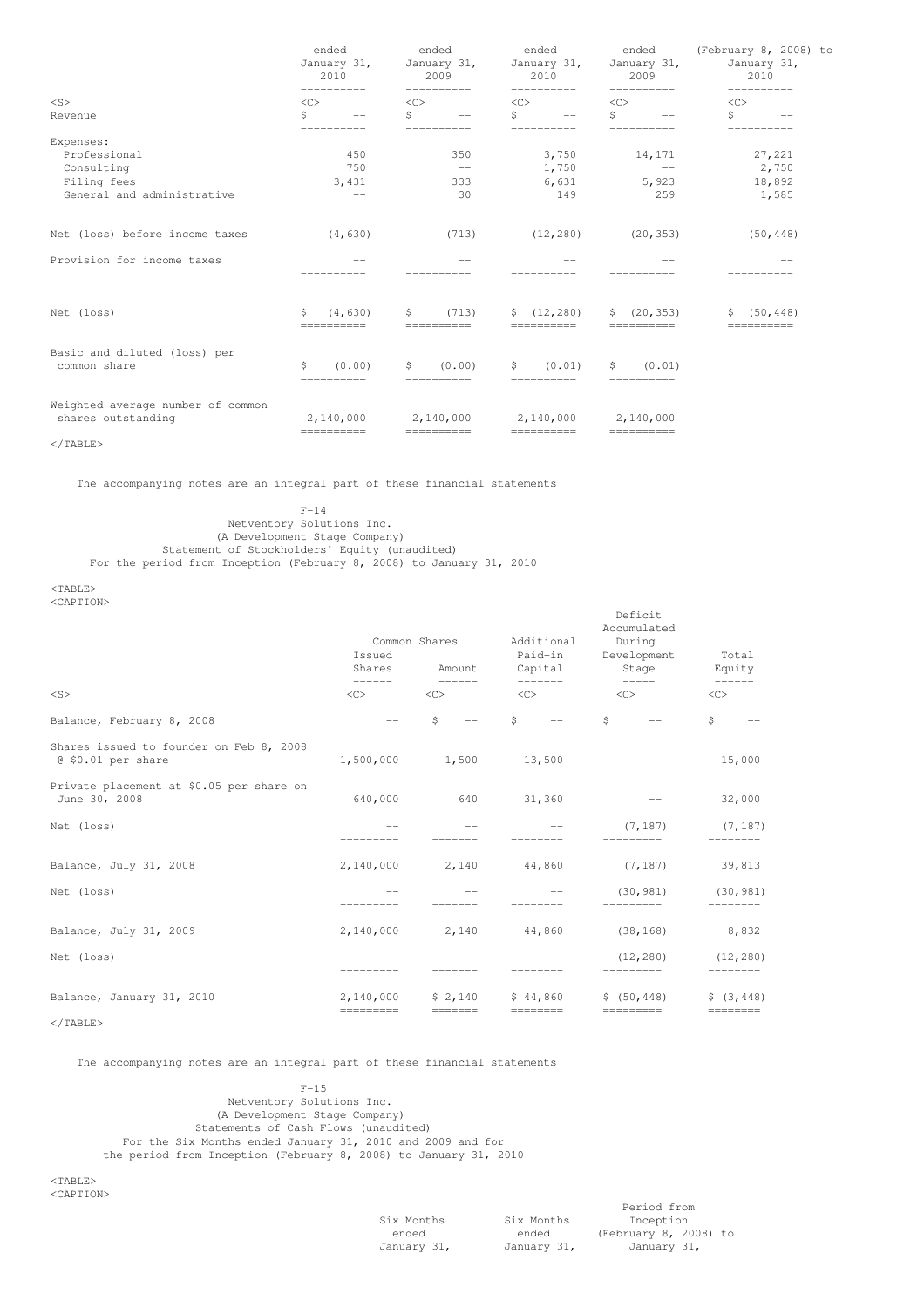|                                                         | ended<br>January 31,<br>2010<br><< |                                      | ended<br>January 31,<br>2009<br>< <sub></sub> |                                      | ended<br>January 31,<br>2010<br>$\langle C \rangle$ |                                                | ended<br>January 31,<br>2009<br>< <sub></sub> |                                 | (February 8, 2008) to<br>January 31,<br>2010<br>< <c></c> |                                      |
|---------------------------------------------------------|------------------------------------|--------------------------------------|-----------------------------------------------|--------------------------------------|-----------------------------------------------------|------------------------------------------------|-----------------------------------------------|---------------------------------|-----------------------------------------------------------|--------------------------------------|
| $<$ S>                                                  |                                    |                                      |                                               |                                      |                                                     |                                                |                                               |                                 |                                                           |                                      |
| Revenue                                                 | \$                                 | $- -$<br>-----------                 | Ŝ.                                            | $  \,$<br>-------                    | Ŝ.                                                  | $\overline{\phantom{m}}$                       | S                                             | $\sim$ $-$                      | Š.                                                        |                                      |
| Expenses:                                               |                                    |                                      |                                               |                                      |                                                     |                                                |                                               |                                 |                                                           |                                      |
| Professional                                            |                                    | 450                                  |                                               | 350                                  |                                                     | 3,750 14,171                                   |                                               |                                 |                                                           | 27,221                               |
| Consulting                                              |                                    | 750                                  |                                               | $\sim$ $-$                           |                                                     | 1,750                                          |                                               | $\longrightarrow$               |                                                           | 2,750                                |
| Filing fees                                             |                                    | 3,431                                |                                               | 333                                  |                                                     | 6,631 5,923                                    |                                               |                                 |                                                           | 18,892                               |
| General and administrative                              |                                    |                                      |                                               | 30                                   |                                                     | 149                                            |                                               | 259                             |                                                           | 1,585                                |
| Net (loss) before income taxes                          |                                    | (4, 630)                             |                                               | (713)                                |                                                     | (12, 280)                                      |                                               | (20, 353)                       |                                                           | (50, 448)                            |
| Provision for income taxes                              |                                    |                                      |                                               |                                      |                                                     |                                                |                                               |                                 |                                                           |                                      |
| Net (loss)                                              | \$                                 | (4, 630)<br>$=$ = = = = = = = = = =  | \$                                            | (713)<br>$=$ ==========              |                                                     | \$(12, 280)<br>==========                      | S.                                            | (20, 353)<br>$=$ ==========     | S.                                                        | (50, 448)<br>$=$ = = = = = = = = = = |
| Basic and diluted (loss) per<br>common share            | \$                                 | (0.00)<br>$=$ = = = = = = = = = =    | S.                                            | (0.00)<br>$=$ = = = = = = = = = =    | S.                                                  | (0.01)<br>$=$ = = = = = = = = = =              | S                                             | (0.01)<br>$=$ = = = = = = = = = |                                                           |                                      |
| Weighted average number of common<br>shares outstanding |                                    | 2,140,000<br>$=$ = = = = = = = = = = |                                               | 2,140,000<br>$=$ = = = = = = = = = = |                                                     | 2,140,000 2,140,000<br>$=$ = = = = = = = = = = |                                               | $=$ = = = = = = = = = =         |                                                           |                                      |

 $\langle$ /TABLE>

The accompanying notes are an integral part of these financial statements

F-14 Netventory Solutions Inc. (A Development Stage Company) Statement of Stockholders' Equity (unaudited) For the period from Inception (February 8, 2008) to January 31, 2010

<TABLE>

<CAPTION>

|                                                               | Issued<br>Shares                 | Common Shares<br>Amount                                                                                                                                                                                                                                                                                                                                                                                                                                                                    | Additional<br>Paid-in<br>Capital          | レビエエレエロ<br>Accumulated<br>During<br>Development<br>Stage | Total<br>Equity                          |
|---------------------------------------------------------------|----------------------------------|--------------------------------------------------------------------------------------------------------------------------------------------------------------------------------------------------------------------------------------------------------------------------------------------------------------------------------------------------------------------------------------------------------------------------------------------------------------------------------------------|-------------------------------------------|----------------------------------------------------------|------------------------------------------|
| $<$ S $>$                                                     | -------<br>$<\infty$             | $- - - - - -$<br><<                                                                                                                                                                                                                                                                                                                                                                                                                                                                        | --------<br><<                            | $\langle C \rangle$                                      | $\qquad \qquad - - - - - -$<br>$<\infty$ |
| Balance, February 8, 2008                                     |                                  | Ś<br>$-\,-$                                                                                                                                                                                                                                                                                                                                                                                                                                                                                | \$<br>$\longrightarrow$ $\longrightarrow$ | Ŝ.<br>$\overline{\phantom{m}}$                           | \$                                       |
| Shares issued to founder on Feb 8, 2008<br>@ \$0.01 per share | 1,500,000                        | 1,500                                                                                                                                                                                                                                                                                                                                                                                                                                                                                      | 13,500                                    |                                                          | 15,000                                   |
| Private placement at \$0.05 per share on<br>June 30, 2008     | 640,000                          | 640                                                                                                                                                                                                                                                                                                                                                                                                                                                                                        | 31,360                                    |                                                          | 32,000                                   |
| Net (loss)                                                    |                                  |                                                                                                                                                                                                                                                                                                                                                                                                                                                                                            |                                           | (7, 187)                                                 | (7, 187)                                 |
| Balance, July 31, 2008                                        | 2,140,000                        | 2,140                                                                                                                                                                                                                                                                                                                                                                                                                                                                                      | 44,860                                    | (7, 187)                                                 | 39,813                                   |
| Net (loss)                                                    |                                  |                                                                                                                                                                                                                                                                                                                                                                                                                                                                                            |                                           | (30, 981)                                                | (30, 981)                                |
| Balance, July 31, 2009                                        | 2,140,000                        | 2,140                                                                                                                                                                                                                                                                                                                                                                                                                                                                                      | 44,860                                    | (38, 168)                                                | 8,832                                    |
| Net (loss)                                                    |                                  |                                                                                                                                                                                                                                                                                                                                                                                                                                                                                            |                                           | (12, 280)                                                | (12, 280)                                |
| Balance, January 31, 2010                                     | 2,140,000<br>$=$ = = = = = = = = | \$2,140<br>$\qquad \qquad \doteq \qquad \qquad \doteq \qquad \qquad \doteq \qquad \qquad \doteq \qquad \qquad \doteq \qquad \qquad \doteq \qquad \qquad \doteq \qquad \qquad \doteq \qquad \qquad \doteq \qquad \qquad \doteq \qquad \qquad \doteq \qquad \qquad \doteq \qquad \qquad \doteq \qquad \qquad \doteq \qquad \qquad \doteq \qquad \qquad \doteq \qquad \qquad \doteq \qquad \qquad \doteq \qquad \qquad \doteq \qquad \qquad \doteq \qquad \qquad \doteq \qquad \qquad \doteq$ | \$44,860<br>$=$ = = = = = = =             | \$ (50, 448)<br>$=$ = = = = = = = = =                    | \$ (3, 448)<br>$=$ = = = = = = = =       |
| $<$ /TABLE>                                                   |                                  |                                                                                                                                                                                                                                                                                                                                                                                                                                                                                            |                                           |                                                          |                                          |

The accompanying notes are an integral part of these financial statements

 $F-15$ Netventory Solutions Inc. (A Development Stage Company) Statements of Cash Flows (unaudited) For the Six Months ended January 31, 2010 and 2009 and for the period from Inception (February 8, 2008) to January 31, 2010

<TABLE> <CAPTION>

Six Months Six Months<br>ended ended

Period from<br>Inception ended ended (February 8, 2008) to January 31, January 31, January 31,

Deficit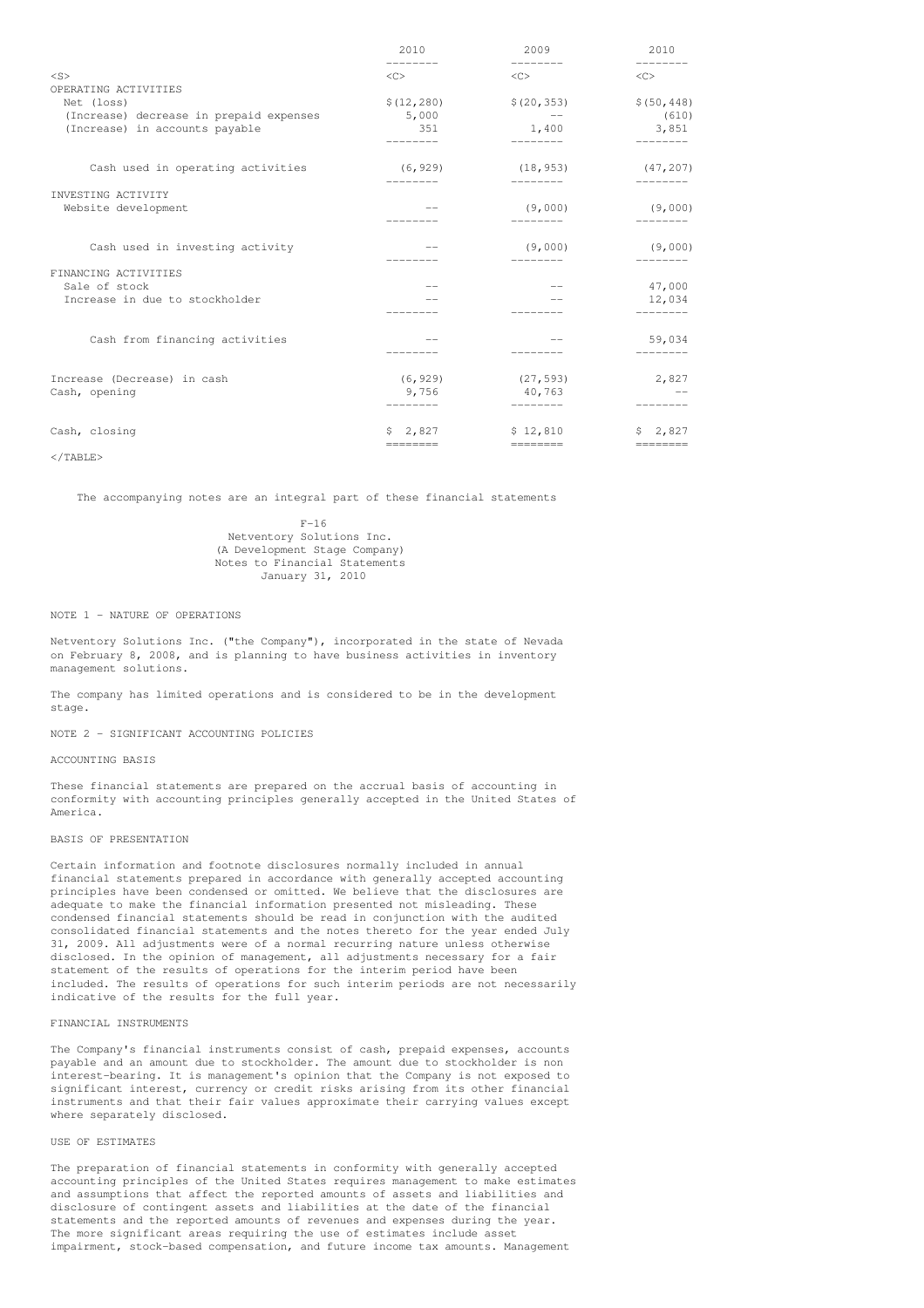|                                         | 2010                | 2009                    | 2010                |
|-----------------------------------------|---------------------|-------------------------|---------------------|
| $<$ S>                                  | $\langle C \rangle$ | $\langle C \rangle$     | $\langle C \rangle$ |
| OPERATING ACTIVITIES                    |                     |                         |                     |
| Net (loss)                              | \$(12, 280)         | \$(20, 353)             | \$(50, 448)         |
| (Increase) decrease in prepaid expenses | 5,000               | $\sim 100$ km s $^{-1}$ | (610)               |
| (Increase) in accounts payable          | 351<br>________     | 1,400<br>---------      | 3,851<br>---------  |
| Cash used in operating activities       | (6, 929)            | (18, 953)               | (47, 207)           |
|                                         |                     |                         |                     |
| INVESTING ACTIVITY                      |                     |                         |                     |
| Website development                     |                     | (9,000)                 | (9,000)             |
|                                         |                     |                         |                     |
| Cash used in investing activity         |                     | (9,000)                 | (9,000)             |
|                                         |                     |                         |                     |
| FINANCING ACTIVITIES                    |                     |                         |                     |
| Sale of stock                           | $- -$               | $\frac{1}{2}$           | 47,000              |
| Increase in due to stockholder          |                     |                         | 12,034              |
|                                         |                     |                         | --------            |
| Cash from financing activities          |                     | $-$                     | 59,034              |
|                                         |                     |                         |                     |
| Increase (Decrease) in cash             | (6, 929)            | (27, 593)               | 2,827               |
| Cash, opening                           | 9,756               | 40,763                  |                     |
|                                         |                     |                         |                     |
| Cash, closing                           |                     | $$2,827$ $$12,810$      | \$2,827             |
|                                         | $=$ =======         | __________              | $=========$         |

 $\langle$ /TABLE>

The accompanying notes are an integral part of these financial statements

 $F-16$ Netventory Solutions Inc. (A Development Stage Company) Notes to Financial Statements January 31, 2010

## NOTE 1 - NATURE OF OPERATIONS

Netventory Solutions Inc. ("the Company"), incorporated in the state of Nevada on February 8, 2008, and is planning to have business activities in inventory management solutions.

The company has limited operations and is considered to be in the development stage.

NOTE 2 - SIGNIFICANT ACCOUNTING POLICIES

## ACCOUNTING BASIS

These financial statements are prepared on the accrual basis of accounting in conformity with accounting principles generally accepted in the United States of America.

## BASIS OF PRESENTATION

Certain information and footnote disclosures normally included in annual financial statements prepared in accordance with generally accepted accounting principles have been condensed or omitted. We believe that the disclosures are adequate to make the financial information presented not misleading. These condensed financial statements should be read in conjunction with the audited consolidated financial statements and the notes thereto for the year ended July 31, 2009. All adjustments were of a normal recurring nature unless otherwise disclosed. In the opinion of management, all adjustments necessary for a fair statement of the results of operations for the interim period have been included. The results of operations for such interim periods are not necessarily indicative of the results for the full year.

## FINANCIAL INSTRUMENTS

The Company's financial instruments consist of cash, prepaid expenses, accounts payable and an amount due to stockholder. The amount due to stockholder is non interest-bearing. It is management's opinion that the Company is not exposed to significant interest, currency or credit risks arising from its other financial instruments and that their fair values approximate their carrying values except where separately disclosed.

#### USE OF ESTIMATES

The preparation of financial statements in conformity with generally accepted accounting principles of the United States requires management to make estimates and assumptions that affect the reported amounts of assets and liabilities and disclosure of contingent assets and liabilities at the date of the financial statements and the reported amounts of revenues and expenses during the year. The more significant areas requiring the use of estimates include asset impairment, stock-based compensation, and future income tax amounts. Management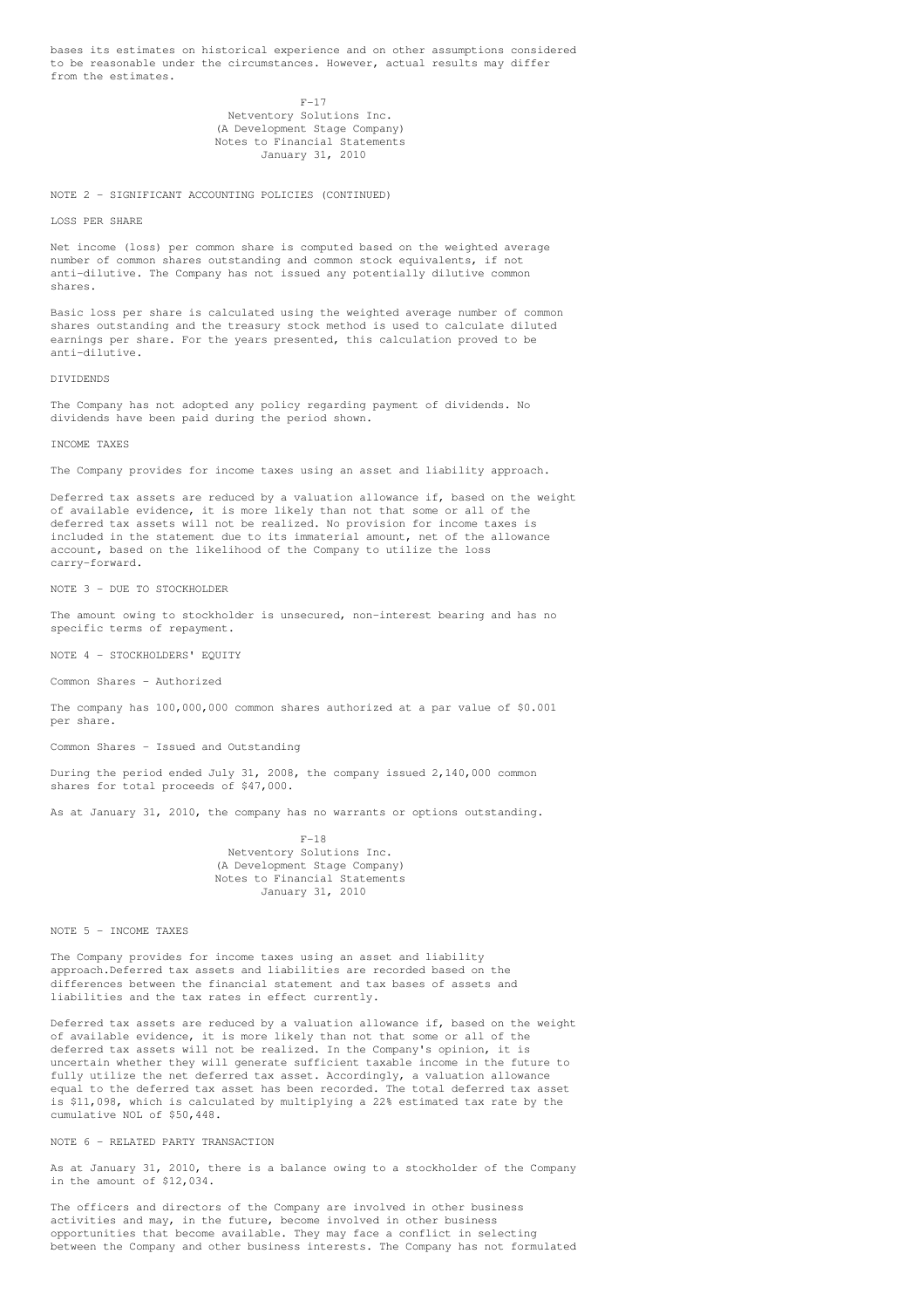bases its estimates on historical experience and on other assumptions considered to be reasonable under the circumstances. However, actual results may differ from the estimates.

> $F-17$ Netventory Solutions Inc. (A Development Stage Company) Notes to Financial Statements January 31, 2010

NOTE 2 - SIGNIFICANT ACCOUNTING POLICIES (CONTINUED)

LOSS PER SHARE

Net income (loss) per common share is computed based on the weighted average number of common shares outstanding and common stock equivalents, if not anti-dilutive. The Company has not issued any potentially dilutive common shares.

Basic loss per share is calculated using the weighted average number of common shares outstanding and the treasury stock method is used to calculate diluted earnings per share. For the years presented, this calculation proved to be anti-dilutive.

DIVIDENDS

The Company has not adopted any policy regarding payment of dividends. No dividends have been paid during the period shown.

#### INCOME TAXES

The Company provides for income taxes using an asset and liability approach.

Deferred tax assets are reduced by a valuation allowance if, based on the weight of available evidence, it is more likely than not that some or all of the deferred tax assets will not be realized. No provision for income taxes is included in the statement due to its immaterial amount, net of the allowance account, based on the likelihood of the Company to utilize the loss carry-forward.

NOTE 3 - DUE TO STOCKHOLDER

The amount owing to stockholder is unsecured, non-interest bearing and has no specific terms of repayment.

NOTE 4 - STOCKHOLDERS' EQUITY

Common Shares - Authorized

The company has 100,000,000 common shares authorized at a par value of \$0.001 per share.

Common Shares - Issued and Outstanding

During the period ended July 31, 2008, the company issued 2,140,000 common shares for total proceeds of \$47,000.

As at January 31, 2010, the company has no warrants or options outstanding.

 $F-18$ Netventory Solutions Inc. (A Development Stage Company) Notes to Financial Statements January 31, 2010

NOTE 5 - INCOME TAXES

The Company provides for income taxes using an asset and liability approach.Deferred tax assets and liabilities are recorded based on the differences between the financial statement and tax bases of assets and liabilities and the tax rates in effect currently.

Deferred tax assets are reduced by a valuation allowance if, based on the weight of available evidence, it is more likely than not that some or all of the deferred tax assets will not be realized. In the Company's opinion, it is uncertain whether they will generate sufficient taxable income in the future to fully utilize the net deferred tax asset. Accordingly, a valuation allowance equal to the deferred tax asset has been recorded. The total deferred tax asset is \$11,098, which is calculated by multiplying a 22% estimated tax rate by the cumulative NOL of \$50,448.

NOTE 6 - RELATED PARTY TRANSACTION

As at January 31, 2010, there is a balance owing to a stockholder of the Company in the amount of \$12,034.

The officers and directors of the Company are involved in other business activities and may, in the future, become involved in other business opportunities that become available. They may face a conflict in selecting between the Company and other business interests. The Company has not formulated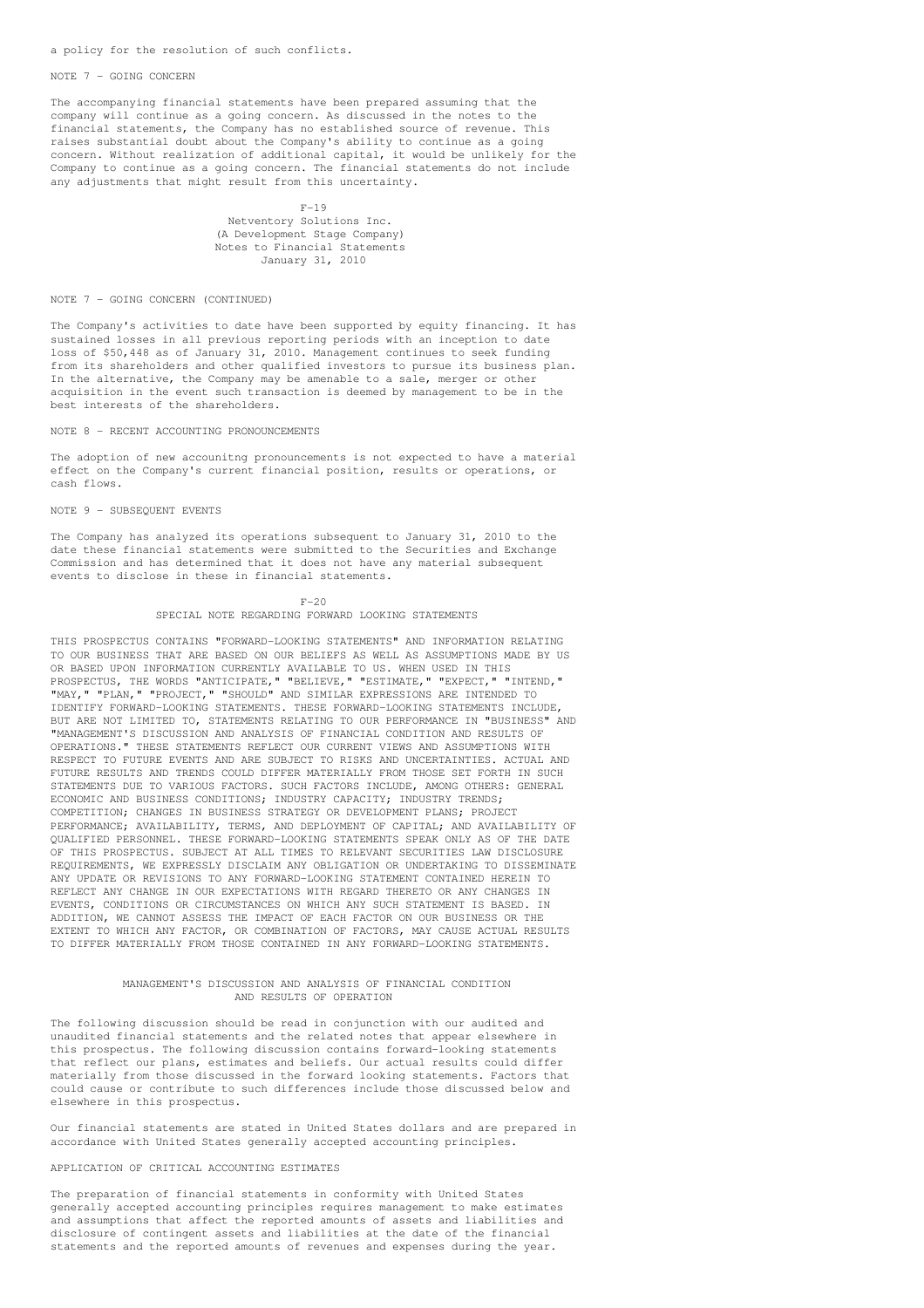a policy for the resolution of such conflicts.

### NOTE 7 - GOING CONCERN

The accompanying financial statements have been prepared assuming that the company will continue as a going concern. As discussed in the notes to the financial statements, the Company has no established source of revenue. This raises substantial doubt about the Company's ability to continue as a going concern. Without realization of additional capital, it would be unlikely for the Company to continue as a going concern. The financial statements do not include any adjustments that might result from this uncertainty.

> $F-19$ Netventory Solutions Inc. (A Development Stage Company) Notes to Financial Statements January 31, 2010

#### NOTE 7 - GOING CONCERN (CONTINUED)

The Company's activities to date have been supported by equity financing. It has sustained losses in all previous reporting periods with an inception to date loss of \$50,448 as of January 31, 2010. Management continues to seek funding from its shareholders and other qualified investors to pursue its business plan. In the alternative, the Company may be amenable to a sale, merger or other acquisition in the event such transaction is deemed by management to be in the best interests of the shareholders.

## NOTE 8 - RECENT ACCOUNTING PRONOUNCEMENTS

The adoption of new accounitng pronouncements is not expected to have a material effect on the Company's current financial position, results or operations, or cash flows.

#### NOTE 9 - SUBSEQUENT EVENTS

The Company has analyzed its operations subsequent to January 31, 2010 to the date these financial statements were submitted to the Securities and Exchange Commission and has determined that it does not have any material subsequent events to disclose in these in financial statements.

## $F-20$

## SPECIAL NOTE REGARDING FORWARD LOOKING STATEMENTS

THIS PROSPECTUS CONTAINS "FORWARD-LOOKING STATEMENTS" AND INFORMATION RELATING TO OUR BUSINESS THAT ARE BASED ON OUR BELIEFS AS WELL AS ASSUMPTIONS MADE BY US OR BASED UPON INFORMATION CURRENTLY AVAILABLE TO US. WHEN USED IN THIS PROSPECTUS, THE WORDS "ANTICIPATE," "BELIEVE," "ESTIMATE," "EXPECT," "INTEND," "MAY," "PLAN," "PROJECT," "SHOULD" AND SIMILAR EXPRESSIONS ARE INTENDED TO IDENTIFY FORWARD-LOOKING STATEMENTS. THESE FORWARD-LOOKING STATEMENTS INCLUDE, BUT ARE NOT LIMITED TO, STATEMENTS RELATING TO OUR PERFORMANCE IN "BUSINESS" AND "MANAGEMENT'S DISCUSSION AND ANALYSIS OF FINANCIAL CONDITION AND RESULTS OF OPERATIONS." THESE STATEMENTS REFLECT OUR CURRENT VIEWS AND ASSUMPTIONS WITH RESPECT TO FUTURE EVENTS AND ARE SUBJECT TO RISKS AND UNCERTAINTIES. ACTUAL AND FUTURE RESULTS AND TRENDS COULD DIFFER MATERIALLY FROM THOSE SET FORTH IN SUCH STATEMENTS DUE TO VARIOUS FACTORS. SUCH FACTORS INCLUDE, AMONG OTHERS: GENERAL ECONOMIC AND BUSINESS CONDITIONS; INDUSTRY CAPACITY; INDUSTRY TRENDS; COMPETITION; CHANGES IN BUSINESS STRATEGY OR DEVELOPMENT PLANS; PROJECT PERFORMANCE; AVAILABILITY, TERMS, AND DEPLOYMENT OF CAPITAL; AND AVAILABILITY OF QUALIFIED PERSONNEL. THESE FORWARD-LOOKING STATEMENTS SPEAK ONLY AS OF THE DATE OF THIS PROSPECTUS. SUBJECT AT ALL TIMES TO RELEVANT SECURITIES LAW DISCLOSURE REQUIREMENTS, WE EXPRESSLY DISCLAIM ANY OBLIGATION OR UNDERTAKING TO DISSEMINATE ANY UPDATE OR REVISIONS TO ANY FORWARD-LOOKING STATEMENT CONTAINED HEREIN TO REFLECT ANY CHANGE IN OUR EXPECTATIONS WITH REGARD THERETO OR ANY CHANGES IN EVENTS, CONDITIONS OR CIRCUMSTANCES ON WHICH ANY SUCH STATEMENT IS BASED. IN ADDITION, WE CANNOT ASSESS THE IMPACT OF EACH FACTOR ON OUR BUSINESS OR THE EXTENT TO WHICH ANY FACTOR, OR COMBINATION OF FACTORS, MAY CAUSE ACTUAL RESULTS TO DIFFER MATERIALLY FROM THOSE CONTAINED IN ANY FORWARD-LOOKING STATEMENTS.

## MANAGEMENT'S DISCUSSION AND ANALYSIS OF FINANCIAL CONDITION AND RESULTS OF OPERATION

The following discussion should be read in conjunction with our audited and unaudited financial statements and the related notes that appear elsewhere in this prospectus. The following discussion contains forward-looking statements that reflect our plans, estimates and beliefs. Our actual results could differ materially from those discussed in the forward looking statements. Factors that could cause or contribute to such differences include those discussed below and elsewhere in this prospectus.

Our financial statements are stated in United States dollars and are prepared in accordance with United States generally accepted accounting principles.

## APPLICATION OF CRITICAL ACCOUNTING ESTIMATES

The preparation of financial statements in conformity with United States generally accepted accounting principles requires management to make estimates and assumptions that affect the reported amounts of assets and liabilities and disclosure of contingent assets and liabilities at the date of the financial statements and the reported amounts of revenues and expenses during the year.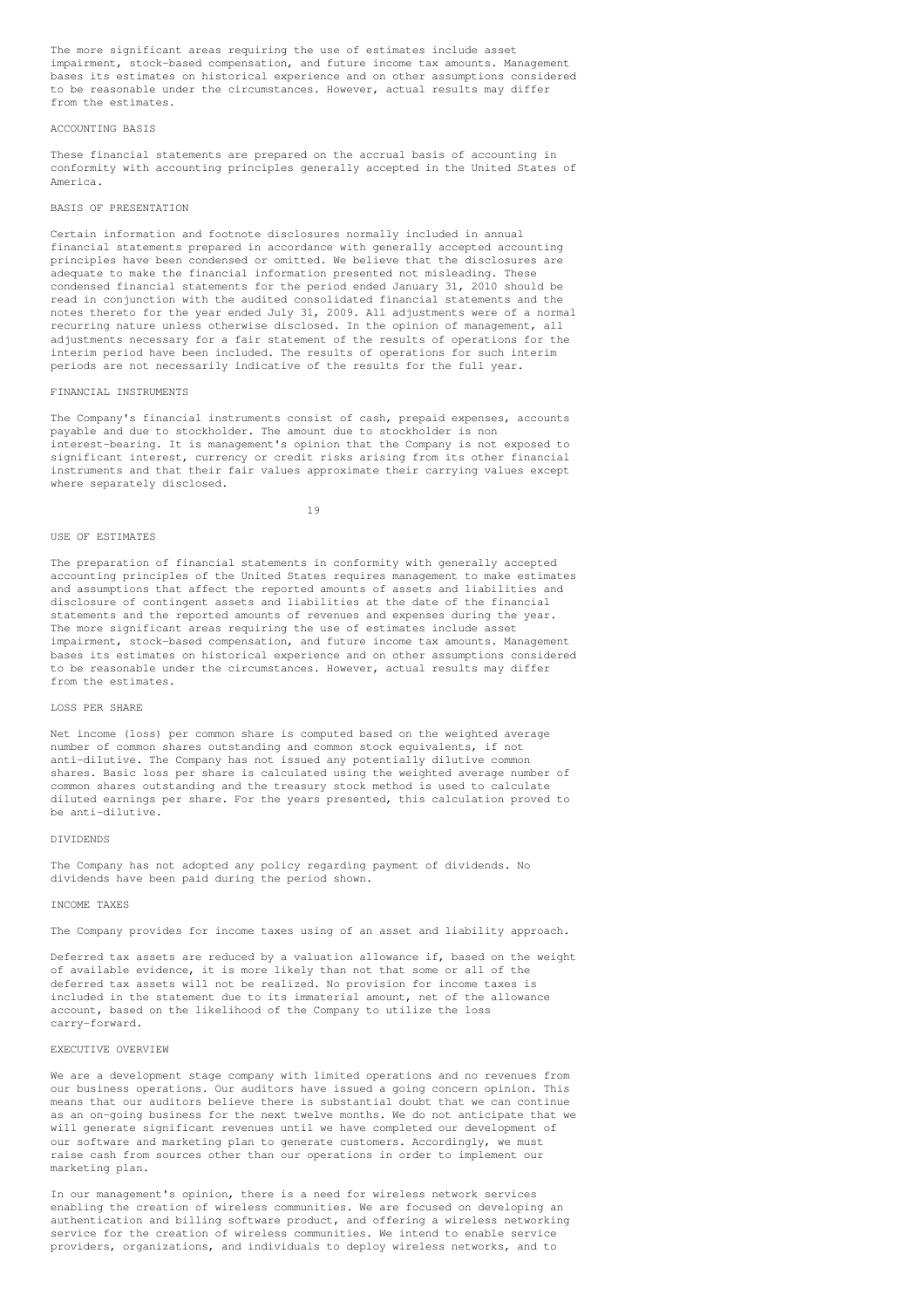The more significant areas requiring the use of estimates include asset impairment, stock-based compensation, and future income tax amounts. Management bases its estimates on historical experience and on other assumptions considered to be reasonable under the circumstances. However, actual results may differ from the estimates.

## ACCOUNTING BASIS

These financial statements are prepared on the accrual basis of accounting in conformity with accounting principles generally accepted in the United States of America.

#### BASIS OF PRESENTATION

Certain information and footnote disclosures normally included in annual financial statements prepared in accordance with generally accepted accounting principles have been condensed or omitted. We believe that the disclosures are adequate to make the financial information presented not misleading. These condensed financial statements for the period ended January 31, 2010 should be read in conjunction with the audited consolidated financial statements and the notes thereto for the year ended July 31, 2009. All adjustments were of a normal recurring nature unless otherwise disclosed. In the opinion of management, all adjustments necessary for a fair statement of the results of operations for the interim period have been included. The results of operations for such interim periods are not necessarily indicative of the results for the full year.

#### FINANCIAL INSTRUMENTS

The Company's financial instruments consist of cash, prepaid expenses, accounts payable and due to stockholder. The amount due to stockholder is non interest-bearing. It is management's opinion that the Company is not exposed to significant interest, currency or credit risks arising from its other financial instruments and that their fair values approximate their carrying values except where separately disclosed.

19

## USE OF ESTIMATES

The preparation of financial statements in conformity with generally accepted accounting principles of the United States requires management to make estimates and assumptions that affect the reported amounts of assets and liabilities and disclosure of contingent assets and liabilities at the date of the financial statements and the reported amounts of revenues and expenses during the year. The more significant areas requiring the use of estimates include asset impairment, stock-based compensation, and future income tax amounts. Management bases its estimates on historical experience and on other assumptions considered to be reasonable under the circumstances. However, actual results may differ from the estimates.

## LOSS PER SHARE

Net income (loss) per common share is computed based on the weighted average number of common shares outstanding and common stock equivalents, if not anti-dilutive. The Company has not issued any potentially dilutive common shares. Basic loss per share is calculated using the weighted average number of common shares outstanding and the treasury stock method is used to calculate diluted earnings per share. For the years presented, this calculation proved to be anti-dilutive.

#### DIVIDENDS

The Company has not adopted any policy regarding payment of dividends. No dividends have been paid during the period shown.

#### INCOME TAXES

The Company provides for income taxes using of an asset and liability approach.

Deferred tax assets are reduced by a valuation allowance if, based on the weight of available evidence, it is more likely than not that some or all of the deferred tax assets will not be realized. No provision for income taxes is included in the statement due to its immaterial amount, net of the allowance account, based on the likelihood of the Company to utilize the loss carry-forward.

#### EXECUTIVE OVERVIEW

We are a development stage company with limited operations and no revenues from our business operations. Our auditors have issued a going concern opinion. This means that our auditors believe there is substantial doubt that we can continue as an on-going business for the next twelve months. We do not anticipate that we will generate significant revenues until we have completed our development of our software and marketing plan to generate customers. Accordingly, we must raise cash from sources other than our operations in order to implement our marketing plan.

In our management's opinion, there is a need for wireless network services enabling the creation of wireless communities. We are focused on developing an authentication and billing software product, and offering a wireless networking service for the creation of wireless communities. We intend to enable service providers, organizations, and individuals to deploy wireless networks, and to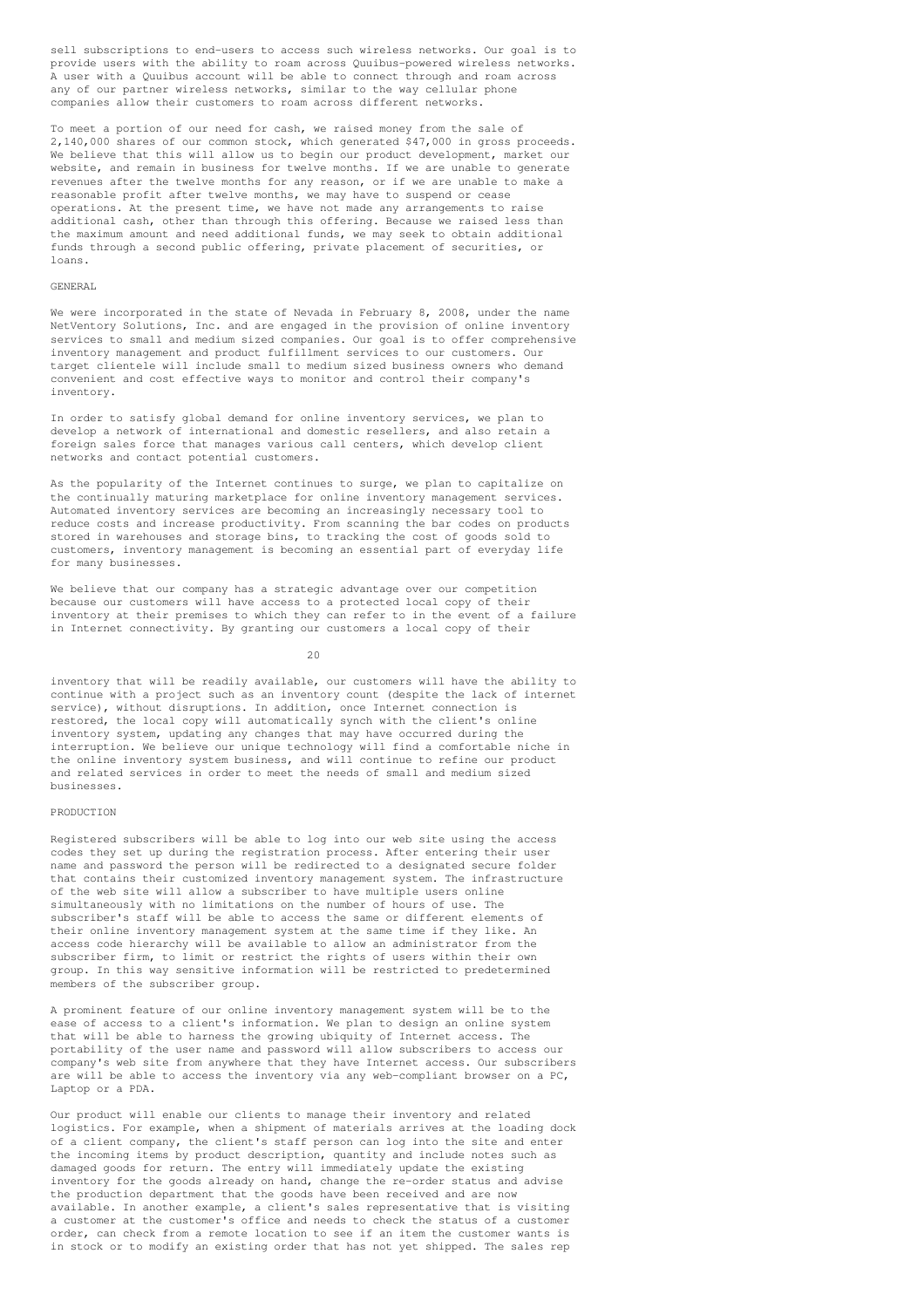sell subscriptions to end-users to access such wireless networks. Our goal is to provide users with the ability to roam across Quuibus-powered wireless networks. A user with a Quuibus account will be able to connect through and roam across any of our partner wireless networks, similar to the way cellular phone companies allow their customers to roam across different networks.

To meet a portion of our need for cash, we raised money from the sale of 2,140,000 shares of our common stock, which generated \$47,000 in gross proceeds. We believe that this will allow us to begin our product development, market our website, and remain in business for twelve months. If we are unable to generate revenues after the twelve months for any reason, or if we are unable to make a reasonable profit after twelve months, we may have to suspend or cease operations. At the present time, we have not made any arrangements to raise additional cash, other than through this offering. Because we raised less than the maximum amount and need additional funds, we may seek to obtain additional funds through a second public offering, private placement of securities, or loans.

#### GENERAL

We were incorporated in the state of Nevada in February 8, 2008, under the name NetVentory Solutions, Inc. and are engaged in the provision of online inventory services to small and medium sized companies. Our goal is to offer comprehensive inventory management and product fulfillment services to our customers. Our target clientele will include small to medium sized business owners who demand convenient and cost effective ways to monitor and control their company's inventory.

In order to satisfy global demand for online inventory services, we plan to develop a network of international and domestic resellers, and also retain a foreign sales force that manages various call centers, which develop client networks and contact potential customers.

As the popularity of the Internet continues to surge, we plan to capitalize on the continually maturing marketplace for online inventory management services. Automated inventory services are becoming an increasingly necessary tool to reduce costs and increase productivity. From scanning the bar codes on products stored in warehouses and storage bins, to tracking the cost of goods sold to customers, inventory management is becoming an essential part of everyday life for many businesses.

We believe that our company has a strategic advantage over our competition because our customers will have access to a protected local copy of their inventory at their premises to which they can refer to in the event of a failure in Internet connectivity. By granting our customers a local copy of their

20

inventory that will be readily available, our customers will have the ability to continue with a project such as an inventory count (despite the lack of internet service), without disruptions. In addition, once Internet connection is restored, the local copy will automatically synch with the client's online inventory system, updating any changes that may have occurred during the interruption. We believe our unique technology will find a comfortable niche in the online inventory system business, and will continue to refine our product and related services in order to meet the needs of small and medium sized businesses.

### PRODUCTION

Registered subscribers will be able to log into our web site using the access codes they set up during the registration process. After entering their user name and password the person will be redirected to a designated secure folder that contains their customized inventory management system. The infrastructure of the web site will allow a subscriber to have multiple users online simultaneously with no limitations on the number of hours of use. The subscriber's staff will be able to access the same or different elements of their online inventory management system at the same time if they like. An access code hierarchy will be available to allow an administrator from the subscriber firm, to limit or restrict the rights of users within their own group. In this way sensitive information will be restricted to predetermined members of the subscriber group.

A prominent feature of our online inventory management system will be to the ease of access to a client's information. We plan to design an online system that will be able to harness the growing ubiquity of Internet access. The portability of the user name and password will allow subscribers to access our company's web site from anywhere that they have Internet access. Our subscribers are will be able to access the inventory via any web-compliant browser on a PC, Laptop or a PDA.

Our product will enable our clients to manage their inventory and related logistics. For example, when a shipment of materials arrives at the loading dock of a client company, the client's staff person can log into the site and enter the incoming items by product description, quantity and include notes such as damaged goods for return. The entry will immediately update the existing inventory for the goods already on hand, change the re-order status and advise the production department that the goods have been received and are now available. In another example, a client's sales representative that is visiting a customer at the customer's office and needs to check the status of a customer order, can check from a remote location to see if an item the customer wants is in stock or to modify an existing order that has not yet shipped. The sales rep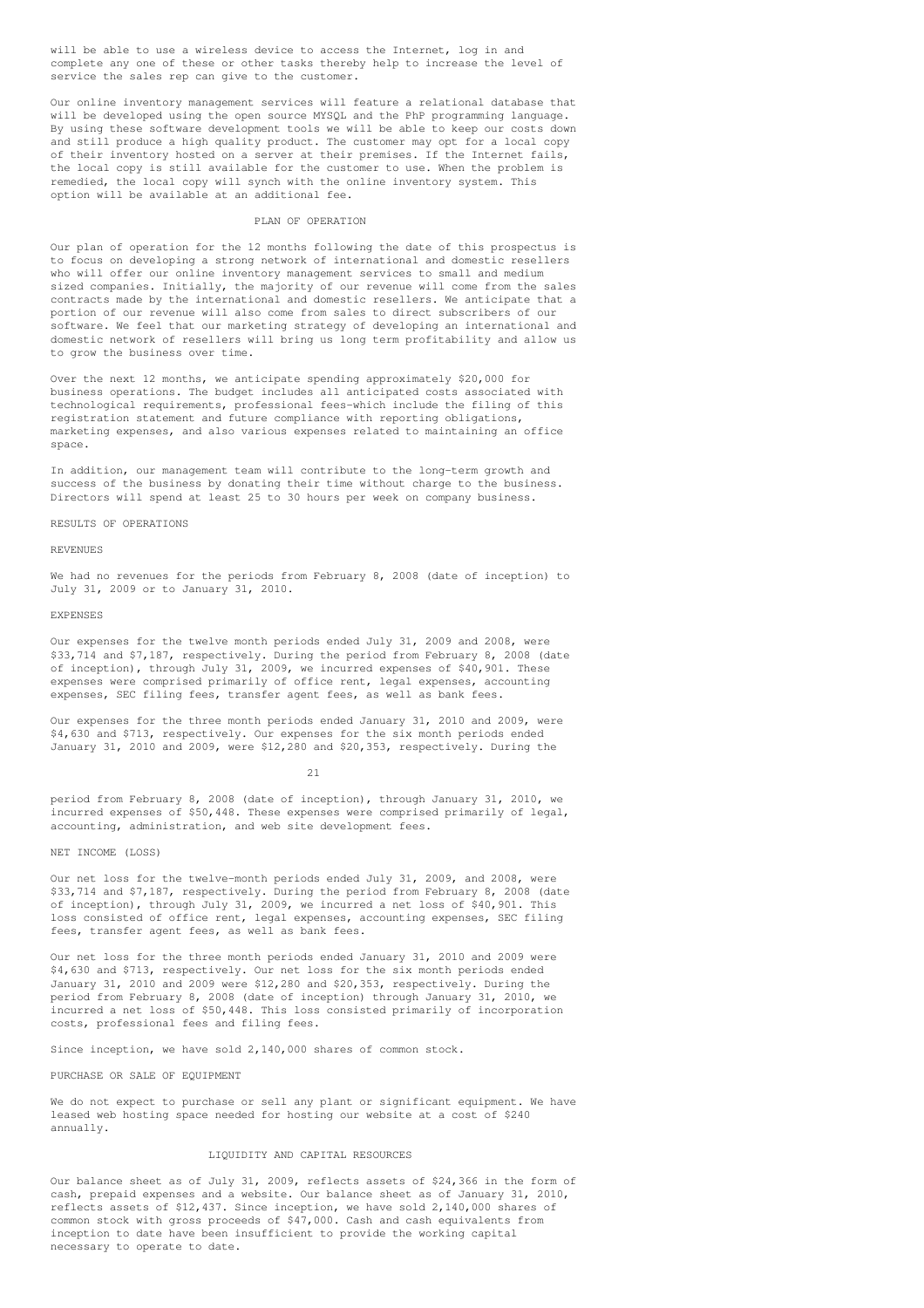will be able to use a wireless device to access the Internet, log in and complete any one of these or other tasks thereby help to increase the level of service the sales rep can give to the customer.

Our online inventory management services will feature a relational database that will be developed using the open source MYSOL and the PhP programming language. By using these software development tools we will be able to keep our costs down and still produce a high quality product. The customer may opt for a local copy of their inventory hosted on a server at their premises. If the Internet fails, the local copy is still available for the customer to use. When the problem is remedied, the local copy will synch with the online inventory system. This option will be available at an additional fee.

#### PLAN OF OPERATION

Our plan of operation for the 12 months following the date of this prospectus is to focus on developing a strong network of international and domestic resellers who will offer our online inventory management services to small and medium sized companies. Initially, the majority of our revenue will come from the sales contracts made by the international and domestic resellers. We anticipate that a portion of our revenue will also come from sales to direct subscribers of our software. We feel that our marketing strategy of developing an international and domestic network of resellers will bring us long term profitability and allow us to grow the business over time.

Over the next 12 months, we anticipate spending approximately \$20,000 for business operations. The budget includes all anticipated costs associated with technological requirements, professional fees-which include the filing of this registration statement and future compliance with reporting obligations, marketing expenses, and also various expenses related to maintaining an office space.

In addition, our management team will contribute to the long-term growth and success of the business by donating their time without charge to the business. Directors will spend at least 25 to 30 hours per week on company business.

RESULTS OF OPERATIONS

## REVENUES

We had no revenues for the periods from February 8, 2008 (date of inception) to July 31, 2009 or to January 31, 2010.

#### EXPENSES

Our expenses for the twelve month periods ended July 31, 2009 and 2008, were \$33,714 and \$7,187, respectively. During the period from February 8, 2008 (date of inception), through July 31, 2009, we incurred expenses of \$40,901. These expenses were comprised primarily of office rent, legal expenses, accounting expenses, SEC filing fees, transfer agent fees, as well as bank fees.

Our expenses for the three month periods ended January 31, 2010 and 2009, were \$4,630 and \$713, respectively. Our expenses for the six month periods ended January 31, 2010 and 2009, were \$12,280 and \$20,353, respectively. During the

#### $21$

period from February 8, 2008 (date of inception), through January 31, 2010, we incurred expenses of \$50,448. These expenses were comprised primarily of legal, accounting, administration, and web site development fees.

#### NET INCOME (LOSS)

Our net loss for the twelve-month periods ended July 31, 2009, and 2008, were \$33,714 and \$7,187, respectively. During the period from February 8, 2008 (date of inception), through July 31, 2009, we incurred a net loss of \$40,901. This loss consisted of office rent, legal expenses, accounting expenses, SEC filing fees, transfer agent fees, as well as bank fees.

Our net loss for the three month periods ended January 31, 2010 and 2009 were \$4,630 and \$713, respectively. Our net loss for the six month periods ended January 31, 2010 and 2009 were \$12,280 and \$20,353, respectively. During the period from February 8, 2008 (date of inception) through January 31, 2010, we incurred a net loss of \$50,448. This loss consisted primarily of incorporation costs, professional fees and filing fees.

Since inception, we have sold 2,140,000 shares of common stock.

PURCHASE OR SALE OF EQUIPMENT

We do not expect to purchase or sell any plant or significant equipment. We have leased web hosting space needed for hosting our website at a cost of \$240 annually.

## LIQUIDITY AND CAPITAL RESOURCES

Our balance sheet as of July 31, 2009, reflects assets of \$24,366 in the form of cash, prepaid expenses and a website. Our balance sheet as of January 31, 2010, reflects assets of \$12,437. Since inception, we have sold 2,140,000 shares of common stock with gross proceeds of \$47,000. Cash and cash equivalents from inception to date have been insufficient to provide the working capital necessary to operate to date.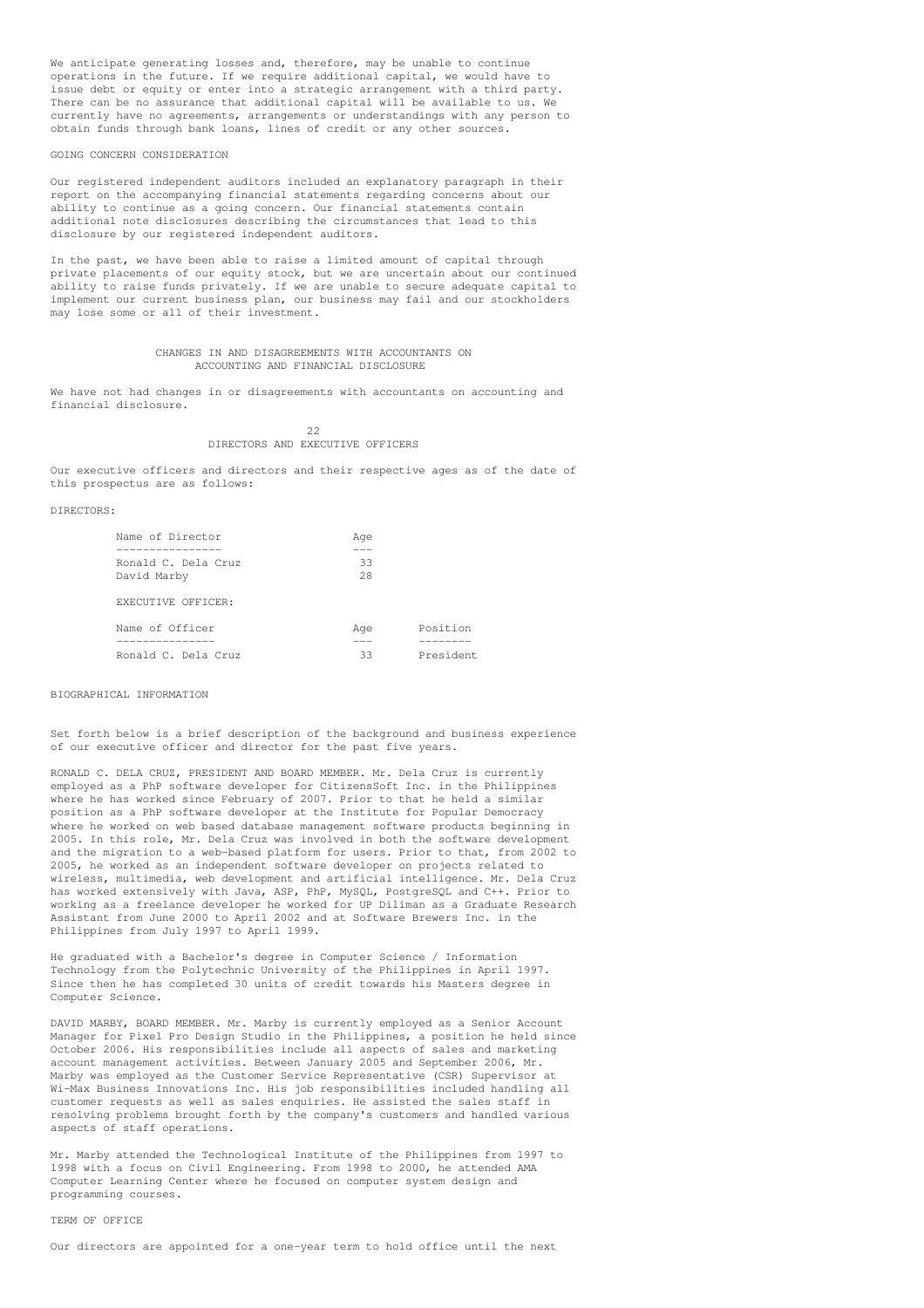We anticipate generating losses and, therefore, may be unable to continue operations in the future. If we require additional capital, we would have to issue debt or equity or enter into a strategic arrangement with a third party. There can be no assurance that additional capital will be available to us. We currently have no agreements, arrangements or understandings with any person to obtain funds through bank loans, lines of credit or any other sources.

## GOING CONCERN CONSIDERATION

Our registered independent auditors included an explanatory paragraph in their report on the accompanying financial statements regarding concerns about our ability to continue as a going concern. Our financial statements contain additional note disclosures describing the circumstances that lead to this disclosure by our registered independent auditors.

In the past, we have been able to raise a limited amount of capital through private placements of our equity stock, but we are uncertain about our continued ability to raise funds privately. If we are unable to secure adequate capital to implement our current business plan, our business may fail and our stockholders may lose some or all of their investment.

## CHANGES IN AND DISAGREEMENTS WITH ACCOUNTANTS ON ACCOUNTING AND FINANCIAL DISCLOSURE

We have not had changes in or disagreements with accountants on accounting and financial disclosure.

> $22$ DIRECTORS AND EXECUTIVE OFFICERS

Our executive officers and directors and their respective ages as of the date of this prospectus are as follows:

#### DIRECTORS:

| Name of Director    | Age |           |
|---------------------|-----|-----------|
|                     |     |           |
| Ronald C. Dela Cruz | 33  |           |
| David Marby         | 2.8 |           |
| EXECUTIVE OFFICER:  |     |           |
| Name of Officer     | Age | Position  |
| _________           |     |           |
| Ronald C. Dela Cruz | 33  | President |

## BIOGRAPHICAL INFORMATION

Set forth below is a brief description of the background and business experience of our executive officer and director for the past five years.

RONALD C. DELA CRUZ, PRESIDENT AND BOARD MEMBER. Mr. Dela Cruz is currently employed as a PhP software developer for CitizensSoft Inc. in the Philippines where he has worked since February of 2007. Prior to that he held a similar position as a PhP software developer at the Institute for Popular Democracy where he worked on web based database management software products beginning in 2005. In this role, Mr. Dela Cruz was involved in both the software development and the migration to a web-based platform for users. Prior to that, from 2002 to 2005, he worked as an independent software developer on projects related to wireless, multimedia, web development and artificial intelligence. Mr. Dela Cruz has worked extensively with Java, ASP, PhP, MySQL, PostgreSQL and C++. Prior to working as a freelance developer he worked for UP Diliman as a Graduate Research Assistant from June 2000 to April 2002 and at Software Brewers Inc. in the Philippines from July 1997 to April 1999.

He graduated with a Bachelor's degree in Computer Science / Information Technology from the Polytechnic University of the Philippines in April 1997. Since then he has completed 30 units of credit towards his Masters degree in Computer Science.

DAVID MARBY, BOARD MEMBER. Mr. Marby is currently employed as a Senior Account Manager for Pixel Pro Design Studio in the Philippines, a position he held since October 2006. His responsibilities include all aspects of sales and marketing account management activities. Between January 2005 and September 2006, Mr. Marby was employed as the Customer Service Representative (CSR) Supervisor at Wi-Max Business Innovations Inc. His job responsibilities included handling all customer requests as well as sales enquiries. He assisted the sales staff in resolving problems brought forth by the company's customers and handled various aspects of staff operations.

Mr. Marby attended the Technological Institute of the Philippines from 1997 to 1998 with a focus on Civil Engineering. From 1998 to 2000, he attended AMA Computer Learning Center where he focused on computer system design and programming courses.

## TERM OF OFFICE

Our directors are appointed for a one-year term to hold office until the next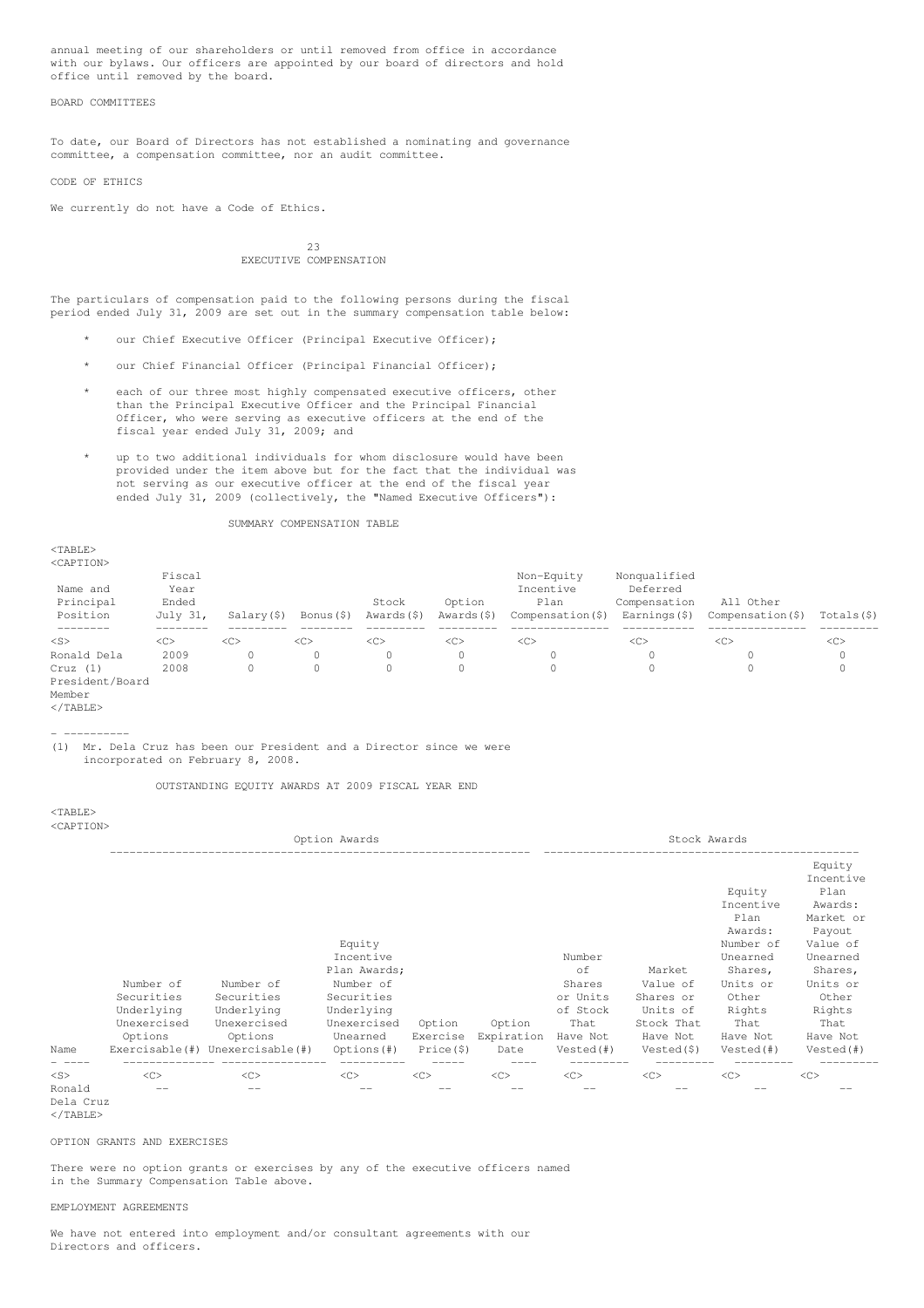annual meeting of our shareholders or until removed from office in accordance with our bylaws. Our officers are appointed by our board of directors and hold office until removed by the board.

## BOARD COMMITTEES

To date, our Board of Directors has not established a nominating and governance committee, a compensation committee, nor an audit committee.

#### CODE OF ETHICS

We currently do not have a Code of Ethics.

## $23$ EXECUTIVE COMPENSATION

The particulars of compensation paid to the following persons during the fiscal period ended July 31, 2009 are set out in the summary compensation table below:

- our Chief Executive Officer (Principal Executive Officer);
- our Chief Financial Officer (Principal Financial Officer);
- each of our three most highly compensated executive officers, other than the Principal Executive Officer and the Principal Financial Officer, who were serving as executive officers at the end of the fiscal year ended July 31, 2009; and
- up to two additional individuals for whom disclosure would have been provided under the item above but for the fact that the individual was not serving as our executive officer at the end of the fiscal year ended July<sup>31</sup>, 2009 (collectively, the "Named Executive Officers"):

## SUMMARY COMPENSATION TABLE

<TABLE> <CAPTION>

| Name and<br>Principal<br>Position | Fiscal<br>Year<br>Ended<br>July 31, | Salary (\$)   | Bonus (\$) | Stock<br>Awards (\$) | Option<br>Awards (\$) | Non-Equity<br>Incentive<br>Plan<br>Compensation $(\hat{S})$ | Nonqualified<br>Deferred<br>Compensation<br>Earnings(\$) | All Other<br>Compensation (\$) | Totals(\$) |
|-----------------------------------|-------------------------------------|---------------|------------|----------------------|-----------------------|-------------------------------------------------------------|----------------------------------------------------------|--------------------------------|------------|
| $<$ S>                            | <<                                  | < <sub></sub> | <<         | <<                   | < <sub></sub>         | < <sub></sub>                                               | $\langle C \rangle$                                      | <<                             | <<         |
| Ronald Dela                       | 2009                                |               | 0          | $\circ$              | 0                     | $\Omega$                                                    | 0                                                        |                                |            |
| Cruz(1)                           | 2008                                |               | 0          | 0                    |                       |                                                             | 0                                                        |                                |            |
| President/Board<br>Member         |                                     |               |            |                      |                       |                                                             |                                                          |                                |            |

</TABLE>

 $<$ TABLE>

- ---------- (1) Mr. Dela Cruz has been our President and a Director since we were incorporated on February 8, 2008.

OUTSTANDING EQUITY AWARDS AT 2009 FISCAL YEAR END

<CAPTION> Option Awards Stock Awards ---------------------------------------------------------------- ------------------------------------------------ Equity Incentive<br>Plan Equity Incentive Awards: Plan Market or Awards: Payout Equity Number of Value of Unearned<br>Market Shares Plan Awards; example and the Control of Market Shares, Shares, Shares, Number of Number of Number of Shares Value of Units or Units or<br>
Securities Securities Securities Securities or Units Shares or Other Other<br>
Underlying Underlying Underlying Cherlying of Stock Units of Rights Rights Securities Securities Securities Securities Securities Securities Securities Shares or Other Other Other<br>
Underlying Underlying Underlying Charles of Stock Units of Rights Rights Underlying Unexercised Unexercised Unexercised Option Option That Stock That That That Options Options Unearned Exercise Expiration Have Not Have Not Have Not Have Not Name Exercisable(#) Unexercisable(#) Options(#) Price(\$) Date Vested(#) Vested(\$) Vested(#) Vested(#) - ---- -------------- ---------------- ---------- ----- ---- --------- --------- --------- --------- <S> <C> <C> <C> <C> <C> <C> <C> <C> <C> Ronald -- -- -- -- -- -- -- -- -- Dela Cruz

 $\langle$ /TABLE>

OPTION GRANTS AND EXERCISES

There were no option grants or exercises by any of the executive officers named in the Summary Compensation Table above.

#### EMPLOYMENT AGREEMENTS

We have not entered into employment and/or consultant agreements with our Directors and officers.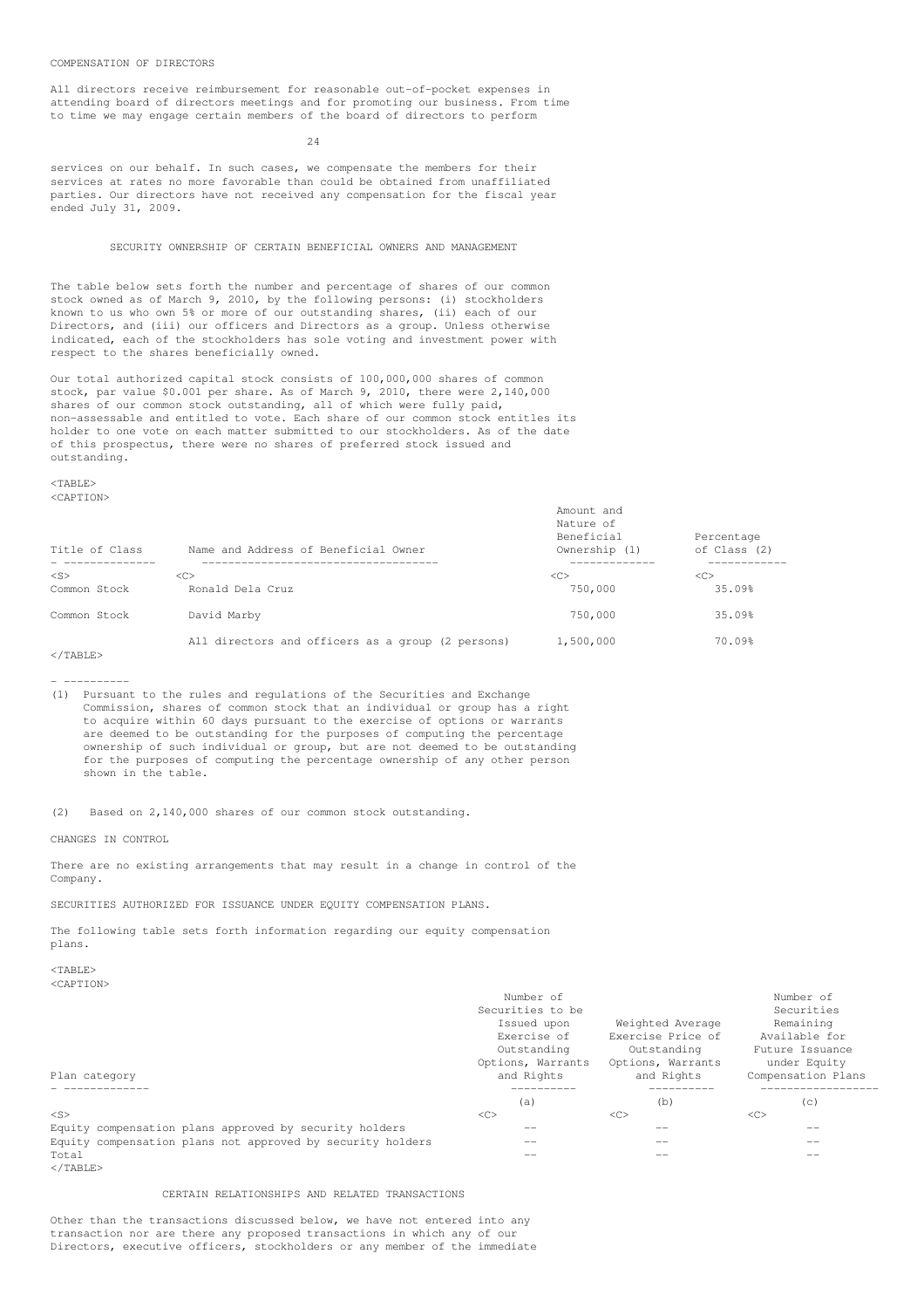## COMPENSATION OF DIRECTORS

All directors receive reimbursement for reasonable out-of-pocket expenses in attending board of directors meetings and for promoting our business. From time to time we may engage certain members of the board of directors to perform

## $24$

services on our behalf. In such cases, we compensate the members for their services at rates no more favorable than could be obtained from unaffiliated parties. Our directors have not received any compensation for the fiscal year ended July 31, 2009.

## SECURITY OWNERSHIP OF CERTAIN BENEFICIAL OWNERS AND MANAGEMENT

The table below sets forth the number and percentage of shares of our common stock owned as of March 9, 2010, by the following persons: (i) stockholders known to us who own 5% or more of our outstanding shares, (ii) each of our Directors, and (iii) our officers and Directors as a group. Unless otherwise indicated, each of the stockholders has sole voting and investment power with respect to the shares beneficially owned.

Our total authorized capital stock consists of 100,000,000 shares of common stock, par value \$0.001 per share. As of March 9, 2010, there were 2,140,000 shares of our common stock outstanding, all of which were fully paid, non-assessable and entitled to vote. Each share of our common stock entitles its holder to one vote on each matter submitted to our stockholders. As of the date of this prospectus, there were no shares of preferred stock issued and outstanding.

<TABLE> <CAPTION>

| Title of Class<br>Name and Address of Beneficial Owner |                                                   | Amount and<br>Nature of<br>Beneficial<br>Percentage<br>of Class (2)<br>Ownership (1) |        |  |
|--------------------------------------------------------|---------------------------------------------------|--------------------------------------------------------------------------------------|--------|--|
| $<$ S>                                                 | < <sub></sub>                                     | < <sub></sub>                                                                        | <<     |  |
| Common Stock                                           | Ronald Dela Cruz                                  | 750,000                                                                              | 35.09% |  |
| Common Stock                                           | David Marby                                       | 750,000                                                                              | 35.09% |  |
| $\cdot$ /mnm = $\cdot$                                 | All directors and officers as a group (2 persons) | 1,500,000                                                                            | 70.09% |  |

</TABLE>

- ----------

(1) Pursuant to the rules and regulations of the Securities and Exchange Commission, shares of common stock that an individual or group has a right to acquire within 60 days pursuant to the exercise of options or warrants are deemed to be outstanding for the purposes of computing the percentage ownership of such individual or group, but are not deemed to be outstanding for the purposes of computing the percentage ownership of any other person shown in the table.

(2) Based on 2,140,000 shares of our common stock outstanding.

CHANGES IN CONTROL

There are no existing arrangements that may result in a change in control of the Company.

SECURITIES AUTHORIZED FOR ISSUANCE UNDER EQUITY COMPENSATION PLANS.

The following table sets forth information regarding our equity compensation plans.

#### $<$ TABLE> <CAPTION>

|                                                            | Number of         |                   | Number of          |
|------------------------------------------------------------|-------------------|-------------------|--------------------|
|                                                            | Securities to be  |                   | Securities         |
|                                                            | Issued upon       | Weighted Average  | Remaining          |
|                                                            | Exercise of       | Exercise Price of | Available for      |
|                                                            | Outstanding       | Outstanding       | Future Issuance    |
|                                                            | Options, Warrants | Options, Warrants | under Equity       |
| Plan category                                              | and Rights        | and Rights        | Compensation Plans |
|                                                            | (a)               | (b)               | (C)                |
| $<$ S>                                                     | <<                | < <sub></sub>     | <<                 |
| Equity compensation plans approved by security holders     | --                |                   | --                 |
| Equity compensation plans not approved by security holders | --                |                   | --                 |
| Total                                                      |                   |                   |                    |

 $<$ /TABLE>

## CERTAIN RELATIONSHIPS AND RELATED TRANSACTIONS

Other than the transactions discussed below, we have not entered into any transaction nor are there any proposed transactions in which any of our Directors, executive officers, stockholders or any member of the immediate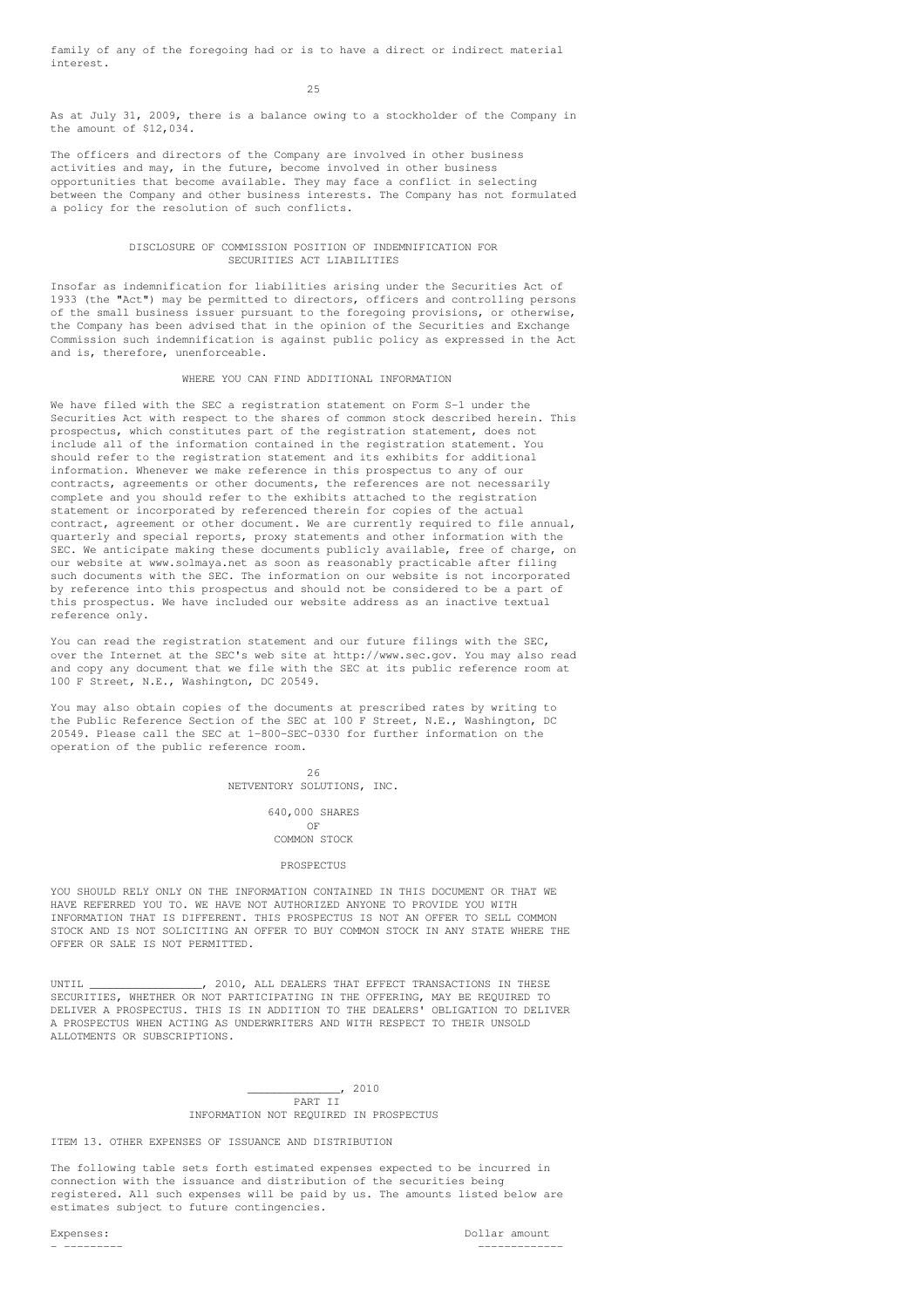family of any of the foregoing had or is to have a direct or indirect material interest.

 $25$ 

As at July 31, 2009, there is a balance owing to a stockholder of the Company in the amount of \$12,034.

The officers and directors of the Company are involved in other business activities and may, in the future, become involved in other business opportunities that become available. They may face a conflict in selecting between the Company and other business interests. The Company has not formulated a policy for the resolution of such conflicts.

## DISCLOSURE OF COMMISSION POSITION OF INDEMNIFICATION FOR SECURITIES ACT LIABILITIES

Insofar as indemnification for liabilities arising under the Securities Act of 1933 (the "Act") may be permitted to directors, officers and controlling persons of the small business issuer pursuant to the foregoing provisions, or otherwise, the Company has been advised that in the opinion of the Securities and Exchange Commission such indemnification is against public policy as expressed in the Act and is, therefore, unenforceable.

## WHERE YOU CAN FIND ADDITIONAL INFORMATION

We have filed with the SEC a registration statement on Form S-1 under the Securities Act with respect to the shares of common stock described herein. This prospectus, which constitutes part of the registration statement, does not include all of the information contained in the registration statement. You should refer to the registration statement and its exhibits for additional information. Whenever we make reference in this prospectus to any of our contracts, agreements or other documents, the references are not necessarily complete and you should refer to the exhibits attached to the registration statement or incorporated by referenced therein for copies of the actual contract, agreement or other document. We are currently required to file annual, quarterly and special reports, proxy statements and other information with the SEC. We anticipate making these documents publicly available, free of charge, on our website at www.solmaya.net as soon as reasonably practicable after filing such documents with the SEC. The information on our website is not incorporated by reference into this prospectus and should not be considered to be a part of this prospectus. We have included our website address as an inactive textual reference only.

You can read the registration statement and our future filings with the SEC, over the Internet at the SEC's web site at http://www.sec.gov. You may also read and copy any document that we file with the SEC at its public reference room at 100 F Street, N.E., Washington, DC 20549.

You may also obtain copies of the documents at prescribed rates by writing to the Public Reference Section of the SEC at 100 F Street, N.E., Washington, DC 20549. Please call the SEC at 1-800-SEC-0330 for further information on the operation of the public reference room.

> 26 NETVENTORY SOLUTIONS, INC.

> > 640,000 SHARES OF COMMON STOCK

PROSPECTUS

YOU SHOULD RELY ONLY ON THE INFORMATION CONTAINED IN THIS DOCUMENT OR THAT WE HAVE REFERRED YOU TO. WE HAVE NOT AUTHORIZED ANYONE TO PROVIDE YOU WITH INFORMATION THAT IS DIFFERENT. THIS PROSPECTUS IS NOT AN OFFER TO SELL COMMON STOCK AND IS NOT SOLICITING AN OFFER TO BUY COMMON STOCK IN ANY STATE WHERE THE OFFER OR SALE IS NOT PERMITTED.

UNTIL \_\_\_\_\_\_\_\_\_\_\_\_\_\_\_\_\_\_\_\_, 2010, ALL DEALERS THAT EFFECT TRANSACTIONS IN THESE SECURITIES, WHETHER OR NOT PARTICIPATING IN THE OFFERING, MAY BE REQUIRED TO DELIVER A PROSPECTUS. THIS IS IN ADDITION TO THE DEALERS' OBLIGATION TO DELIVER A PROSPECTUS WHEN ACTING AS UNDERWRITERS AND WITH RESPECT TO THEIR UNSOLD ALLOTMENTS OR SUBSCRIPTIONS.

> $-$ , 2010 PART II INFORMATION NOT REQUIRED IN PROSPECTUS

ITEM 13. OTHER EXPENSES OF ISSUANCE AND DISTRIBUTION

The following table sets forth estimated expenses expected to be incurred in connection with the issuance and distribution of the securities being registered. All such expenses will be paid by us. The amounts listed below are estimates subject to future contingencies.

Expenses: Dollar amount

- --------- -------------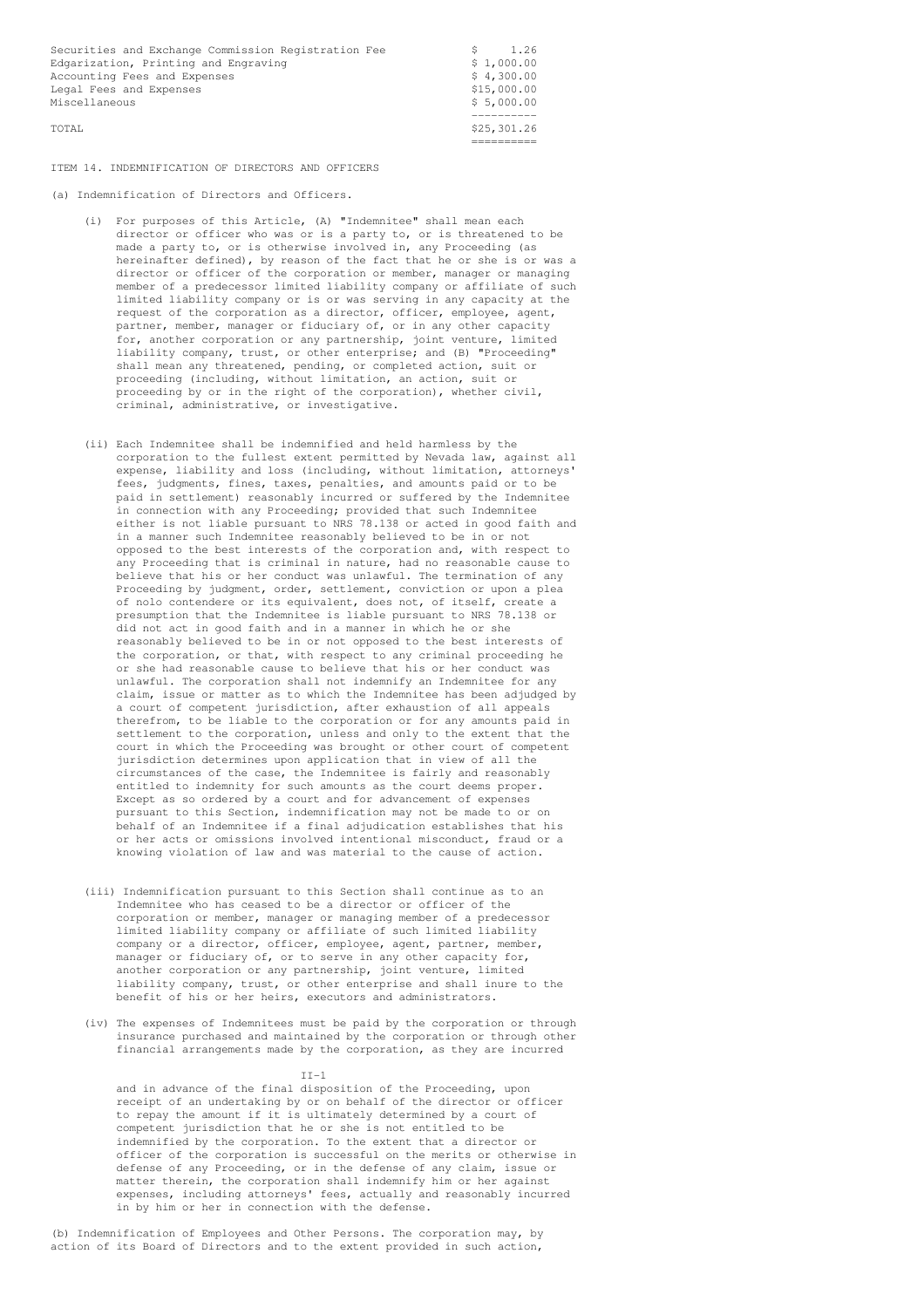Securities and Exchange Commission Registration Fee  $\begin{array}{c} \xi = 1.26 \\ \xi = 1.000.00 \end{array}$ Edgarization, Printing and Engraving  $\frac{1}{2}$  and Expenses  $\frac{1}{2}$  and  $\frac{1}{2}$  and  $\frac{1}{2}$  and  $\frac{1}{2}$  and Expenses  $\frac{1}{2}$  and  $\frac{1}{2}$  and  $\frac{1}{2}$  and  $\frac{1}{2}$  and  $\frac{1}{2}$  and  $\frac{1}{2}$  and  $\frac{1}{2}$  and Accounting Fees and Expenses  $$ 4,300.00$ <br>
Legal Fees and Expenses  $$ 15.000.00$ Legal Fees and Expenses Miscellaneous \$ 5,000.00

---------- TOTAL \$25,301.26 ==========

## ITEM 14. INDEMNIFICATION OF DIRECTORS AND OFFICERS

(a) Indemnification of Directors and Officers.

- (i) For purposes of this Article, (A) "Indemnitee" shall mean each director or officer who was or is a party to, or is threatened to be made a party to, or is otherwise involved in, any Proceeding (as hereinafter defined), by reason of the fact that he or she is or was a director or officer of the corporation or member, manager or managing member of a predecessor limited liability company or affiliate of such limited liability company or is or was serving in any capacity at the request of the corporation as a director, officer, employee, agent, partner, member, manager or fiduciary of, or in any other capacity for, another corporation or any partnership, joint venture, limited liability company, trust, or other enterprise; and (B) "Proceeding" shall mean any threatened, pending, or completed action, suit or proceeding (including, without limitation, an action, suit or proceeding by or in the right of the corporation), whether civil, criminal, administrative, or investigative.
- (ii) Each Indemnitee shall be indemnified and held harmless by the corporation to the fullest extent permitted by Nevada law, against all expense, liability and loss (including, without limitation, attorneys' fees, judgments, fines, taxes, penalties, and amounts paid or to be paid in settlement) reasonably incurred or suffered by the Indemnitee in connection with any Proceeding; provided that such Indemnitee either is not liable pursuant to NRS 78.138 or acted in good faith and in a manner such Indemnitee reasonably believed to be in or not opposed to the best interests of the corporation and, with respect to any Proceeding that is criminal in nature, had no reasonable cause to believe that his or her conduct was unlawful. The termination of any Proceeding by judgment, order, settlement, conviction or upon a plea of nolo contendere or its equivalent, does not, of itself, create a presumption that the Indemnitee is liable pursuant to NRS 78.138 or did not act in good faith and in a manner in which he or she reasonably believed to be in or not opposed to the best interests of the corporation, or that, with respect to any criminal proceeding he or she had reasonable cause to believe that his or her conduct was unlawful. The corporation shall not indemnify an Indemnitee for any claim, issue or matter as to which the Indemnitee has been adjudged by a court of competent jurisdiction, after exhaustion of all appeals therefrom, to be liable to the corporation or for any amounts paid in settlement to the corporation, unless and only to the extent that the court in which the Proceeding was brought or other court of competent jurisdiction determines upon application that in view of all the circumstances of the case, the Indemnitee is fairly and reasonably entitled to indemnity for such amounts as the court deems proper. Except as so ordered by a court and for advancement of expenses pursuant to this Section, indemnification may not be made to or on behalf of an Indemnitee if a final adjudication establishes that his or her acts or omissions involved intentional misconduct, fraud or a knowing violation of law and was material to the cause of action.
- (iii) Indemnification pursuant to this Section shall continue as to an Indemnitee who has ceased to be a director or officer of the corporation or member, manager or managing member of a predecessor limited liability company or affiliate of such limited liability company or a director, officer, employee, agent, partner, member, manager or fiduciary of, or to serve in any other capacity for, another corporation or any partnership, joint venture, limited liability company, trust, or other enterprise and shall inure to the benefit of his or her heirs, executors and administrators.
- (iv) The expenses of Indemnitees must be paid by the corporation or through insurance purchased and maintained by the corporation or through other financial arrangements made by the corporation, as they are incurred

#### $II-1$

and in advance of the final disposition of the Proceeding, upon receipt of an undertaking by or on behalf of the director or officer to repay the amount if it is ultimately determined by a court of competent jurisdiction that he or she is not entitled to be indemnified by the corporation. To the extent that a director or officer of the corporation is successful on the merits or otherwise in defense of any Proceeding, or in the defense of any claim, issue or matter therein, the corporation shall indemnify him or her against expenses, including attorneys' fees, actually and reasonably incurred in by him or her in connection with the defense.

(b) Indemnification of Employees and Other Persons. The corporation may, by action of its Board of Directors and to the extent provided in such action,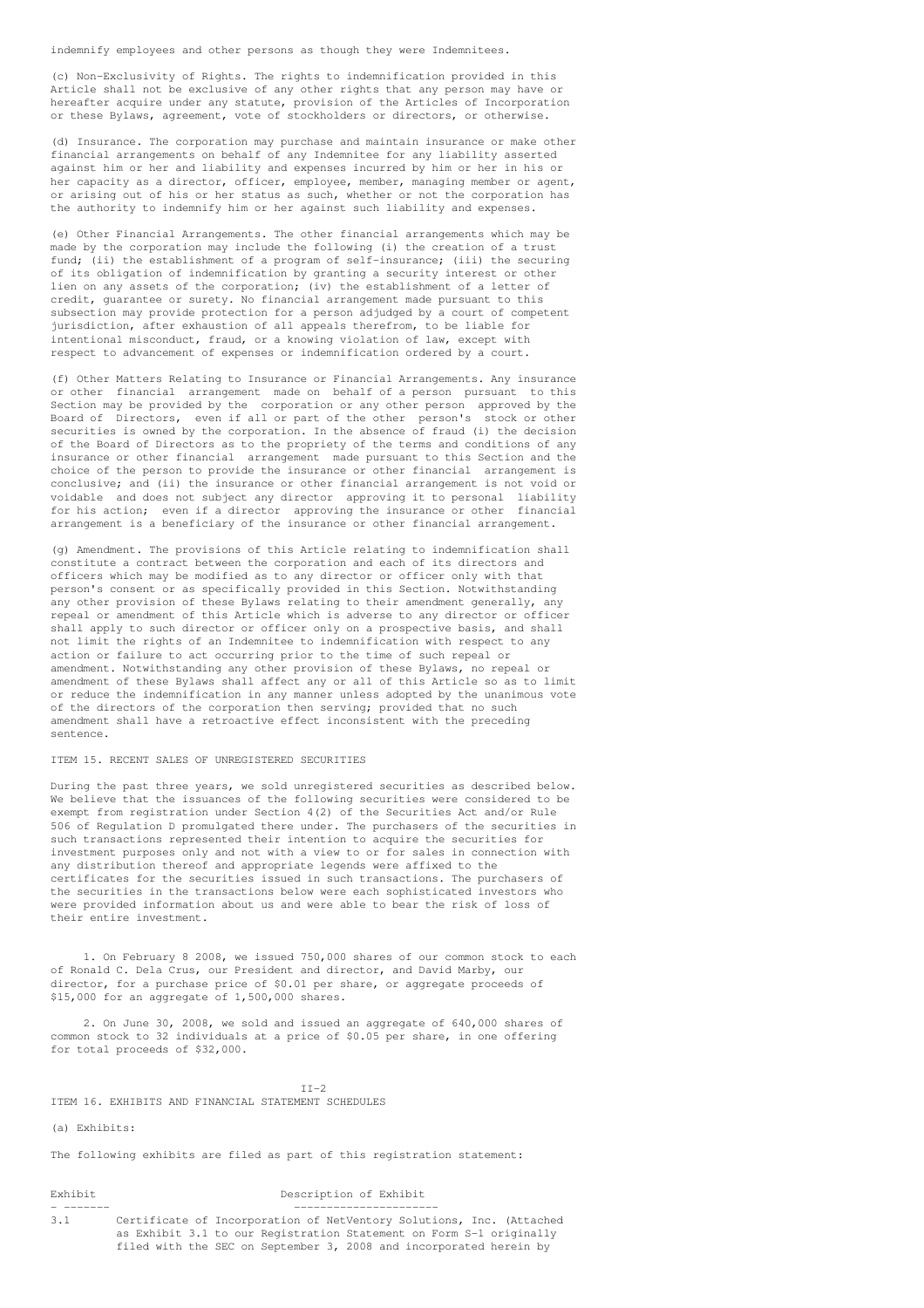indemnify employees and other persons as though they were Indemnitees.

(c) Non-Exclusivity of Rights. The rights to indemnification provided in this Article shall not be exclusive of any other rights that any person may have or hereafter acquire under any statute, provision of the Articles of Incorporation or these Bylaws, agreement, vote of stockholders or directors, or otherwise.

(d) Insurance. The corporation may purchase and maintain insurance or make other financial arrangements on behalf of any Indemnitee for any liability asserted against him or her and liability and expenses incurred by him or her in his or her capacity as a director, officer, employee, member, managing member or agent, or arising out of his or her status as such, whether or not the corporation has the authority to indemnify him or her against such liability and expenses.

(e) Other Financial Arrangements. The other financial arrangements which may be made by the corporation may include the following (i) the creation of a trust fund; (ii) the establishment of a program of self-insurance; (iii) the securing of its obligation of indemnification by granting a security interest or other lien on any assets of the corporation; (iv) the establishment of a letter of credit, guarantee or surety. No financial arrangement made pursuant to this subsection may provide protection for a person adjudged by a court of competent jurisdiction, after exhaustion of all appeals therefrom, to be liable for intentional misconduct, fraud, or a knowing violation of law, except with respect to advancement of expenses or indemnification ordered by a court.

(f) Other Matters Relating to Insurance or Financial Arrangements. Any insurance or other financial arrangement made on behalf of a person pursuant to this Section may be provided by the corporation or any other person approved by the Board of Directors, even if all or part of the other person's stock or other Board of Directors, even if all or part of the other person's securities is owned by the corporation. In the absence of fraud (i) the decision of the Board of Directors as to the propriety of the terms and conditions of any insurance or other financial arrangement made pursuant to this Section and the choice of the person to provide the insurance or other financial arrangement is conclusive; and (ii) the insurance or other financial arrangement is not void or voidable and does not subject any director approving it to personal liability for his action; even if a director approving the insurance or other financial arrangement is a beneficiary of the insurance or other financial arrangement.

(g) Amendment. The provisions of this Article relating to indemnification shall constitute a contract between the corporation and each of its directors and officers which may be modified as to any director or officer only with that person's consent or as specifically provided in this Section. Notwithstanding any other provision of these Bylaws relating to their amendment generally, any repeal or amendment of this Article which is adverse to any director or officer shall apply to such director or officer only on a prospective basis, and shall not limit the rights of an Indemnitee to indemnification with respect to any action or failure to act occurring prior to the time of such repeal or amendment. Notwithstanding any other provision of these Bylaws, no repeal or amendment of these Bylaws shall affect any or all of this Article so as to limit or reduce the indemnification in any manner unless adopted by the unanimous vote of the directors of the corporation then serving; provided that no such amendment shall have a retroactive effect inconsistent with the preceding sentence.

## ITEM 15. RECENT SALES OF UNREGISTERED SECURITIES

During the past three years, we sold unregistered securities as described below. We believe that the issuances of the following securities were considered to be exempt from registration under Section 4(2) of the Securities Act and/or Rule 506 of Regulation D promulgated there under. The purchasers of the securities in such transactions represented their intention to acquire the securities for investment purposes only and not with a view to or for sales in connection with any distribution thereof and appropriate legends were affixed to the certificates for the securities issued in such transactions. The purchasers of the securities in the transactions below were each sophisticated investors who were provided information about us and were able to bear the risk of loss of their entire investment.

1. On February 8 2008, we issued 750,000 shares of our common stock to each of Ronald C. Dela Crus, our President and director, and David Marby, our director, for a purchase price of \$0.01 per share, or aggregate proceeds of \$15,000 for an aggregate of 1,500,000 shares.

2. On June 30, 2008, we sold and issued an aggregate of 640,000 shares of common stock to 32 individuals at a price of \$0.05 per share, in one offering for total proceeds of \$32,000.

#### $TT-2$

ITEM 16. EXHIBITS AND FINANCIAL STATEMENT SCHEDULES

# (a) Exhibits:

The following exhibits are filed as part of this registration statement:

# Exhibit Description of Exhibit

- ------- ---------------------- 3.1 Certificate of Incorporation of NetVentory Solutions, Inc. (Attached as Exhibit 3.1 to our Registration Statement on Form S-1 originally filed with the SEC on September 3, 2008 and incorporated herein by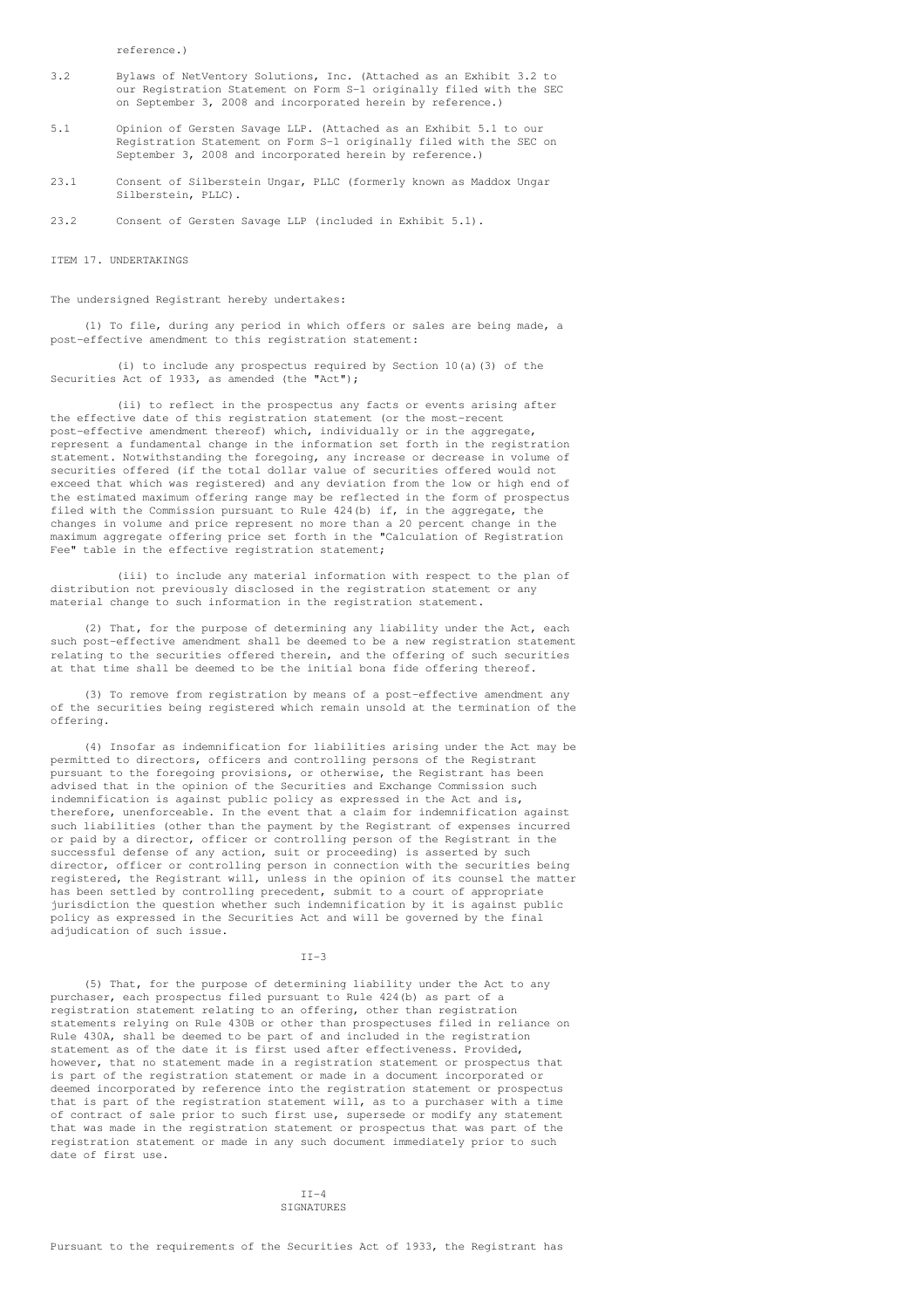reference.)

- 3.2 Bylaws of NetVentory Solutions, Inc. (Attached as an Exhibit 3.2 to our Registration Statement on Form S-1 originally filed with the SEC on September 3, 2008 and incorporated herein by reference.)
- 5.1 Opinion of Gersten Savage LLP. (Attached as an Exhibit 5.1 to our Registration Statement on Form S-1 originally filed with the SEC on September 3, 2008 and incorporated herein by reference.)
- 23.1 Consent of Silberstein Ungar, PLLC (formerly known as Maddox Ungar Silberstein, PLLC).
- 23.2 Consent of Gersten Savage LLP (included in Exhibit 5.1).

ITEM 17. UNDERTAKINGS

The undersigned Registrant hereby undertakes:

(1) To file, during any period in which offers or sales are being made, a post-effective amendment to this registration statement:

(i) to include any prospectus required by Section 10(a)(3) of the Securities Act of 1933, as amended (the "Act");

(ii) to reflect in the prospectus any facts or events arising after the effective date of this registration statement (or the most-recent post-effective amendment thereof) which, individually or in the aggregate, represent a fundamental change in the information set forth in the registration statement. Notwithstanding the foregoing, any increase or decrease in volume of securities offered (if the total dollar value of securities offered would not exceed that which was registered) and any deviation from the low or high end of the estimated maximum offering range may be reflected in the form of prospectus filed with the Commission pursuant to Rule 424(b) if, in the aggregate, the changes in volume and price represent no more than a 20 percent change in the maximum aggregate offering price set forth in the "Calculation of Registration Fee" table in the effective registration statement;

(iii) to include any material information with respect to the plan of distribution not previously disclosed in the registration statement or any material change to such information in the registration statement.

(2) That, for the purpose of determining any liability under the Act, each such post-effective amendment shall be deemed to be a new registration statement relating to the securities offered therein, and the offering of such securities at that time shall be deemed to be the initial bona fide offering thereof.

(3) To remove from registration by means of a post-effective amendment any of the securities being registered which remain unsold at the termination of the offering.

(4) Insofar as indemnification for liabilities arising under the Act may be permitted to directors, officers and controlling persons of the Registrant pursuant to the foregoing provisions, or otherwise, the Registrant has been advised that in the opinion of the Securities and Exchange Commission such indemnification is against public policy as expressed in the Act and is, therefore, unenforceable. In the event that a claim for indemnification against such liabilities (other than the payment by the Registrant of expenses incurred or paid by a director, officer or controlling person of the Registrant in the successful defense of any action, suit or proceeding) is asserted by such director, officer or controlling person in connection with the securities being registered, the Registrant will, unless in the opinion of its counsel the matter has been settled by controlling precedent, submit to a court of appropriate jurisdiction the question whether such indemnification by it is against public policy as expressed in the Securities Act and will be governed by the final adjudication of such issue.

#### $TT-3$

(5) That, for the purpose of determining liability under the Act to any purchaser, each prospectus filed pursuant to Rule 424(b) as part of a registration statement relating to an offering, other than registration statements relying on Rule 430B or other than prospectuses filed in reliance on Rule 430A, shall be deemed to be part of and included in the registration statement as of the date it is first used after effectiveness. Provided, however, that no statement made in a registration statement or prospectus that is part of the registration statement or made in a document incorporated or deemed incorporated by reference into the registration statement or prospectus that is part of the registration statement will, as to a purchaser with a time of contract of sale prior to such first use, supersede or modify any statement that was made in the registration statement or prospectus that was part of the registration statement or made in any such document immediately prior to such date of first use.

> $TT-4$ SIGNATURES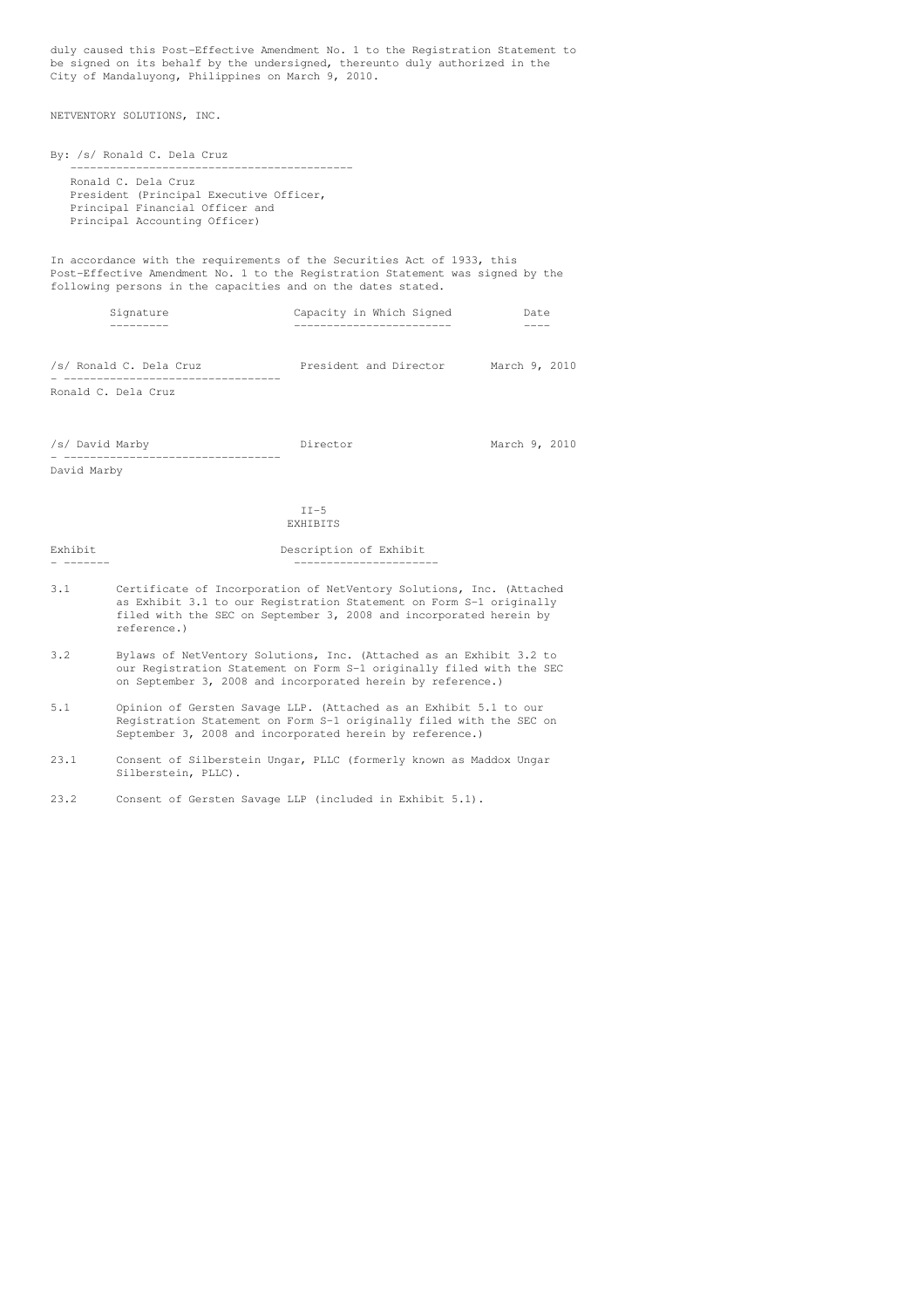duly caused this Post-Effective Amendment No. 1 to the Registration Statement to be signed on its behalf by the undersigned, thereunto duly authorized in the City of Mandaluyong, Philippines on March 9, 2010.

NETVENTORY SOLUTIONS, INC.

By: /s/ Ronald C. Dela Cruz ------------------------------------------- Ronald C. Dela Cruz President (Principal Executive Officer, Principal Financial Officer and Principal Accounting Officer)

In accordance with the requirements of the Securities Act of 1933, this Post-Effective Amendment No. 1 to the Registration Statement was signed by the following persons in the capacities and on the dates stated.

| Signature               | Capacity in Which Signed | Date          |  |  |
|-------------------------|--------------------------|---------------|--|--|
| /s/ Ronald C. Dela Cruz | President and Director   | March 9, 2010 |  |  |

- ---------------------------------

Ronald C. Dela Cruz

| /s/ David Marby | Director | March 9, 2010 |  |
|-----------------|----------|---------------|--|
|                 |          |               |  |

David Marby

 $II-5$ EXHIBITS

Exhibit Description of Exhibit - ------- ----------------------

- 3.1 Certificate of Incorporation of NetVentory Solutions, Inc. (Attached as Exhibit 3.1 to our Registration Statement on Form S-1 originally filed with the SEC on September 3, 2008 and incorporated herein by reference.)
- 3.2 Bylaws of NetVentory Solutions, Inc. (Attached as an Exhibit 3.2 to our Registration Statement on Form S-1 originally filed with the SEC on September 3, 2008 and incorporated herein by reference.)
- 5.1 Opinion of Gersten Savage LLP. (Attached as an Exhibit 5.1 to our Registration Statement on Form S-1 originally filed with the SEC on September 3, 2008 and incorporated herein by reference.)
- 23.1 Consent of Silberstein Ungar, PLLC (formerly known as Maddox Ungar Silberstein, PLLC).

23.2 Consent of Gersten Savage LLP (included in Exhibit 5.1).